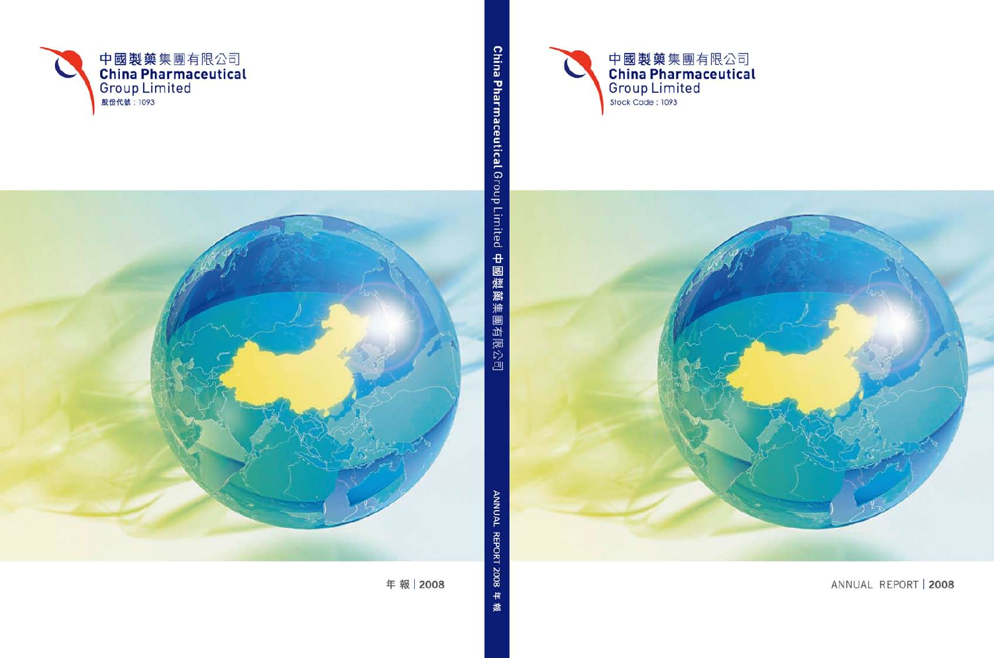



ANNUAL REPORT | 2008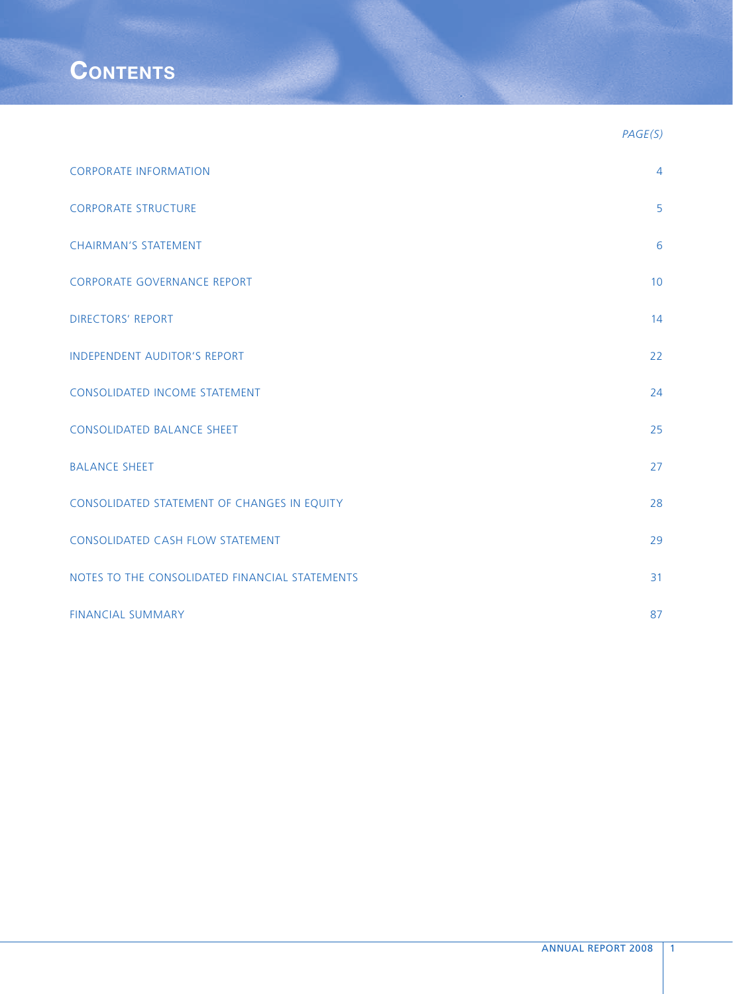

|                                                | PAGE(S)        |
|------------------------------------------------|----------------|
| <b>CORPORATE INFORMATION</b>                   | $\overline{4}$ |
| <b>CORPORATE STRUCTURE</b>                     | 5              |
| <b>CHAIRMAN'S STATEMENT</b>                    | 6              |
| <b>CORPORATE GOVERNANCE REPORT</b>             | 10             |
| <b>DIRECTORS' REPORT</b>                       | 14             |
| <b>INDEPENDENT AUDITOR'S REPORT</b>            | 22             |
| <b>CONSOLIDATED INCOME STATEMENT</b>           | 24             |
| <b>CONSOLIDATED BALANCE SHEET</b>              | 25             |
| <b>BALANCE SHEET</b>                           | 27             |
| CONSOLIDATED STATEMENT OF CHANGES IN EQUITY    | 28             |
| <b>CONSOLIDATED CASH FLOW STATEMENT</b>        | 29             |
| NOTES TO THE CONSOLIDATED FINANCIAL STATEMENTS | 31             |
| <b>FINANCIAL SUMMARY</b>                       | 87             |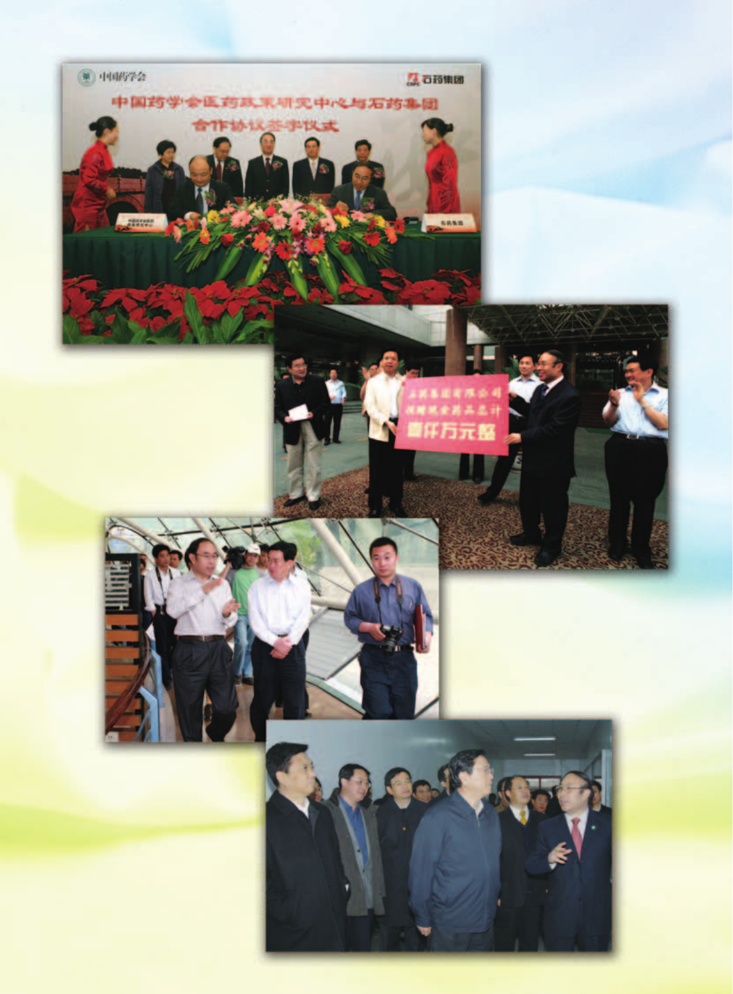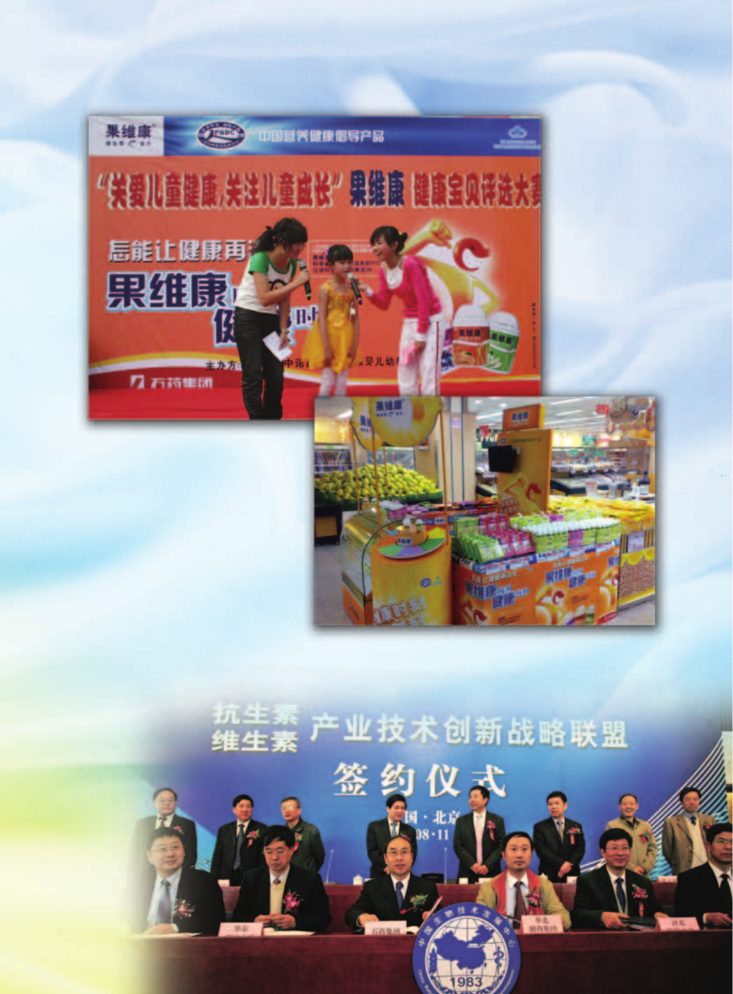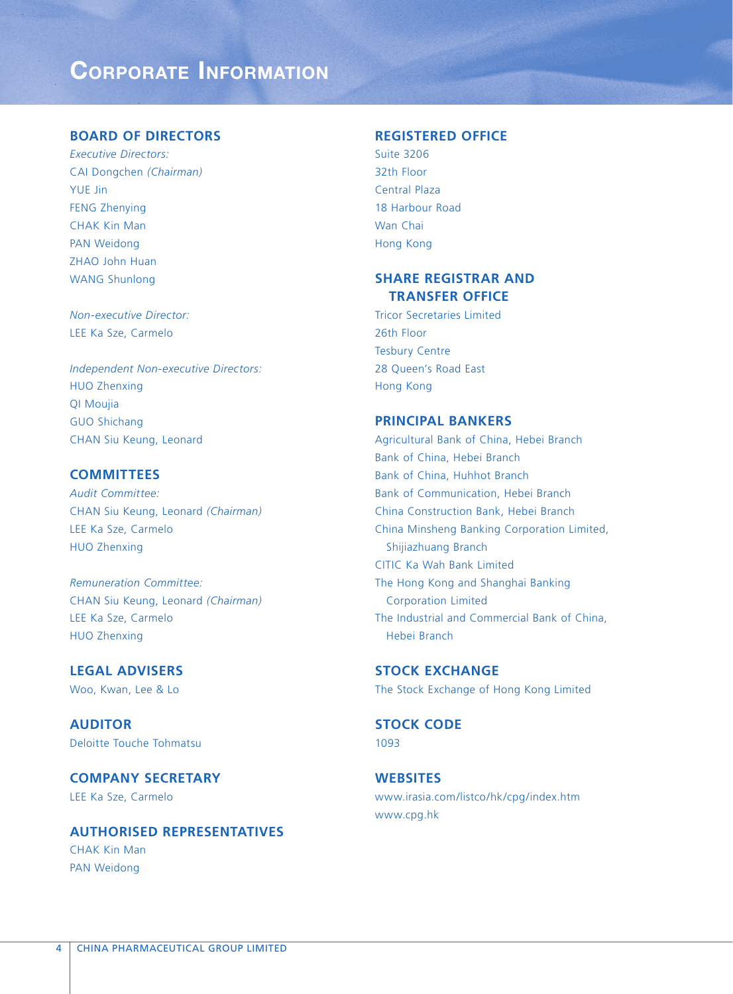# **CORPORATE INFORMATION**

### **BOARD OF DIRECTORS**

*Executive Directors:* CAI Dongchen *(Chairman)* YUE Jin FENG Zhenying CHAK Kin Man PAN Weidong ZHAO John Huan WANG Shunlong

*Non-executive Director:* LEE Ka Sze, Carmelo

*Independent Non-executive Directors:* HUO Zhenxing QI Moujia GUO Shichang CHAN Siu Keung, Leonard

## **COMMITTEES**

*Audit Committee:* CHAN Siu Keung, Leonard *(Chairman)* LEE Ka Sze, Carmelo HUO Zhenxing

*Remuneration Committee:* CHAN Siu Keung, Leonard *(Chairman)* LEE Ka Sze, Carmelo HUO Zhenxing

**LEGAL ADVISERS** Woo, Kwan, Lee & Lo

**AUDITOR** Deloitte Touche Tohmatsu

**COMPANY SECRETARY** LEE Ka Sze, Carmelo

**AUTHORISED REPRESENTATIVES** CHAK Kin Man PAN Weidong

## **REGISTERED OFFICE**

| Suite 3206      |
|-----------------|
| 32th Floor      |
| Central Plaza   |
| 18 Harbour Road |
| Wan Chai        |
| Hong Kong       |

## **SHARE REGISTRAR AND TRANSFER OFFICE**

Tricor Secretaries Limited 26th Floor Tesbury Centre 28 Queen's Road East Hong Kong

## **PRINCIPAL BANKERS**

Agricultural Bank of China, Hebei Branch Bank of China, Hebei Branch Bank of China, Huhhot Branch Bank of Communication, Hebei Branch China Construction Bank, Hebei Branch China Minsheng Banking Corporation Limited, Shijiazhuang Branch CITIC Ka Wah Bank Limited The Hong Kong and Shanghai Banking Corporation Limited The Industrial and Commercial Bank of China, Hebei Branch

**STOCK EXCHANGE** The Stock Exchange of Hong Kong Limited

**STOCK CODE** 1093

**WEBSITES** www.irasia.com/listco/hk/cpg/index.htm www.cpg.hk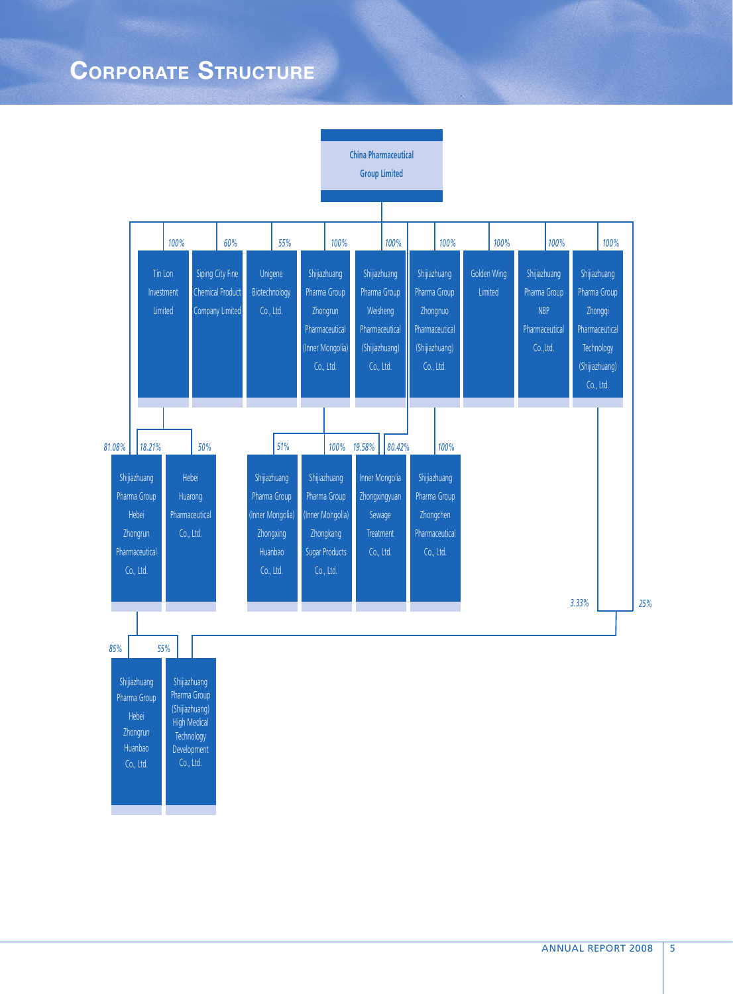# **CORPORATE STRUCTURE**

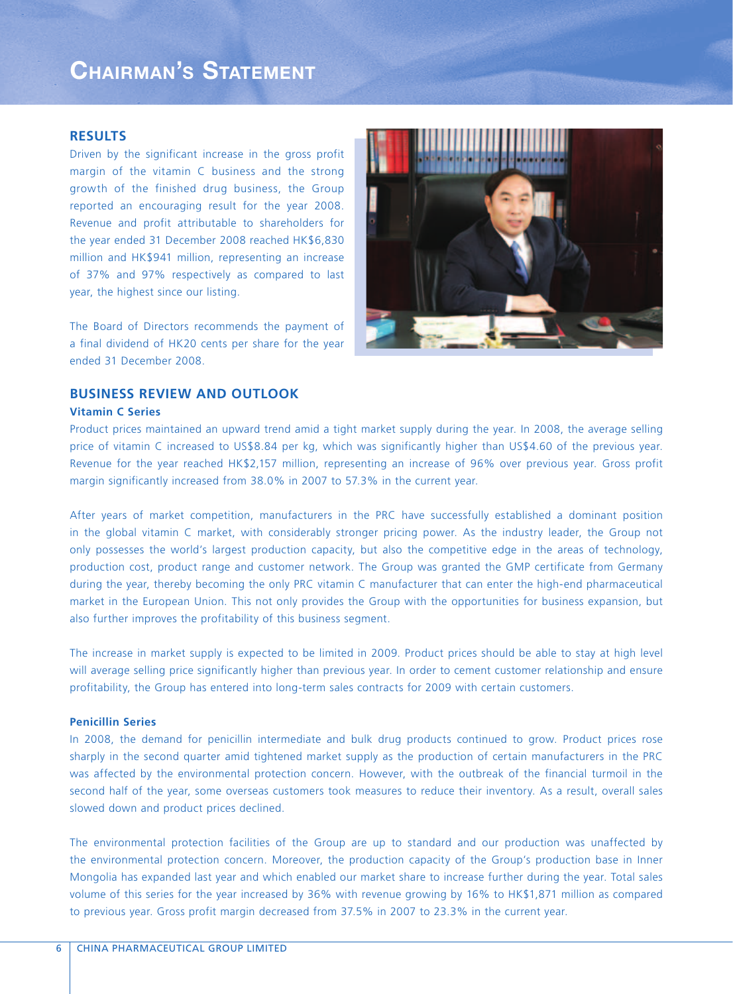# **CHAIRMAN'S STATEMENT**

### **RESULTS**

Driven by the significant increase in the gross profit margin of the vitamin C business and the strong growth of the finished drug business, the Group reported an encouraging result for the year 2008. Revenue and profit attributable to shareholders for the year ended 31 December 2008 reached HK\$6,830 million and HK\$941 million, representing an increase of 37% and 97% respectively as compared to last year, the highest since our listing.

The Board of Directors recommends the payment of a final dividend of HK20 cents per share for the year ended 31 December 2008.



## **BUSINESS REVIEW AND OUTLOOK**

#### **Vitamin C Series**

Product prices maintained an upward trend amid a tight market supply during the year. In 2008, the average selling price of vitamin C increased to US\$8.84 per kg, which was significantly higher than US\$4.60 of the previous year. Revenue for the year reached HK\$2,157 million, representing an increase of 96% over previous year. Gross profit margin significantly increased from 38.0% in 2007 to 57.3% in the current year.

After years of market competition, manufacturers in the PRC have successfully established a dominant position in the global vitamin C market, with considerably stronger pricing power. As the industry leader, the Group not only possesses the world's largest production capacity, but also the competitive edge in the areas of technology, production cost, product range and customer network. The Group was granted the GMP certificate from Germany during the year, thereby becoming the only PRC vitamin C manufacturer that can enter the high-end pharmaceutical market in the European Union. This not only provides the Group with the opportunities for business expansion, but also further improves the profitability of this business segment.

The increase in market supply is expected to be limited in 2009. Product prices should be able to stay at high level will average selling price significantly higher than previous year. In order to cement customer relationship and ensure profitability, the Group has entered into long-term sales contracts for 2009 with certain customers.

#### **Penicillin Series**

In 2008, the demand for penicillin intermediate and bulk drug products continued to grow. Product prices rose sharply in the second quarter amid tightened market supply as the production of certain manufacturers in the PRC was affected by the environmental protection concern. However, with the outbreak of the financial turmoil in the second half of the year, some overseas customers took measures to reduce their inventory. As a result, overall sales slowed down and product prices declined.

The environmental protection facilities of the Group are up to standard and our production was unaffected by the environmental protection concern. Moreover, the production capacity of the Group's production base in Inner Mongolia has expanded last year and which enabled our market share to increase further during the year. Total sales volume of this series for the year increased by 36% with revenue growing by 16% to HK\$1,871 million as compared to previous year. Gross profit margin decreased from 37.5% in 2007 to 23.3% in the current year.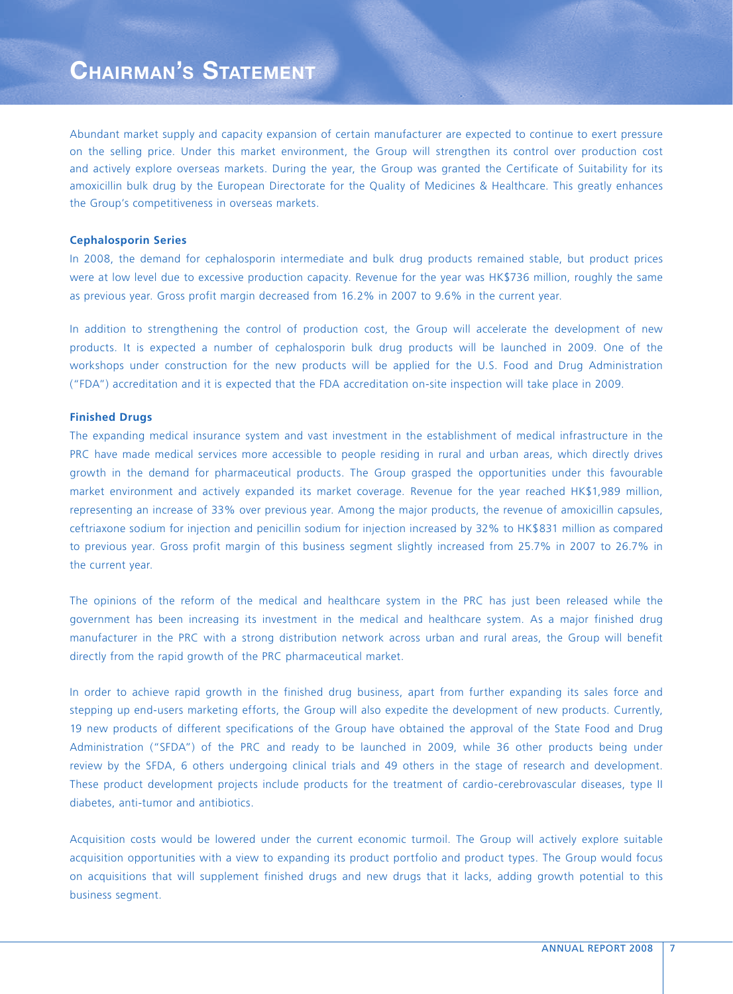# **CHAIRMAN'S STATEMENT**

Abundant market supply and capacity expansion of certain manufacturer are expected to continue to exert pressure on the selling price. Under this market environment, the Group will strengthen its control over production cost and actively explore overseas markets. During the year, the Group was granted the Certificate of Suitability for its amoxicillin bulk drug by the European Directorate for the Quality of Medicines & Healthcare. This greatly enhances the Group's competitiveness in overseas markets.

#### **Cephalosporin Series**

In 2008, the demand for cephalosporin intermediate and bulk drug products remained stable, but product prices were at low level due to excessive production capacity. Revenue for the year was HK\$736 million, roughly the same as previous year. Gross profit margin decreased from 16.2% in 2007 to 9.6% in the current year.

In addition to strengthening the control of production cost, the Group will accelerate the development of new products. It is expected a number of cephalosporin bulk drug products will be launched in 2009. One of the workshops under construction for the new products will be applied for the U.S. Food and Drug Administration ("FDA") accreditation and it is expected that the FDA accreditation on-site inspection will take place in 2009.

#### **Finished Drugs**

The expanding medical insurance system and vast investment in the establishment of medical infrastructure in the PRC have made medical services more accessible to people residing in rural and urban areas, which directly drives growth in the demand for pharmaceutical products. The Group grasped the opportunities under this favourable market environment and actively expanded its market coverage. Revenue for the year reached HK\$1,989 million, representing an increase of 33% over previous year. Among the major products, the revenue of amoxicillin capsules, ceftriaxone sodium for injection and penicillin sodium for injection increased by 32% to HK\$831 million as compared to previous year. Gross profit margin of this business segment slightly increased from 25.7% in 2007 to 26.7% in the current year.

The opinions of the reform of the medical and healthcare system in the PRC has just been released while the government has been increasing its investment in the medical and healthcare system. As a major finished drug manufacturer in the PRC with a strong distribution network across urban and rural areas, the Group will benefit directly from the rapid growth of the PRC pharmaceutical market.

In order to achieve rapid growth in the finished drug business, apart from further expanding its sales force and stepping up end-users marketing efforts, the Group will also expedite the development of new products. Currently, 19 new products of different specifications of the Group have obtained the approval of the State Food and Drug Administration ("SFDA") of the PRC and ready to be launched in 2009, while 36 other products being under review by the SFDA, 6 others undergoing clinical trials and 49 others in the stage of research and development. These product development projects include products for the treatment of cardio-cerebrovascular diseases, type II diabetes, anti-tumor and antibiotics.

Acquisition costs would be lowered under the current economic turmoil. The Group will actively explore suitable acquisition opportunities with a view to expanding its product portfolio and product types. The Group would focus on acquisitions that will supplement finished drugs and new drugs that it lacks, adding growth potential to this business segment.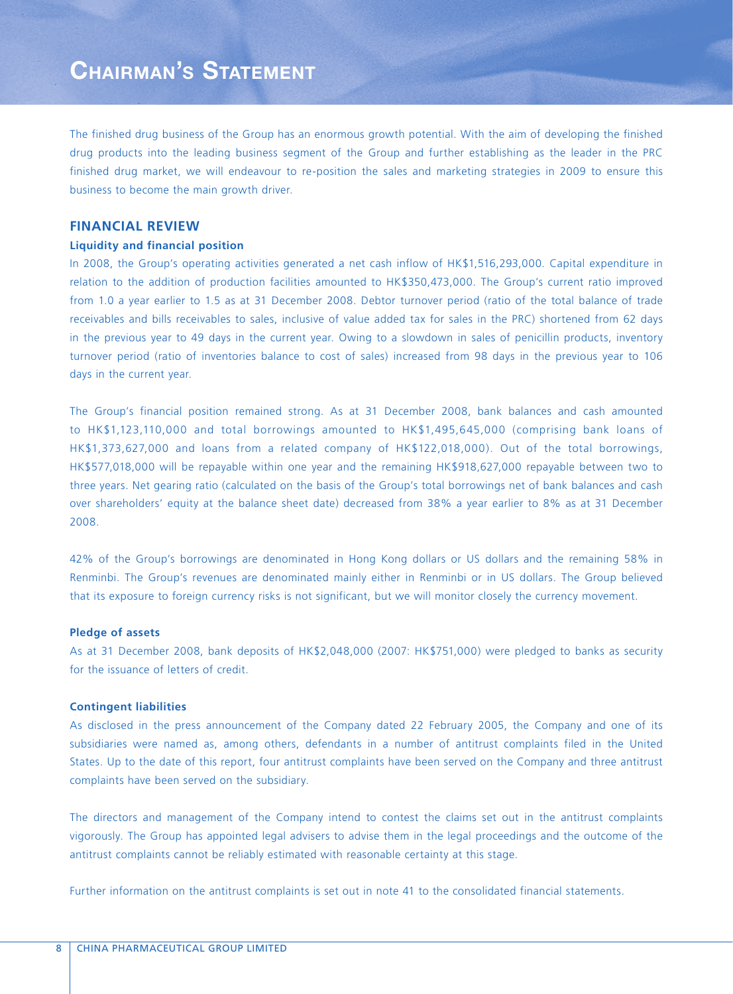The finished drug business of the Group has an enormous growth potential. With the aim of developing the finished drug products into the leading business segment of the Group and further establishing as the leader in the PRC finished drug market, we will endeavour to re-position the sales and marketing strategies in 2009 to ensure this business to become the main growth driver.

## **FINANCIAL REVIEW**

#### **Liquidity and financial position**

In 2008, the Group's operating activities generated a net cash inflow of HK\$1,516,293,000. Capital expenditure in relation to the addition of production facilities amounted to HK\$350,473,000. The Group's current ratio improved from 1.0 a year earlier to 1.5 as at 31 December 2008. Debtor turnover period (ratio of the total balance of trade receivables and bills receivables to sales, inclusive of value added tax for sales in the PRC) shortened from 62 days in the previous year to 49 days in the current year. Owing to a slowdown in sales of penicillin products, inventory turnover period (ratio of inventories balance to cost of sales) increased from 98 days in the previous year to 106 days in the current year.

The Group's financial position remained strong. As at 31 December 2008, bank balances and cash amounted to HK\$1,123,110,000 and total borrowings amounted to HK\$1,495,645,000 (comprising bank loans of HK\$1,373,627,000 and loans from a related company of HK\$122,018,000). Out of the total borrowings, HK\$577,018,000 will be repayable within one year and the remaining HK\$918,627,000 repayable between two to three years. Net gearing ratio (calculated on the basis of the Group's total borrowings net of bank balances and cash over shareholders' equity at the balance sheet date) decreased from 38% a year earlier to 8% as at 31 December 2008.

42% of the Group's borrowings are denominated in Hong Kong dollars or US dollars and the remaining 58% in Renminbi. The Group's revenues are denominated mainly either in Renminbi or in US dollars. The Group believed that its exposure to foreign currency risks is not significant, but we will monitor closely the currency movement.

#### **Pledge of assets**

As at 31 December 2008, bank deposits of HK\$2,048,000 (2007: HK\$751,000) were pledged to banks as security for the issuance of letters of credit.

### **Contingent liabilities**

As disclosed in the press announcement of the Company dated 22 February 2005, the Company and one of its subsidiaries were named as, among others, defendants in a number of antitrust complaints filed in the United States. Up to the date of this report, four antitrust complaints have been served on the Company and three antitrust complaints have been served on the subsidiary.

The directors and management of the Company intend to contest the claims set out in the antitrust complaints vigorously. The Group has appointed legal advisers to advise them in the legal proceedings and the outcome of the antitrust complaints cannot be reliably estimated with reasonable certainty at this stage.

Further information on the antitrust complaints is set out in note 41 to the consolidated financial statements.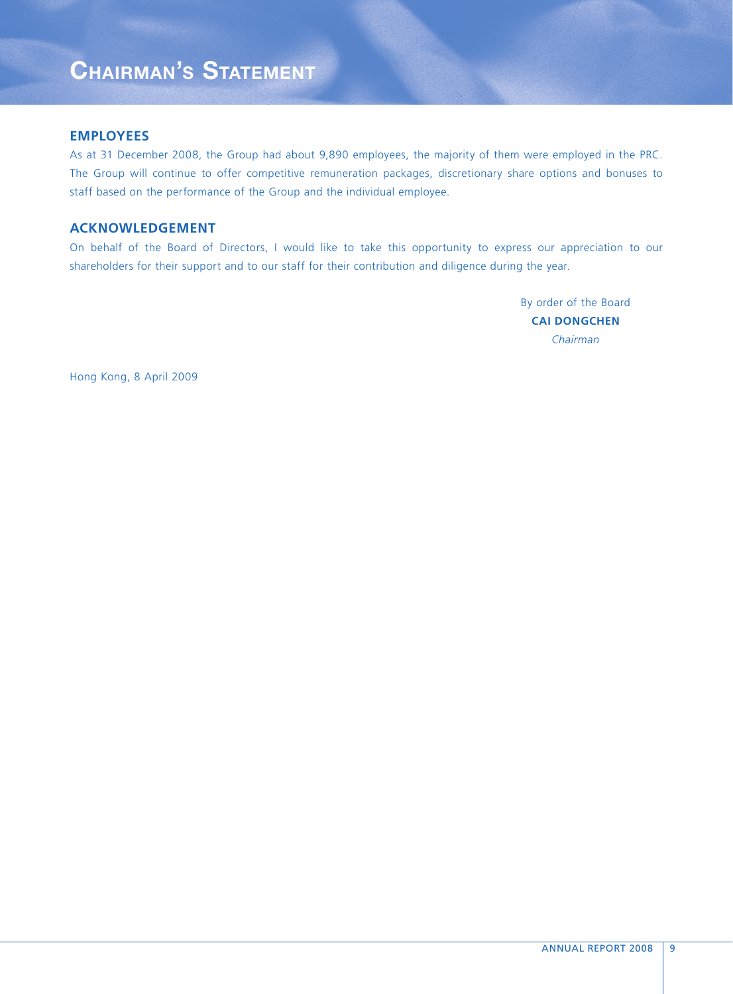# **CHAIRMAN'S STATEMENT**

### **EMPLOYEES**

As at 31 December 2008, the Group had about 9,890 employees, the majority of them were employed in the PRC. The Group will continue to offer competitive remuneration packages, discretionary share options and bonuses to staff based on the performance of the Group and the individual employee.

## **ACKNOWLEDGEMENT**

On behalf of the Board of Directors, I would like to take this opportunity to express our appreciation to our shareholders for their support and to our staff for their contribution and diligence during the year.

> By order of the Board **CAI DONGCHEN** *Chairman*

Hong Kong, 8 April 2009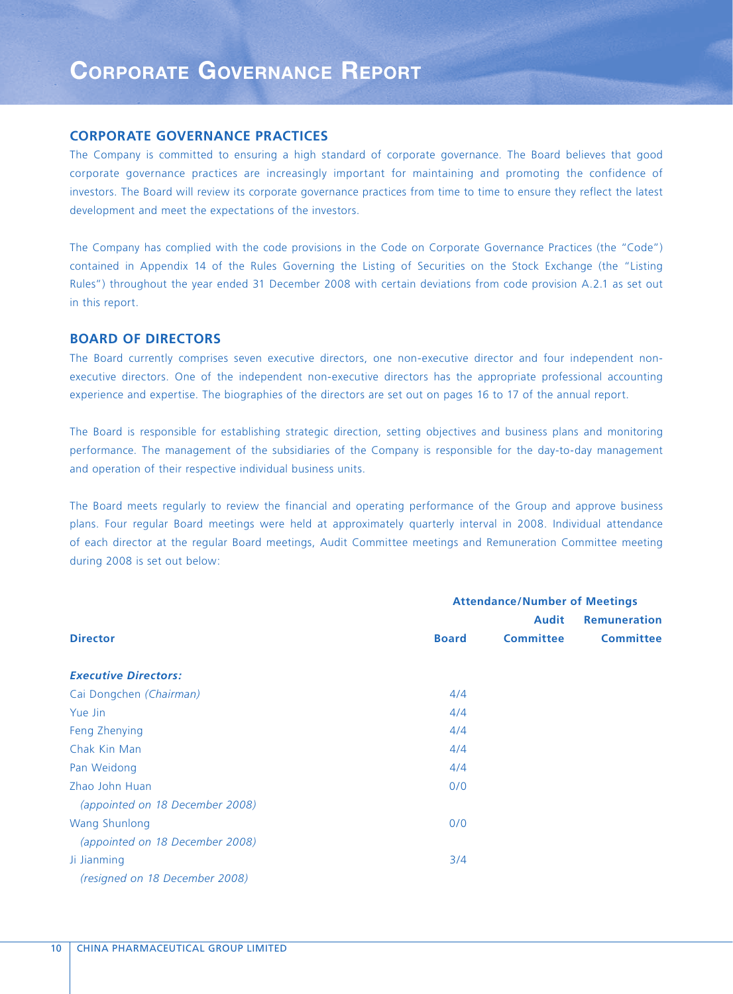# **CORPORATE GOVERNANCE REPORT**

#### **CORPORATE GOVERNANCE PRACTICES**

The Company is committed to ensuring a high standard of corporate governance. The Board believes that good corporate governance practices are increasingly important for maintaining and promoting the confidence of investors. The Board will review its corporate governance practices from time to time to ensure they reflect the latest development and meet the expectations of the investors.

The Company has complied with the code provisions in the Code on Corporate Governance Practices (the "Code") contained in Appendix 14 of the Rules Governing the Listing of Securities on the Stock Exchange (the "Listing Rules") throughout the year ended 31 December 2008 with certain deviations from code provision A.2.1 as set out in this report.

## **BOARD OF DIRECTORS**

The Board currently comprises seven executive directors, one non-executive director and four independent nonexecutive directors. One of the independent non-executive directors has the appropriate professional accounting experience and expertise. The biographies of the directors are set out on pages 16 to 17 of the annual report.

The Board is responsible for establishing strategic direction, setting objectives and business plans and monitoring performance. The management of the subsidiaries of the Company is responsible for the day-to-day management and operation of their respective individual business units.

The Board meets regularly to review the financial and operating performance of the Group and approve business plans. Four regular Board meetings were held at approximately quarterly interval in 2008. Individual attendance of each director at the regular Board meetings, Audit Committee meetings and Remuneration Committee meeting during 2008 is set out below:

|                                 | <b>Attendance/Number of Meetings</b> |                  |                     |  |  |  |
|---------------------------------|--------------------------------------|------------------|---------------------|--|--|--|
|                                 |                                      | <b>Audit</b>     | <b>Remuneration</b> |  |  |  |
| <b>Director</b>                 | <b>Board</b>                         | <b>Committee</b> | <b>Committee</b>    |  |  |  |
| <b>Executive Directors:</b>     |                                      |                  |                     |  |  |  |
| Cai Dongchen (Chairman)         | 4/4                                  |                  |                     |  |  |  |
| Yue Jin                         | 4/4                                  |                  |                     |  |  |  |
| Feng Zhenying                   | 4/4                                  |                  |                     |  |  |  |
| Chak Kin Man                    | 4/4                                  |                  |                     |  |  |  |
| Pan Weidong                     | 4/4                                  |                  |                     |  |  |  |
| Zhao John Huan                  | 0/0                                  |                  |                     |  |  |  |
| (appointed on 18 December 2008) |                                      |                  |                     |  |  |  |
| <b>Wang Shunlong</b>            | 0/0                                  |                  |                     |  |  |  |
| (appointed on 18 December 2008) |                                      |                  |                     |  |  |  |
| Ji Jianming                     | 3/4                                  |                  |                     |  |  |  |
| (resigned on 18 December 2008)  |                                      |                  |                     |  |  |  |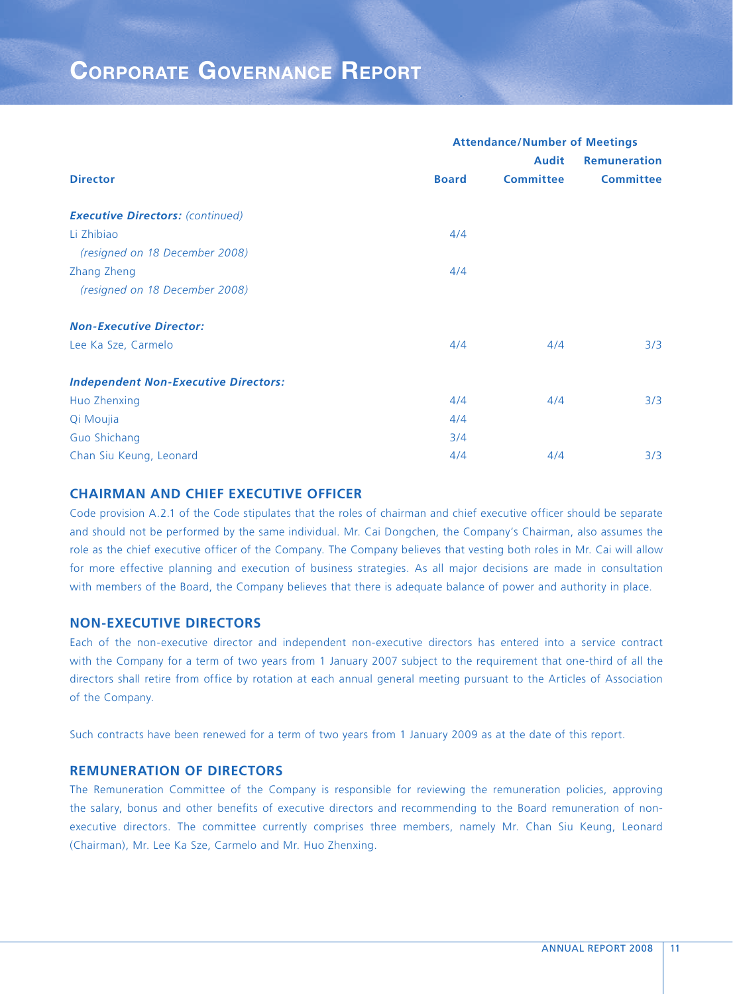# **CORPORATE GOVERNANCE REPORT**

|                                             | <b>Attendance/Number of Meetings</b> |                  |                     |  |  |  |
|---------------------------------------------|--------------------------------------|------------------|---------------------|--|--|--|
|                                             |                                      | <b>Audit</b>     | <b>Remuneration</b> |  |  |  |
| <b>Director</b>                             | <b>Board</b>                         | <b>Committee</b> | <b>Committee</b>    |  |  |  |
| <b>Executive Directors: (continued)</b>     |                                      |                  |                     |  |  |  |
| Li Zhibiao                                  | 4/4                                  |                  |                     |  |  |  |
| (resigned on 18 December 2008)              |                                      |                  |                     |  |  |  |
| Zhang Zheng                                 | 4/4                                  |                  |                     |  |  |  |
| (resigned on 18 December 2008)              |                                      |                  |                     |  |  |  |
| <b>Non-Executive Director:</b>              |                                      |                  |                     |  |  |  |
| Lee Ka Sze, Carmelo                         | 4/4                                  | 4/4              | 3/3                 |  |  |  |
| <b>Independent Non-Executive Directors:</b> |                                      |                  |                     |  |  |  |
| Huo Zhenxing                                | 4/4                                  | 4/4              | 3/3                 |  |  |  |
| Qi Moujia                                   | 4/4                                  |                  |                     |  |  |  |
| Guo Shichang                                | 3/4                                  |                  |                     |  |  |  |
| Chan Siu Keung, Leonard                     | 4/4                                  | 4/4              | 3/3                 |  |  |  |

## **CHAIRMAN AND CHIEF EXECUTIVE OFFICER**

Code provision A.2.1 of the Code stipulates that the roles of chairman and chief executive officer should be separate and should not be performed by the same individual. Mr. Cai Dongchen, the Company's Chairman, also assumes the role as the chief executive officer of the Company. The Company believes that vesting both roles in Mr. Cai will allow for more effective planning and execution of business strategies. As all major decisions are made in consultation with members of the Board, the Company believes that there is adequate balance of power and authority in place.

## **NON-EXECUTIVE DIRECTORS**

Each of the non-executive director and independent non-executive directors has entered into a service contract with the Company for a term of two years from 1 January 2007 subject to the requirement that one-third of all the directors shall retire from office by rotation at each annual general meeting pursuant to the Articles of Association of the Company.

Such contracts have been renewed for a term of two years from 1 January 2009 as at the date of this report.

### **REMUNERATION OF DIRECTORS**

The Remuneration Committee of the Company is responsible for reviewing the remuneration policies, approving the salary, bonus and other benefits of executive directors and recommending to the Board remuneration of nonexecutive directors. The committee currently comprises three members, namely Mr. Chan Siu Keung, Leonard (Chairman), Mr. Lee Ka Sze, Carmelo and Mr. Huo Zhenxing.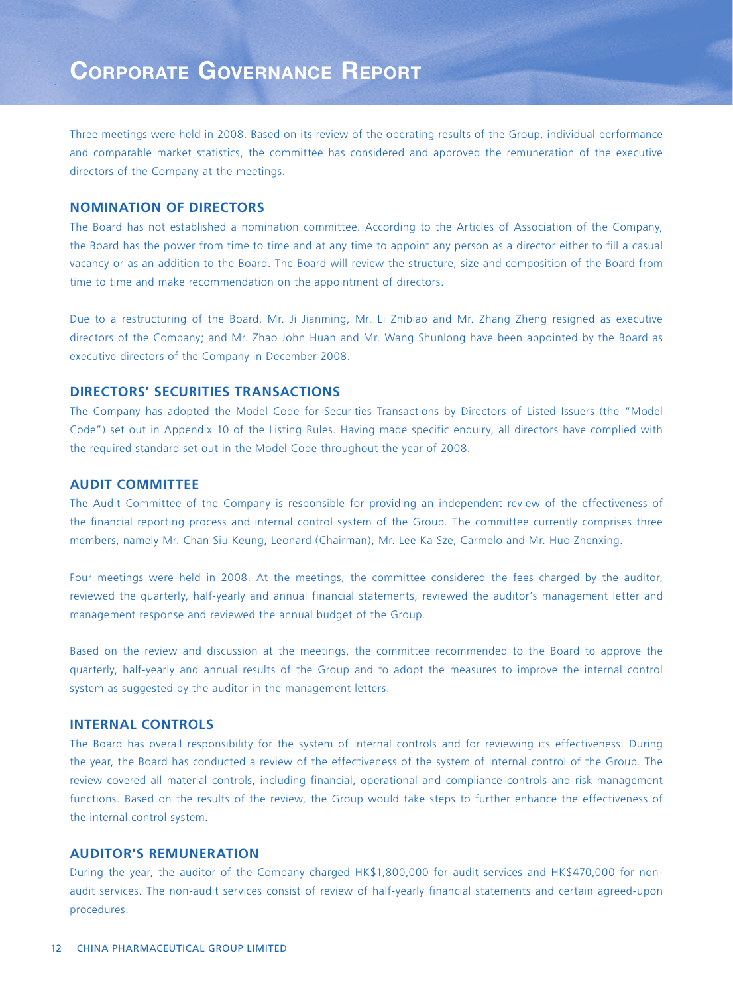Three meetings were held in 2008. Based on its review of the operating results of the Group, individual performance and comparable market statistics, the committee has considered and approved the remuneration of the executive directors of the Company at the meetings.

## **NOMINATION OF DIRECTORS**

The Board has not established a nomination committee. According to the Articles of Association of the Company, the Board has the power from time to time and at any time to appoint any person as a director either to fill a casual vacancy or as an addition to the Board. The Board will review the structure, size and composition of the Board from time to time and make recommendation on the appointment of directors.

Due to a restructuring of the Board, Mr. Ji Jianming, Mr. Li Zhibiao and Mr. Zhang Zheng resigned as executive directors of the Company; and Mr. Zhao John Huan and Mr. Wang Shunlong have been appointed by the Board as executive directors of the Company in December 2008.

## **DIRECTORS' SECURITIES TRANSACTIONS**

The Company has adopted the Model Code for Securities Transactions by Directors of Listed Issuers (the "Model Code") set out in Appendix 10 of the Listing Rules. Having made specific enquiry, all directors have complied with the required standard set out in the Model Code throughout the year of 2008.

#### **AUDIT COMMITTEE**

The Audit Committee of the Company is responsible for providing an independent review of the effectiveness of the financial reporting process and internal control system of the Group. The committee currently comprises three members, namely Mr. Chan Siu Keung, Leonard (Chairman), Mr. Lee Ka Sze, Carmelo and Mr. Huo Zhenxing.

Four meetings were held in 2008. At the meetings, the committee considered the fees charged by the auditor, reviewed the quarterly, half-yearly and annual financial statements, reviewed the auditor's management letter and management response and reviewed the annual budget of the Group.

Based on the review and discussion at the meetings, the committee recommended to the Board to approve the quarterly, half-yearly and annual results of the Group and to adopt the measures to improve the internal control system as suggested by the auditor in the management letters.

## **INTERNAL CONTROLS**

The Board has overall responsibility for the system of internal controls and for reviewing its effectiveness. During the year, the Board has conducted a review of the effectiveness of the system of internal control of the Group. The review covered all material controls, including financial, operational and compliance controls and risk management functions. Based on the results of the review, the Group would take steps to further enhance the effectiveness of the internal control system.

## **AUDITOR'S REMUNERATION**

During the year, the auditor of the Company charged HK\$1,800,000 for audit services and HK\$470,000 for nonaudit services. The non-audit services consist of review of half-yearly financial statements and certain agreed-upon procedures.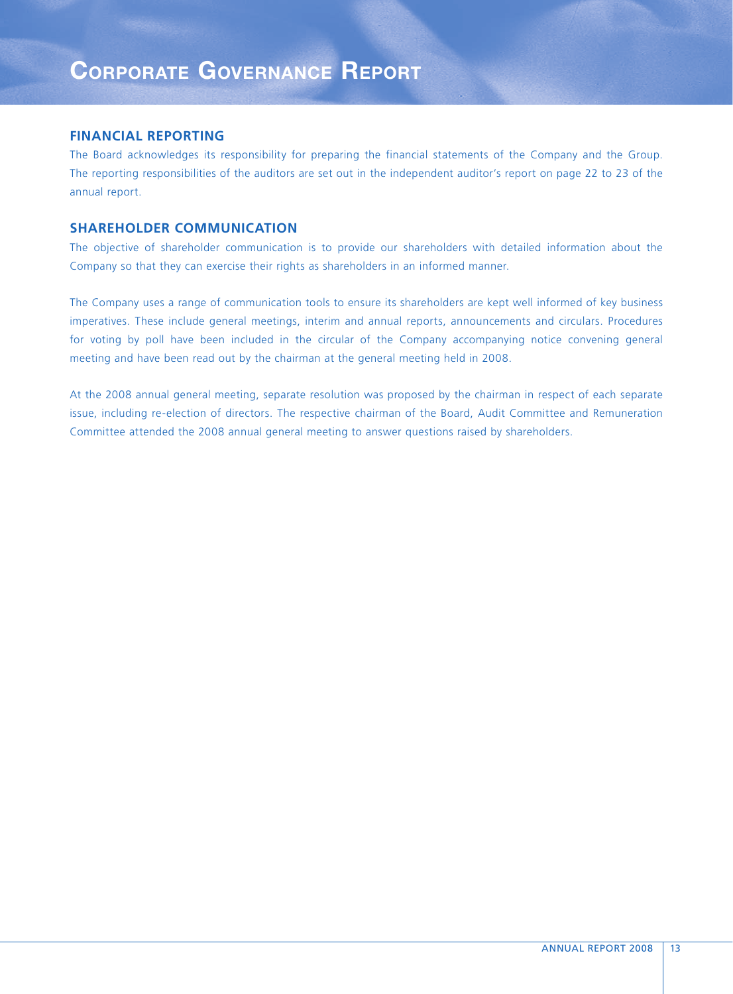## **FINANCIAL REPORTING**

The Board acknowledges its responsibility for preparing the financial statements of the Company and the Group. The reporting responsibilities of the auditors are set out in the independent auditor's report on page 22 to 23 of the annual report.

## **SHAREHOLDER COMMUNICATION**

The objective of shareholder communication is to provide our shareholders with detailed information about the Company so that they can exercise their rights as shareholders in an informed manner.

The Company uses a range of communication tools to ensure its shareholders are kept well informed of key business imperatives. These include general meetings, interim and annual reports, announcements and circulars. Procedures for voting by poll have been included in the circular of the Company accompanying notice convening general meeting and have been read out by the chairman at the general meeting held in 2008.

At the 2008 annual general meeting, separate resolution was proposed by the chairman in respect of each separate issue, including re-election of directors. The respective chairman of the Board, Audit Committee and Remuneration Committee attended the 2008 annual general meeting to answer questions raised by shareholders.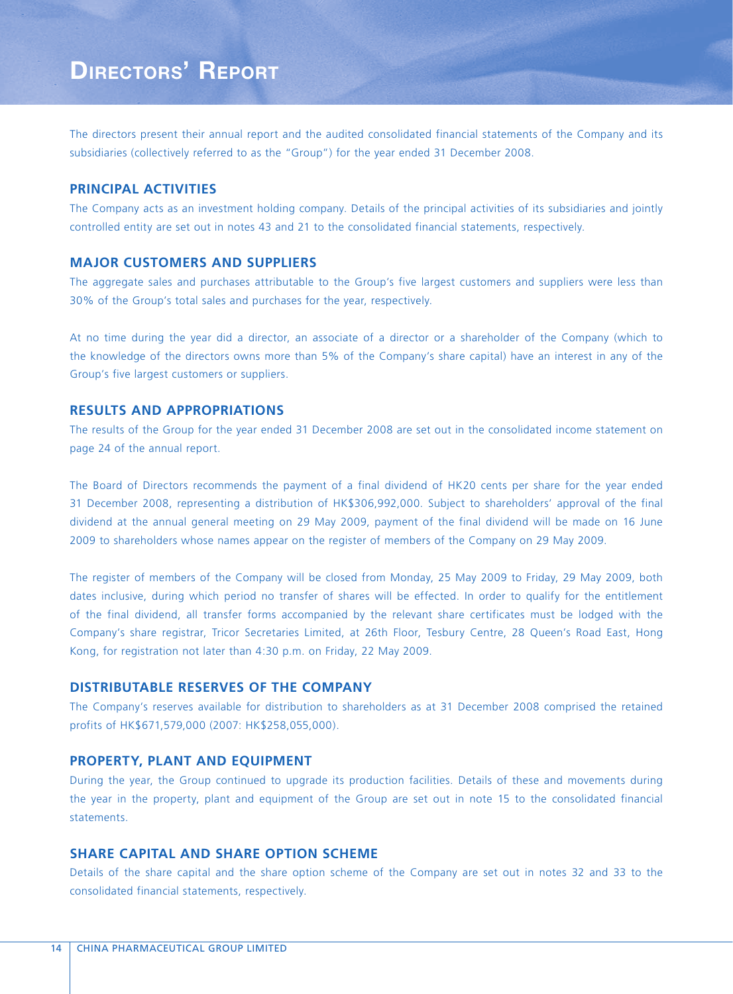The directors present their annual report and the audited consolidated financial statements of the Company and its subsidiaries (collectively referred to as the "Group") for the year ended 31 December 2008.

### **PRINCIPAL ACTIVITIES**

The Company acts as an investment holding company. Details of the principal activities of its subsidiaries and jointly controlled entity are set out in notes 43 and 21 to the consolidated financial statements, respectively.

### **MAJOR CUSTOMERS AND SUPPLIERS**

The aggregate sales and purchases attributable to the Group's five largest customers and suppliers were less than 30% of the Group's total sales and purchases for the year, respectively.

At no time during the year did a director, an associate of a director or a shareholder of the Company (which to the knowledge of the directors owns more than 5% of the Company's share capital) have an interest in any of the Group's five largest customers or suppliers.

### **RESULTS AND APPROPRIATIONS**

The results of the Group for the year ended 31 December 2008 are set out in the consolidated income statement on page 24 of the annual report.

The Board of Directors recommends the payment of a final dividend of HK20 cents per share for the year ended 31 December 2008, representing a distribution of HK\$306,992,000. Subject to shareholders' approval of the final dividend at the annual general meeting on 29 May 2009, payment of the final dividend will be made on 16 June 2009 to shareholders whose names appear on the register of members of the Company on 29 May 2009.

The register of members of the Company will be closed from Monday, 25 May 2009 to Friday, 29 May 2009, both dates inclusive, during which period no transfer of shares will be effected. In order to qualify for the entitlement of the final dividend, all transfer forms accompanied by the relevant share certificates must be lodged with the Company's share registrar, Tricor Secretaries Limited, at 26th Floor, Tesbury Centre, 28 Queen's Road East, Hong Kong, for registration not later than 4:30 p.m. on Friday, 22 May 2009.

### **DISTRIBUTABLE RESERVES OF THE COMPANY**

The Company's reserves available for distribution to shareholders as at 31 December 2008 comprised the retained profits of HK\$671,579,000 (2007: HK\$258,055,000).

#### **PROPERTY, PLANT AND EQUIPMENT**

During the year, the Group continued to upgrade its production facilities. Details of these and movements during the year in the property, plant and equipment of the Group are set out in note 15 to the consolidated financial statements.

## **SHARE CAPITAL AND SHARE OPTION SCHEME**

Details of the share capital and the share option scheme of the Company are set out in notes 32 and 33 to the consolidated financial statements, respectively.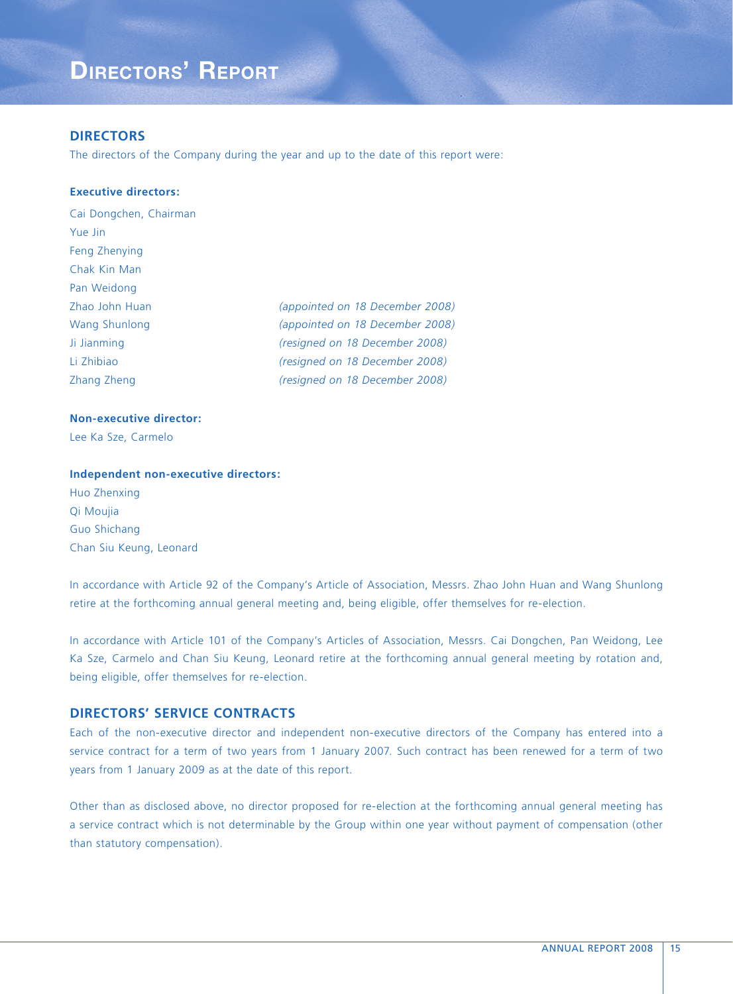### **DIRECTORS**

The directors of the Company during the year and up to the date of this report were:

#### **Executive directors:**

Cai Dongchen, Chairman Yue Jin Feng Zhenying Chak Kin Man Pan Weidong Zhao John Huan *(appointed on 18 December 2008)* Wang Shunlong *(appointed on 18 December 2008)* Ji Jianming *(resigned on 18 December 2008)* Li Zhibiao *(resigned on 18 December 2008)* Zhang Zheng *(resigned on 18 December 2008)*

## **Non-executive director:**

Lee Ka Sze, Carmelo

#### **Independent non-executive directors:**

Huo Zhenxing Qi Moujia Guo Shichang Chan Siu Keung, Leonard

In accordance with Article 92 of the Company's Article of Association, Messrs. Zhao John Huan and Wang Shunlong retire at the forthcoming annual general meeting and, being eligible, offer themselves for re-election.

In accordance with Article 101 of the Company's Articles of Association, Messrs. Cai Dongchen, Pan Weidong, Lee Ka Sze, Carmelo and Chan Siu Keung, Leonard retire at the forthcoming annual general meeting by rotation and, being eligible, offer themselves for re-election.

## **DIRECTORS' SERVICE CONTRACTS**

Each of the non-executive director and independent non-executive directors of the Company has entered into a service contract for a term of two years from 1 January 2007. Such contract has been renewed for a term of two years from 1 January 2009 as at the date of this report.

Other than as disclosed above, no director proposed for re-election at the forthcoming annual general meeting has a service contract which is not determinable by the Group within one year without payment of compensation (other than statutory compensation).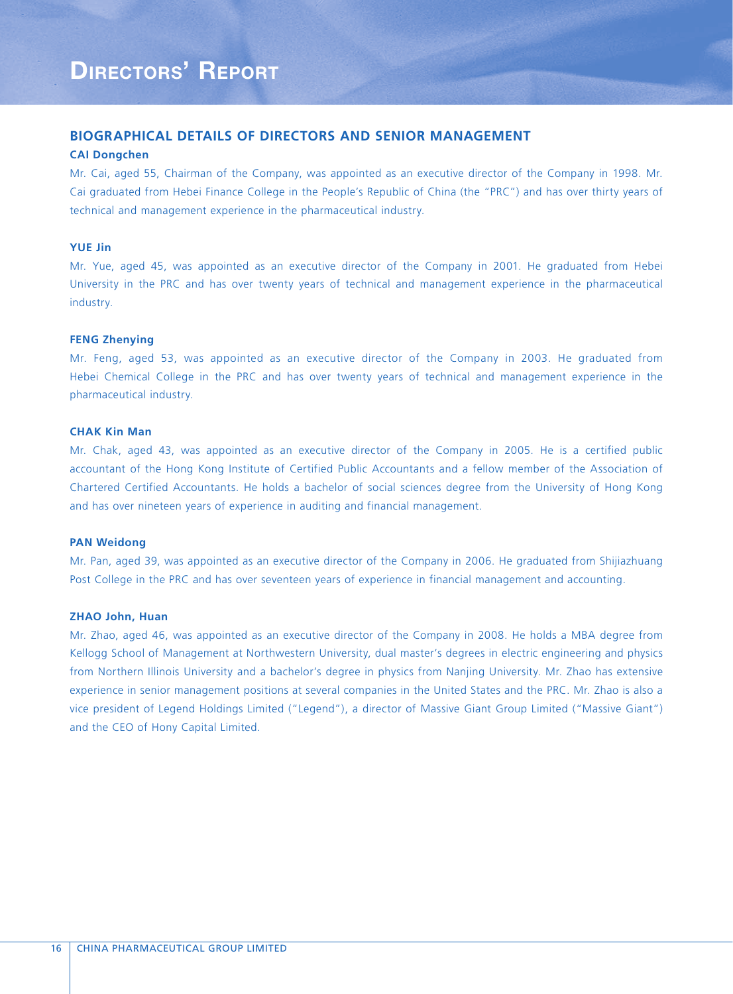## **BIOGRAPHICAL DETAILS OF DIRECTORS AND SENIOR MANAGEMENT**

#### **CAI Dongchen**

Mr. Cai, aged 55, Chairman of the Company, was appointed as an executive director of the Company in 1998. Mr. Cai graduated from Hebei Finance College in the People's Republic of China (the "PRC") and has over thirty years of technical and management experience in the pharmaceutical industry.

#### **YUE Jin**

Mr. Yue, aged 45, was appointed as an executive director of the Company in 2001. He graduated from Hebei University in the PRC and has over twenty years of technical and management experience in the pharmaceutical industry.

#### **FENG Zhenying**

Mr. Feng, aged 53, was appointed as an executive director of the Company in 2003. He graduated from Hebei Chemical College in the PRC and has over twenty years of technical and management experience in the pharmaceutical industry.

#### **CHAK Kin Man**

Mr. Chak, aged 43, was appointed as an executive director of the Company in 2005. He is a certified public accountant of the Hong Kong Institute of Certified Public Accountants and a fellow member of the Association of Chartered Certified Accountants. He holds a bachelor of social sciences degree from the University of Hong Kong and has over nineteen years of experience in auditing and financial management.

#### **PAN Weidong**

Mr. Pan, aged 39, was appointed as an executive director of the Company in 2006. He graduated from Shijiazhuang Post College in the PRC and has over seventeen years of experience in financial management and accounting.

#### **ZHAO John, Huan**

Mr. Zhao, aged 46, was appointed as an executive director of the Company in 2008. He holds a MBA degree from Kellogg School of Management at Northwestern University, dual master's degrees in electric engineering and physics from Northern Illinois University and a bachelor's degree in physics from Nanjing University. Mr. Zhao has extensive experience in senior management positions at several companies in the United States and the PRC. Mr. Zhao is also a vice president of Legend Holdings Limited ("Legend"), a director of Massive Giant Group Limited ("Massive Giant") and the CEO of Hony Capital Limited.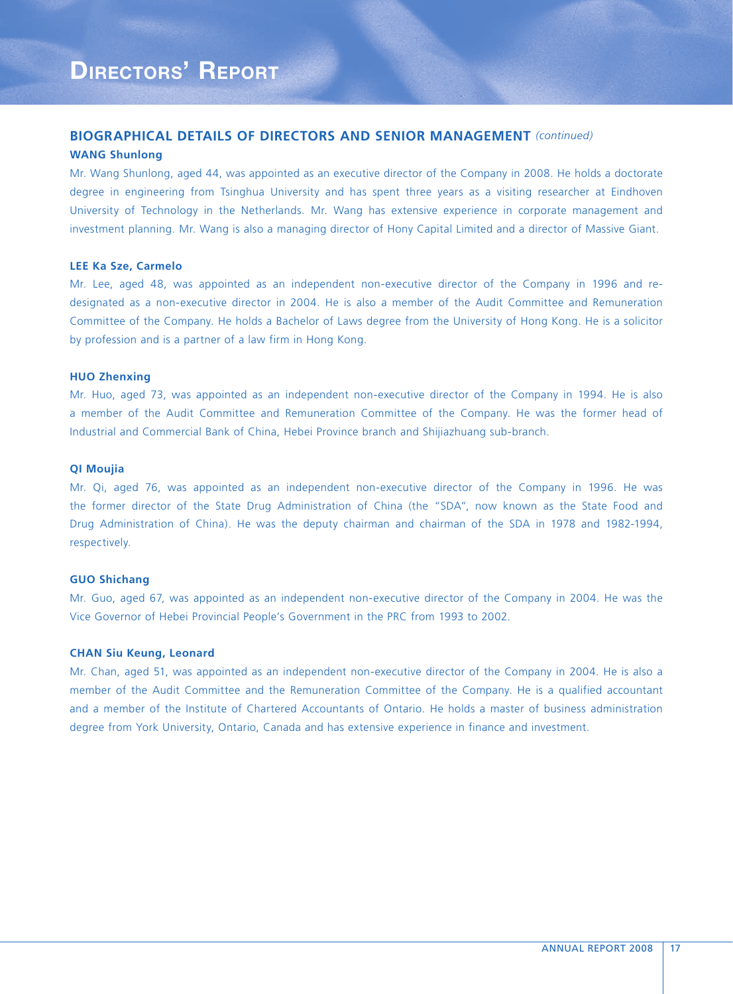## **BIOGRAPHICAL DETAILS OF DIRECTORS AND SENIOR MANAGEMENT** *(continued)*

#### **WANG Shunlong**

Mr. Wang Shunlong, aged 44, was appointed as an executive director of the Company in 2008. He holds a doctorate degree in engineering from Tsinghua University and has spent three years as a visiting researcher at Eindhoven University of Technology in the Netherlands. Mr. Wang has extensive experience in corporate management and investment planning. Mr. Wang is also a managing director of Hony Capital Limited and a director of Massive Giant.

#### **LEE Ka Sze, Carmelo**

Mr. Lee, aged 48, was appointed as an independent non-executive director of the Company in 1996 and redesignated as a non-executive director in 2004. He is also a member of the Audit Committee and Remuneration Committee of the Company. He holds a Bachelor of Laws degree from the University of Hong Kong. He is a solicitor by profession and is a partner of a law firm in Hong Kong.

#### **HUO Zhenxing**

Mr. Huo, aged 73, was appointed as an independent non-executive director of the Company in 1994. He is also a member of the Audit Committee and Remuneration Committee of the Company. He was the former head of Industrial and Commercial Bank of China, Hebei Province branch and Shijiazhuang sub-branch.

#### **QI Moujia**

Mr. Qi, aged 76, was appointed as an independent non-executive director of the Company in 1996. He was the former director of the State Drug Administration of China (the "SDA", now known as the State Food and Drug Administration of China). He was the deputy chairman and chairman of the SDA in 1978 and 1982-1994, respectively.

#### **GUO Shichang**

Mr. Guo, aged 67, was appointed as an independent non-executive director of the Company in 2004. He was the Vice Governor of Hebei Provincial People's Government in the PRC from 1993 to 2002.

#### **CHAN Siu Keung, Leonard**

Mr. Chan, aged 51, was appointed as an independent non-executive director of the Company in 2004. He is also a member of the Audit Committee and the Remuneration Committee of the Company. He is a qualified accountant and a member of the Institute of Chartered Accountants of Ontario. He holds a master of business administration degree from York University, Ontario, Canada and has extensive experience in finance and investment.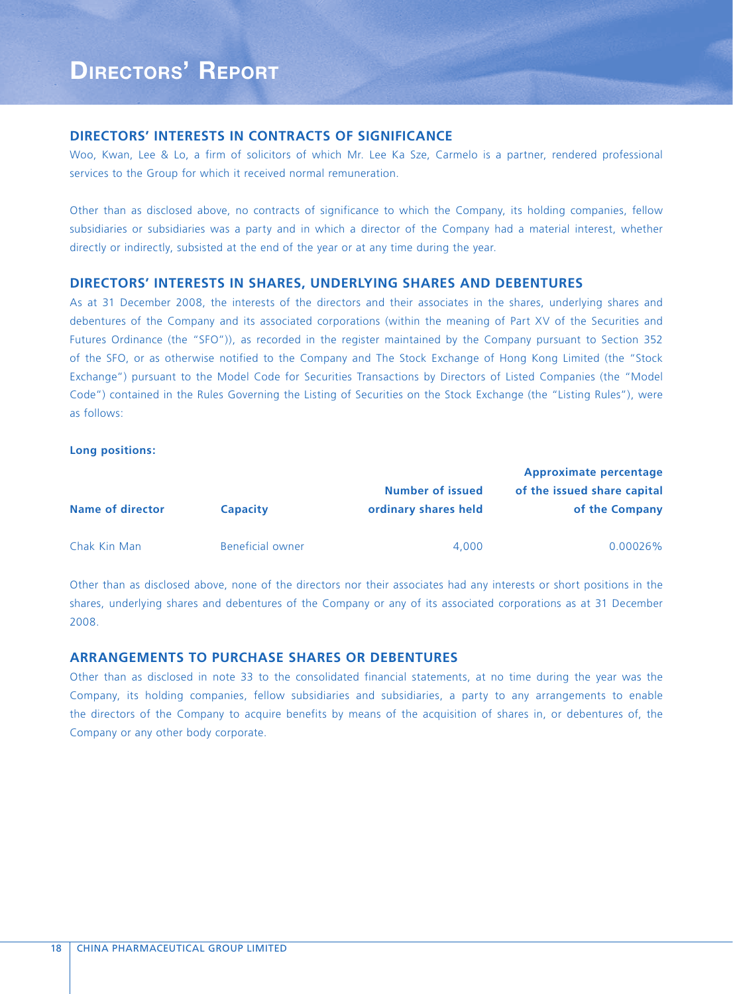### **DIRECTORS' INTERESTS IN CONTRACTS OF SIGNIFICANCE**

Woo, Kwan, Lee & Lo, a firm of solicitors of which Mr. Lee Ka Sze, Carmelo is a partner, rendered professional services to the Group for which it received normal remuneration.

Other than as disclosed above, no contracts of significance to which the Company, its holding companies, fellow subsidiaries or subsidiaries was a party and in which a director of the Company had a material interest, whether directly or indirectly, subsisted at the end of the year or at any time during the year.

### **DIRECTORS' INTERESTS IN SHARES, UNDERLYING SHARES AND DEBENTURES**

As at 31 December 2008, the interests of the directors and their associates in the shares, underlying shares and debentures of the Company and its associated corporations (within the meaning of Part XV of the Securities and Futures Ordinance (the "SFO")), as recorded in the register maintained by the Company pursuant to Section 352 of the SFO, or as otherwise notified to the Company and The Stock Exchange of Hong Kong Limited (the "Stock Exchange") pursuant to the Model Code for Securities Transactions by Directors of Listed Companies (the "Model Code") contained in the Rules Governing the Listing of Securities on the Stock Exchange (the "Listing Rules"), were as follows:

#### **Long positions:**

|                         |                         | Approximate percentage      |
|-------------------------|-------------------------|-----------------------------|
|                         | <b>Number of issued</b> | of the issued share capital |
| <b>Capacity</b>         | ordinary shares held    | of the Company              |
| <b>Beneficial owner</b> | 4.000                   | $0.00026\%$                 |
|                         |                         |                             |

Other than as disclosed above, none of the directors nor their associates had any interests or short positions in the shares, underlying shares and debentures of the Company or any of its associated corporations as at 31 December 2008.

## **ARRANGEMENTS TO PURCHASE SHARES OR DEBENTURES**

Other than as disclosed in note 33 to the consolidated financial statements, at no time during the year was the Company, its holding companies, fellow subsidiaries and subsidiaries, a party to any arrangements to enable the directors of the Company to acquire benefits by means of the acquisition of shares in, or debentures of, the Company or any other body corporate.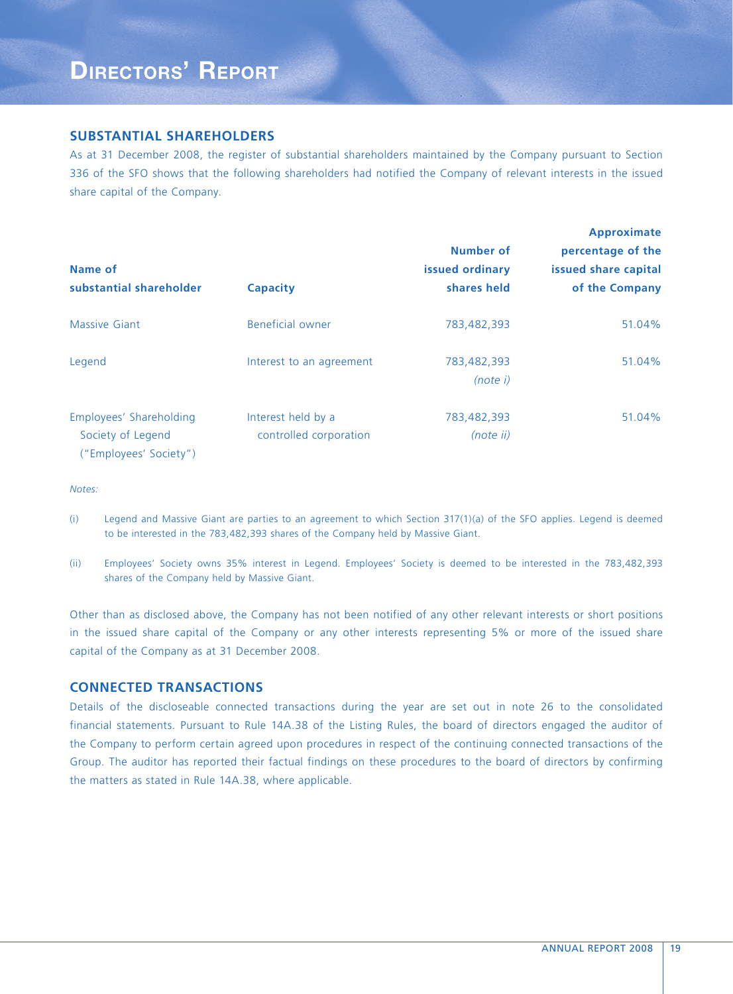### **SUBSTANTIAL SHAREHOLDERS**

As at 31 December 2008, the register of substantial shareholders maintained by the Company pursuant to Section 336 of the SFO shows that the following shareholders had notified the Company of relevant interests in the issued share capital of the Company.

|                         |                          |                  | Approximate          |
|-------------------------|--------------------------|------------------|----------------------|
|                         |                          | <b>Number of</b> | percentage of the    |
| Name of                 |                          | issued ordinary  | issued share capital |
| substantial shareholder | <b>Capacity</b>          | shares held      | of the Company       |
| <b>Massive Giant</b>    | <b>Beneficial owner</b>  | 783,482,393      | 51.04%               |
| Legend                  | Interest to an agreement | 783,482,393      | 51.04%               |
|                         |                          | (note i)         |                      |
| Employees' Shareholding | Interest held by a       | 783,482,393      | 51.04%               |
| Society of Legend       | controlled corporation   | (note ii)        |                      |
| ("Employees' Society")  |                          |                  |                      |

*Notes:*

- (i) Legend and Massive Giant are parties to an agreement to which Section 317(1)(a) of the SFO applies. Legend is deemed to be interested in the 783,482,393 shares of the Company held by Massive Giant.
- (ii) Employees' Society owns 35% interest in Legend. Employees' Society is deemed to be interested in the 783,482,393 shares of the Company held by Massive Giant.

Other than as disclosed above, the Company has not been notified of any other relevant interests or short positions in the issued share capital of the Company or any other interests representing 5% or more of the issued share capital of the Company as at 31 December 2008.

## **CONNECTED TRANSACTIONS**

Details of the discloseable connected transactions during the year are set out in note 26 to the consolidated financial statements. Pursuant to Rule 14A.38 of the Listing Rules, the board of directors engaged the auditor of the Company to perform certain agreed upon procedures in respect of the continuing connected transactions of the Group. The auditor has reported their factual findings on these procedures to the board of directors by confirming the matters as stated in Rule 14A.38, where applicable.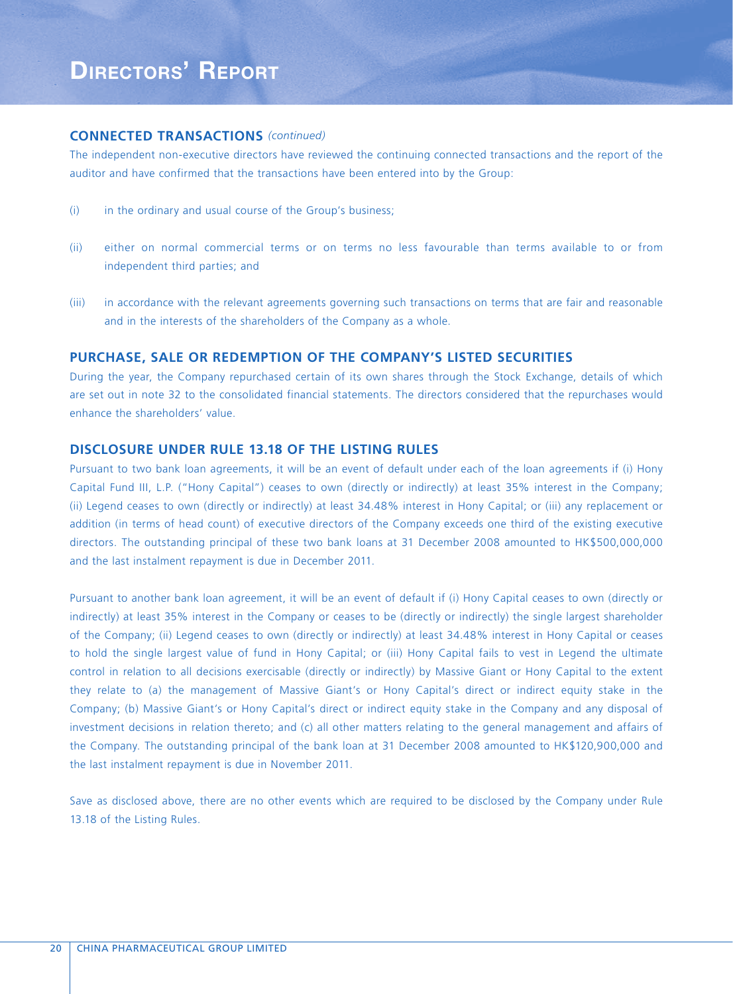### **CONNECTED TRANSACTIONS** *(continued)*

The independent non-executive directors have reviewed the continuing connected transactions and the report of the auditor and have confirmed that the transactions have been entered into by the Group:

- (i) in the ordinary and usual course of the Group's business;
- (ii) either on normal commercial terms or on terms no less favourable than terms available to or from independent third parties; and
- (iii) in accordance with the relevant agreements governing such transactions on terms that are fair and reasonable and in the interests of the shareholders of the Company as a whole.

### **PURCHASE, SALE OR REDEMPTION OF THE COMPANY'S LISTED SECURITIES**

During the year, the Company repurchased certain of its own shares through the Stock Exchange, details of which are set out in note 32 to the consolidated financial statements. The directors considered that the repurchases would enhance the shareholders' value.

### **DISCLOSURE UNDER RULE 13.18 OF THE LISTING RULES**

Pursuant to two bank loan agreements, it will be an event of default under each of the loan agreements if (i) Hony Capital Fund III, L.P. ("Hony Capital") ceases to own (directly or indirectly) at least 35% interest in the Company; (ii) Legend ceases to own (directly or indirectly) at least 34.48% interest in Hony Capital; or (iii) any replacement or addition (in terms of head count) of executive directors of the Company exceeds one third of the existing executive directors. The outstanding principal of these two bank loans at 31 December 2008 amounted to HK\$500,000,000 and the last instalment repayment is due in December 2011.

Pursuant to another bank loan agreement, it will be an event of default if (i) Hony Capital ceases to own (directly or indirectly) at least 35% interest in the Company or ceases to be (directly or indirectly) the single largest shareholder of the Company; (ii) Legend ceases to own (directly or indirectly) at least 34.48% interest in Hony Capital or ceases to hold the single largest value of fund in Hony Capital; or (iii) Hony Capital fails to vest in Legend the ultimate control in relation to all decisions exercisable (directly or indirectly) by Massive Giant or Hony Capital to the extent they relate to (a) the management of Massive Giant's or Hony Capital's direct or indirect equity stake in the Company; (b) Massive Giant's or Hony Capital's direct or indirect equity stake in the Company and any disposal of investment decisions in relation thereto; and (c) all other matters relating to the general management and affairs of the Company. The outstanding principal of the bank loan at 31 December 2008 amounted to HK\$120,900,000 and the last instalment repayment is due in November 2011.

Save as disclosed above, there are no other events which are required to be disclosed by the Company under Rule 13.18 of the Listing Rules.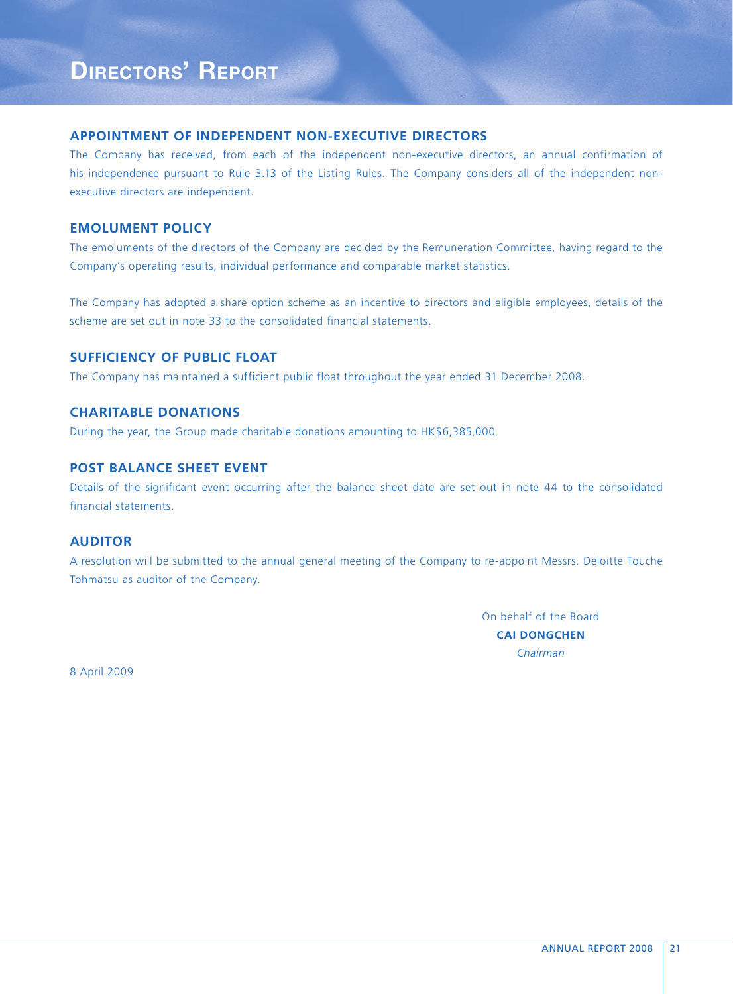### **APPOINTMENT OF INDEPENDENT NON-EXECUTIVE DIRECTORS**

The Company has received, from each of the independent non-executive directors, an annual confirmation of his independence pursuant to Rule 3.13 of the Listing Rules. The Company considers all of the independent nonexecutive directors are independent.

## **EMOLUMENT POLICY**

The emoluments of the directors of the Company are decided by the Remuneration Committee, having regard to the Company's operating results, individual performance and comparable market statistics.

The Company has adopted a share option scheme as an incentive to directors and eligible employees, details of the scheme are set out in note 33 to the consolidated financial statements.

## **SUFFICIENCY OF PUBLIC FLOAT**

The Company has maintained a sufficient public float throughout the year ended 31 December 2008.

## **CHARITABLE DONATIONS**

During the year, the Group made charitable donations amounting to HK\$6,385,000.

## **POST BALANCE SHEET EVENT**

Details of the significant event occurring after the balance sheet date are set out in note 44 to the consolidated financial statements.

## **AUDITOR**

A resolution will be submitted to the annual general meeting of the Company to re-appoint Messrs. Deloitte Touche Tohmatsu as auditor of the Company.

> On behalf of the Board **CAI DONGCHEN** *Chairman*

8 April 2009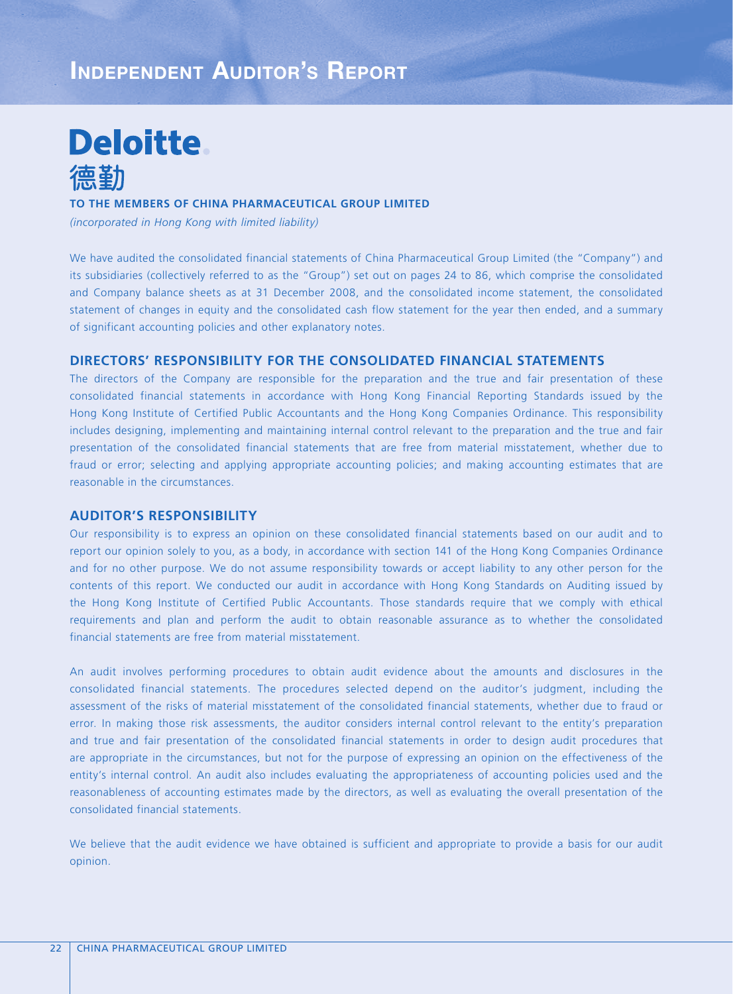

#### **TO THE MEMBERS OF CHINA PHARMACEUTICAL GROUP LIMITED**

*(incorporated in Hong Kong with limited liability)*

We have audited the consolidated financial statements of China Pharmaceutical Group Limited (the "Company") and its subsidiaries (collectively referred to as the "Group") set out on pages 24 to 86, which comprise the consolidated and Company balance sheets as at 31 December 2008, and the consolidated income statement, the consolidated statement of changes in equity and the consolidated cash flow statement for the year then ended, and a summary of significant accounting policies and other explanatory notes.

#### **DIRECTORS' RESPONSIBILITY FOR THE CONSOLIDATED FINANCIAL STATEMENTS**

The directors of the Company are responsible for the preparation and the true and fair presentation of these consolidated financial statements in accordance with Hong Kong Financial Reporting Standards issued by the Hong Kong Institute of Certified Public Accountants and the Hong Kong Companies Ordinance. This responsibility includes designing, implementing and maintaining internal control relevant to the preparation and the true and fair presentation of the consolidated financial statements that are free from material misstatement, whether due to fraud or error; selecting and applying appropriate accounting policies; and making accounting estimates that are reasonable in the circumstances.

### **AUDITOR'S RESPONSIBILITY**

Our responsibility is to express an opinion on these consolidated financial statements based on our audit and to report our opinion solely to you, as a body, in accordance with section 141 of the Hong Kong Companies Ordinance and for no other purpose. We do not assume responsibility towards or accept liability to any other person for the contents of this report. We conducted our audit in accordance with Hong Kong Standards on Auditing issued by the Hong Kong Institute of Certified Public Accountants. Those standards require that we comply with ethical requirements and plan and perform the audit to obtain reasonable assurance as to whether the consolidated financial statements are free from material misstatement.

An audit involves performing procedures to obtain audit evidence about the amounts and disclosures in the consolidated financial statements. The procedures selected depend on the auditor's judgment, including the assessment of the risks of material misstatement of the consolidated financial statements, whether due to fraud or error. In making those risk assessments, the auditor considers internal control relevant to the entity's preparation and true and fair presentation of the consolidated financial statements in order to design audit procedures that are appropriate in the circumstances, but not for the purpose of expressing an opinion on the effectiveness of the entity's internal control. An audit also includes evaluating the appropriateness of accounting policies used and the reasonableness of accounting estimates made by the directors, as well as evaluating the overall presentation of the consolidated financial statements.

We believe that the audit evidence we have obtained is sufficient and appropriate to provide a basis for our audit opinion.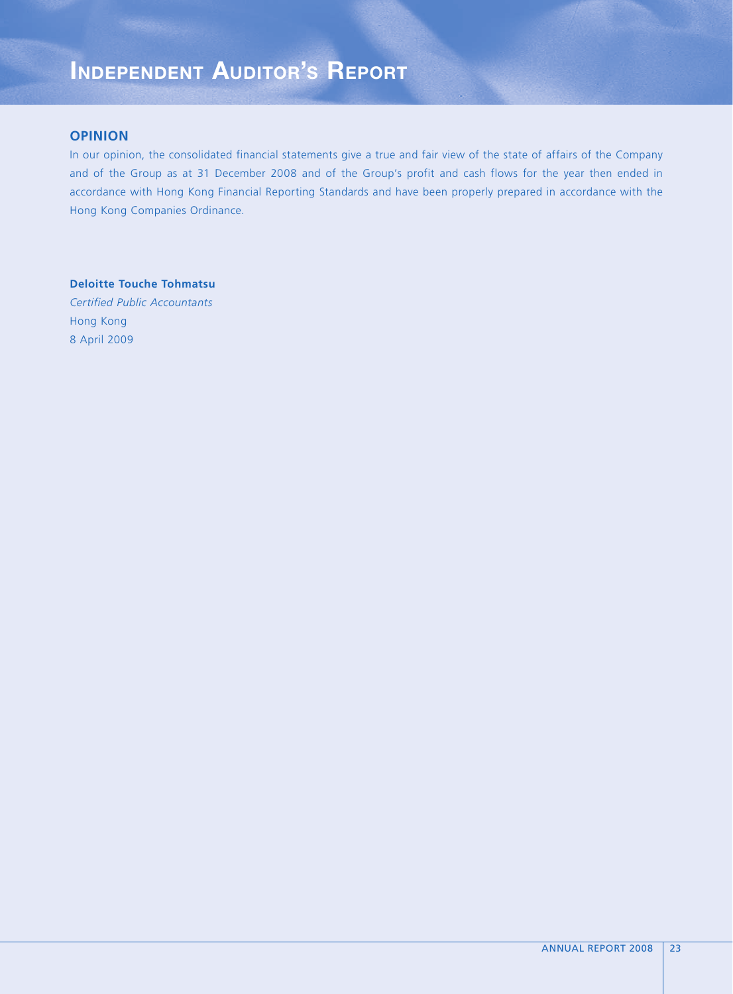# **INDEPENDENT AUDITOR'S REPORT**

### **OPINION**

In our opinion, the consolidated financial statements give a true and fair view of the state of affairs of the Company and of the Group as at 31 December 2008 and of the Group's profit and cash flows for the year then ended in accordance with Hong Kong Financial Reporting Standards and have been properly prepared in accordance with the Hong Kong Companies Ordinance.

**Deloitte Touche Tohmatsu** *Certified Public Accountants* Hong Kong 8 April 2009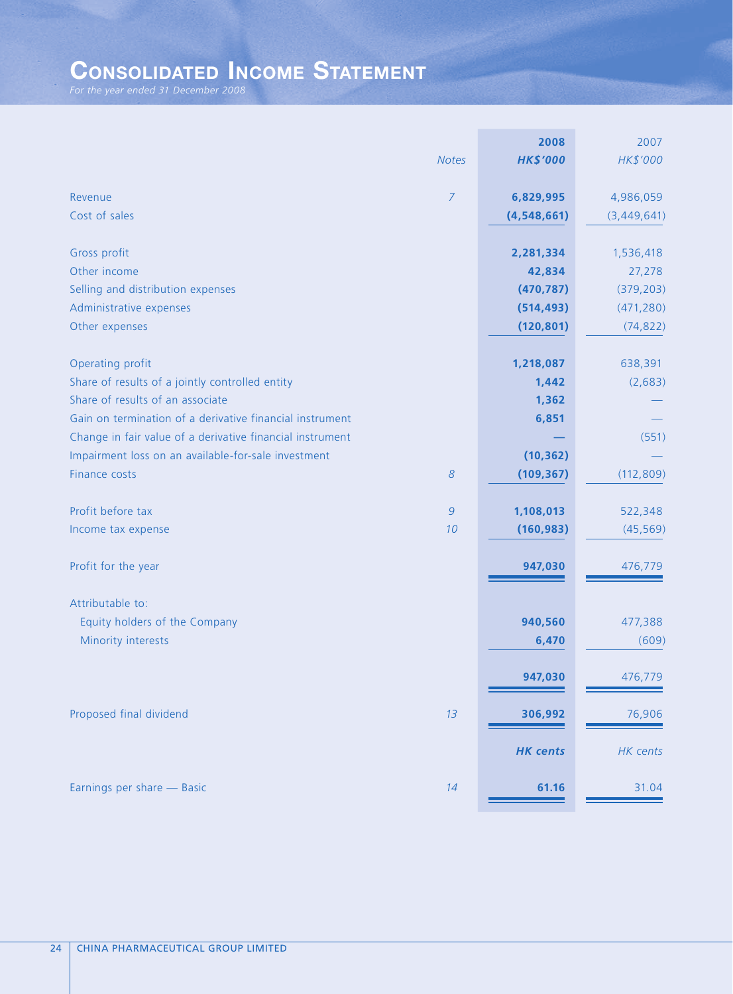# **CONSOLIDATED INCOME STATEMENT**

*For the year ended 31 December 2008*

|                                                           |                | 2008            | 2007        |
|-----------------------------------------------------------|----------------|-----------------|-------------|
|                                                           | <b>Notes</b>   | <b>HK\$'000</b> | HK\$'000    |
|                                                           |                |                 |             |
| Revenue                                                   | $\overline{7}$ | 6,829,995       | 4,986,059   |
| Cost of sales                                             |                | (4,548,661)     | (3,449,641) |
|                                                           |                |                 |             |
| Gross profit                                              |                | 2,281,334       | 1,536,418   |
| Other income                                              |                | 42,834          | 27,278      |
| Selling and distribution expenses                         |                | (470, 787)      | (379, 203)  |
| Administrative expenses                                   |                | (514, 493)      | (471, 280)  |
| Other expenses                                            |                | (120, 801)      | (74, 822)   |
|                                                           |                |                 |             |
| Operating profit                                          |                | 1,218,087       | 638,391     |
| Share of results of a jointly controlled entity           |                | 1,442           | (2,683)     |
| Share of results of an associate                          |                | 1,362           |             |
| Gain on termination of a derivative financial instrument  |                | 6,851           |             |
| Change in fair value of a derivative financial instrument |                |                 | (551)       |
| Impairment loss on an available-for-sale investment       |                | (10, 362)       |             |
| Finance costs                                             | 8              | (109, 367)      | (112, 809)  |
|                                                           |                |                 |             |
| Profit before tax                                         | $\overline{9}$ | 1,108,013       | 522,348     |
| Income tax expense                                        | 10             | (160, 983)      | (45, 569)   |
|                                                           |                |                 |             |
| Profit for the year                                       |                | 947,030         | 476,779     |
|                                                           |                |                 |             |
| Attributable to:                                          |                | 940,560         |             |
| Equity holders of the Company                             |                |                 | 477,388     |
| Minority interests                                        |                | 6,470           | (609)       |
|                                                           |                |                 |             |
|                                                           |                | 947,030         | 476,779     |
| Proposed final dividend                                   | 13             | 306,992         | 76,906      |
|                                                           |                |                 |             |
|                                                           |                | <b>HK</b> cents | HK cents    |
|                                                           |                |                 |             |
| Earnings per share - Basic                                | 14             | 61.16           | 31.04       |
|                                                           |                |                 |             |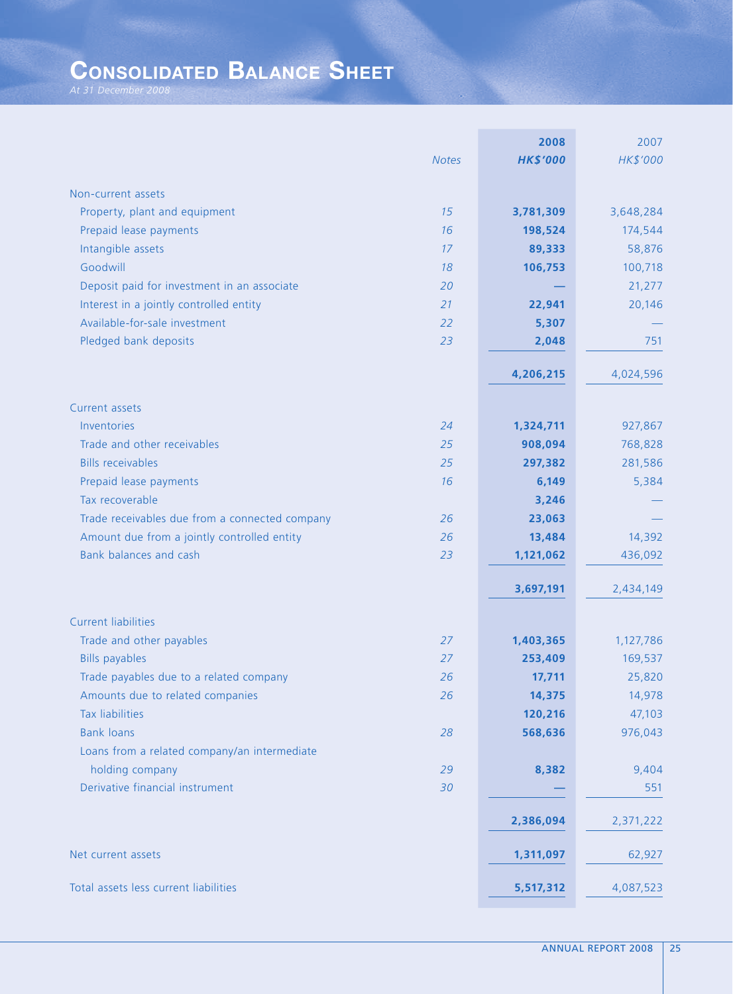# **CONSOLIDATED BALANCE SHEET**

*At 31 December 2008*

|                                                |              | 2008            | 2007      |
|------------------------------------------------|--------------|-----------------|-----------|
|                                                | <b>Notes</b> | <b>HK\$'000</b> | HK\$'000  |
|                                                |              |                 |           |
| Non-current assets                             | 15           |                 |           |
| Property, plant and equipment                  |              | 3,781,309       | 3,648,284 |
| Prepaid lease payments                         | 16           | 198,524         | 174,544   |
| Intangible assets                              | 17           | 89,333          | 58,876    |
| Goodwill                                       | 18           | 106,753         | 100,718   |
| Deposit paid for investment in an associate    | 20           |                 | 21,277    |
| Interest in a jointly controlled entity        | 21           | 22,941          | 20,146    |
| Available-for-sale investment                  | 22           | 5,307           |           |
| Pledged bank deposits                          | 23           | 2,048           | 751       |
|                                                |              | 4,206,215       | 4,024,596 |
| Current assets                                 |              |                 |           |
| Inventories                                    | 24           | 1,324,711       | 927,867   |
| Trade and other receivables                    | 25           | 908,094         | 768,828   |
| <b>Bills receivables</b>                       | 25           | 297,382         | 281,586   |
| Prepaid lease payments                         | 16           | 6,149           | 5,384     |
| Tax recoverable                                |              | 3,246           |           |
| Trade receivables due from a connected company | 26           | 23,063          |           |
| Amount due from a jointly controlled entity    | 26           | 13,484          | 14,392    |
| Bank balances and cash                         | 23           | 1,121,062       | 436,092   |
|                                                |              |                 |           |
|                                                |              | 3,697,191       | 2,434,149 |
| <b>Current liabilities</b>                     |              |                 |           |
| Trade and other payables                       | 27           | 1,403,365       | 1,127,786 |
| <b>Bills payables</b>                          | 27           | 253,409         | 169,537   |
| Trade payables due to a related company        | 26           | 17,711          | 25,820    |
| Amounts due to related companies               | 26           | 14,375          | 14,978    |
| <b>Tax liabilities</b>                         |              | 120,216         | 47,103    |
| <b>Bank loans</b>                              | 28           | 568,636         | 976,043   |
| Loans from a related company/an intermediate   |              |                 |           |
| holding company                                | 29           | 8,382           | 9,404     |
| Derivative financial instrument                | 30           |                 | 551       |
|                                                |              |                 |           |
|                                                |              | 2,386,094       | 2,371,222 |
| Net current assets                             |              | 1,311,097       | 62,927    |
| Total assets less current liabilities          |              | 5,517,312       | 4,087,523 |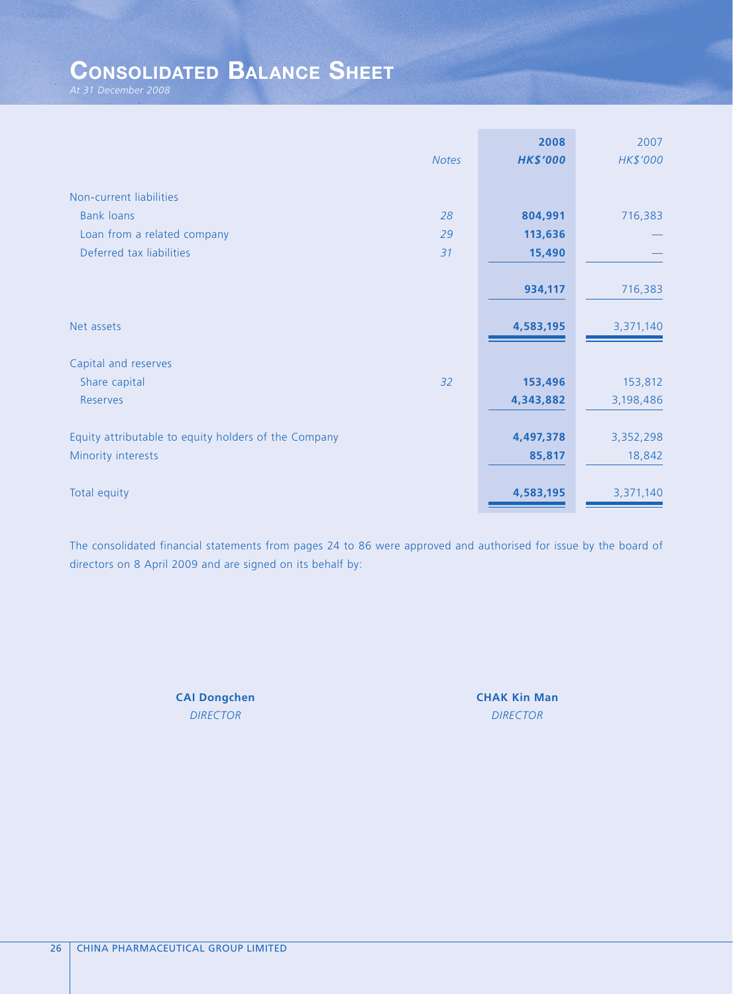# **CONSOLIDATED BALANCE SHEET**

*At 31 December 2008*

|                                                      | 2008            | 2007      |
|------------------------------------------------------|-----------------|-----------|
| <b>Notes</b>                                         | <b>HK\$'000</b> | HK\$'000  |
|                                                      |                 |           |
| Non-current liabilities                              |                 |           |
| <b>Bank loans</b><br>28                              | 804,991         | 716,383   |
| Loan from a related company<br>29                    | 113,636         |           |
| Deferred tax liabilities<br>31                       | 15,490          |           |
|                                                      |                 |           |
|                                                      | 934,117         | 716,383   |
|                                                      |                 |           |
| Net assets                                           | 4,583,195       | 3,371,140 |
|                                                      |                 |           |
| Capital and reserves                                 |                 |           |
| 32<br>Share capital                                  | 153,496         | 153,812   |
| Reserves                                             | 4,343,882       | 3,198,486 |
|                                                      |                 |           |
| Equity attributable to equity holders of the Company | 4,497,378       | 3,352,298 |
| Minority interests                                   | 85,817          | 18,842    |
|                                                      |                 |           |
| Total equity                                         | 4,583,195       | 3,371,140 |
|                                                      |                 |           |

The consolidated financial statements from pages 24 to 86 were approved and authorised for issue by the board of directors on 8 April 2009 and are signed on its behalf by:

**CAI Dongchen CHAK Kin Man**

*DIRECTOR DIRECTOR*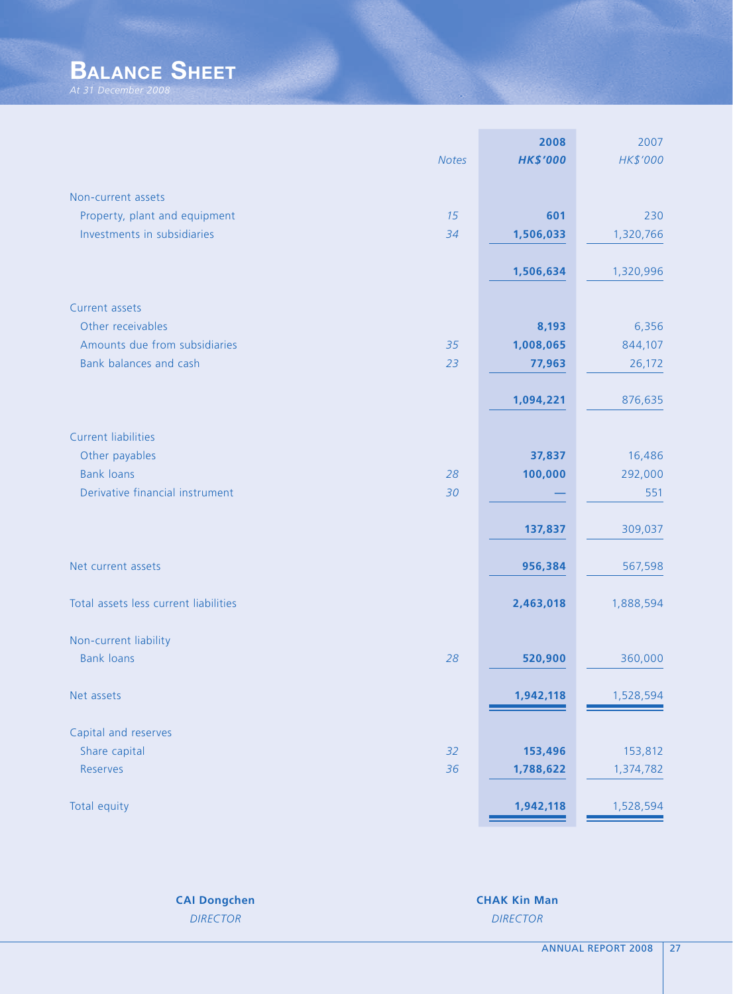|                                                              |              | 2008            | 2007      |
|--------------------------------------------------------------|--------------|-----------------|-----------|
|                                                              | <b>Notes</b> | <b>HK\$'000</b> | HK\$'000  |
|                                                              |              |                 |           |
| Non-current assets                                           |              |                 |           |
| Property, plant and equipment<br>Investments in subsidiaries | 15           | 601             | 230       |
|                                                              | 34           | 1,506,033       | 1,320,766 |
|                                                              |              | 1,506,634       | 1,320,996 |
|                                                              |              |                 |           |
| Current assets                                               |              |                 |           |
| Other receivables                                            |              | 8,193           | 6,356     |
| Amounts due from subsidiaries                                | 35           | 1,008,065       | 844,107   |
| Bank balances and cash                                       | 23           | 77,963          | 26,172    |
|                                                              |              |                 |           |
|                                                              |              | 1,094,221       | 876,635   |
| <b>Current liabilities</b>                                   |              |                 |           |
| Other payables                                               |              | 37,837          | 16,486    |
| <b>Bank loans</b>                                            | 28           | 100,000         | 292,000   |
| Derivative financial instrument                              | 30           |                 | 551       |
|                                                              |              |                 |           |
|                                                              |              | 137,837         | 309,037   |
|                                                              |              |                 |           |
| Net current assets                                           |              | 956,384         | 567,598   |
|                                                              |              |                 |           |
| Total assets less current liabilities                        |              | 2,463,018       | 1,888,594 |
| Non-current liability                                        |              |                 |           |
| <b>Bank loans</b>                                            | 28           | 520,900         | 360,000   |
|                                                              |              |                 |           |
| Net assets                                                   |              | 1,942,118       | 1,528,594 |
|                                                              |              |                 |           |
| Capital and reserves                                         |              |                 |           |
| Share capital                                                | 32           | 153,496         | 153,812   |
| Reserves                                                     | 36           | 1,788,622       | 1,374,782 |
|                                                              |              |                 |           |
| Total equity                                                 |              | 1,942,118       | 1,528,594 |

**CAI Dongchen CHAK Kin Man** *DIRECTOR DIRECTOR*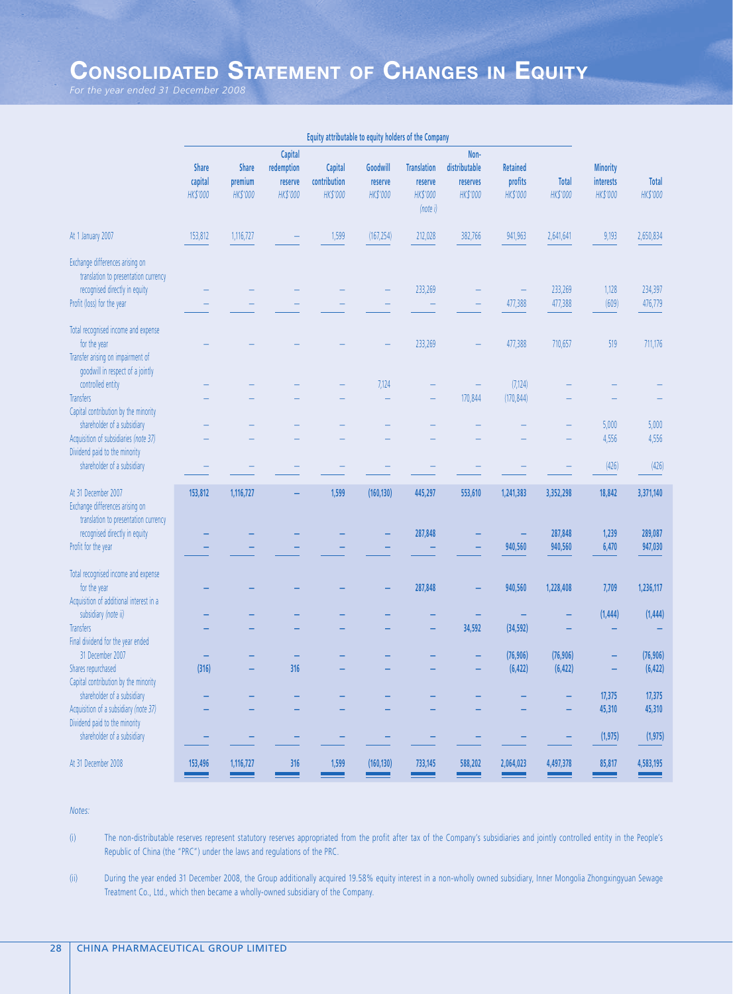# **CONSOLIDATED STATEMENT OF CHANGES IN EQUITY**

*For the year ended 31 December 2008*

|                                                         | Equity attributable to equity holders of the Company |              |                 |              |            |                    |               |                 |              |                 |              |
|---------------------------------------------------------|------------------------------------------------------|--------------|-----------------|--------------|------------|--------------------|---------------|-----------------|--------------|-----------------|--------------|
|                                                         |                                                      |              | Capital         |              |            |                    | Non-          |                 |              |                 |              |
|                                                         | <b>Share</b>                                         | <b>Share</b> | redemption      | Capital      | Goodwill   | <b>Translation</b> | distributable | <b>Retained</b> |              | <b>Minority</b> |              |
|                                                         | capital                                              | premium      | reserve         | contribution | reserve    | reserve            | reserves      | profits         | <b>Total</b> | interests       | <b>Total</b> |
|                                                         | HK\$'000                                             | HK\$'000     | <b>HK\$'000</b> | HK\$'000     | HK\$'000   | <b>HK\$'000</b>    | HK\$'000      | <b>HK\$'000</b> | HK\$'000     | HK\$'000        | HK\$'000     |
|                                                         |                                                      |              |                 |              |            | (note i)           |               |                 |              |                 |              |
| At 1 January 2007                                       | 153,812                                              | 1,116,727    |                 | 1,599        | (167, 254) | 212,028            | 382,766       | 941,963         | 2,641,641    | 9,193           | 2,650,834    |
|                                                         |                                                      |              |                 |              |            |                    |               |                 |              |                 |              |
| Exchange differences arising on                         |                                                      |              |                 |              |            |                    |               |                 |              |                 |              |
| translation to presentation currency                    |                                                      |              |                 |              |            |                    |               |                 |              |                 |              |
| recognised directly in equity                           |                                                      |              |                 |              |            | 233,269            |               |                 | 233,269      | 1,128           | 234,397      |
| Profit (loss) for the year                              |                                                      |              |                 |              |            |                    |               | 477,388         | 477,388      | (609)           | 476,779      |
| Total recognised income and expense                     |                                                      |              |                 |              |            |                    |               |                 |              |                 |              |
| for the year                                            |                                                      |              |                 |              |            | 233,269            |               | 477,388         | 710,657      | 519             | 711,176      |
| Transfer arising on impairment of                       |                                                      |              |                 |              |            |                    |               |                 |              |                 |              |
| goodwill in respect of a jointly                        |                                                      |              |                 |              |            |                    |               |                 |              |                 |              |
| controlled entity                                       |                                                      |              |                 |              | 7,124      |                    | -             | (7, 124)        |              |                 |              |
| <b>Transfers</b>                                        |                                                      |              |                 |              |            |                    | 170,844       | (170, 844)      |              |                 |              |
| Capital contribution by the minority                    |                                                      |              |                 |              |            |                    |               |                 |              |                 |              |
| shareholder of a subsidiary                             |                                                      |              |                 |              |            |                    |               |                 |              | 5,000           | 5,000        |
| Acquisition of subsidiaries (note 37)                   |                                                      |              |                 |              |            |                    |               |                 |              | 4,556           | 4,556        |
| Dividend paid to the minority                           |                                                      |              |                 |              |            |                    |               |                 |              |                 |              |
| shareholder of a subsidiary                             |                                                      |              |                 |              |            |                    |               |                 |              | (426)           | (426)        |
| At 31 December 2007                                     | 153,812                                              | 1,116,727    |                 | 1,599        | (160, 130) | 445,297            | 553,610       | 1,241,383       | 3,352,298    | 18,842          | 3,371,140    |
| Exchange differences arising on                         |                                                      |              |                 |              |            |                    |               |                 |              |                 |              |
| translation to presentation currency                    |                                                      |              |                 |              |            |                    |               |                 |              |                 |              |
| recognised directly in equity                           |                                                      |              |                 |              |            | 287,848            |               |                 | 287,848      | 1,239           | 289,087      |
| Profit for the year                                     |                                                      |              |                 |              |            |                    |               | 940,560         | 940,560      | 6,470           | 947,030      |
|                                                         |                                                      |              |                 |              |            |                    |               |                 |              |                 |              |
| Total recognised income and expense                     |                                                      |              |                 |              |            |                    |               |                 |              |                 |              |
| for the year<br>Acquisition of additional interest in a |                                                      |              |                 |              |            | 287,848            |               | 940,560         | 1,228,408    | 7,709           | 1,236,117    |
| subsidiary (note ii)                                    |                                                      |              |                 |              |            |                    |               |                 |              | (1, 444)        | (1, 444)     |
| <b>Transfers</b>                                        |                                                      |              |                 |              |            |                    | 34,592        | (34, 592)       |              |                 |              |
| Final dividend for the year ended                       |                                                      |              |                 |              |            |                    |               |                 |              |                 |              |
| 31 December 2007                                        |                                                      |              |                 |              |            |                    |               | (76, 906)       | (76, 906)    |                 | (76, 906)    |
| Shares repurchased                                      | (316)                                                |              | 316             |              |            |                    |               | (6, 422)        | (6, 422)     |                 | (6, 422)     |
| Capital contribution by the minority                    |                                                      |              |                 |              |            |                    |               |                 |              |                 |              |
| shareholder of a subsidiary                             |                                                      |              |                 |              |            |                    |               |                 |              | 17,375          | 17,375       |
| Acquisition of a subsidiary (note 37)                   |                                                      |              |                 |              |            |                    |               |                 |              | 45,310          | 45,310       |
| Dividend paid to the minority                           |                                                      |              |                 |              |            |                    |               |                 |              |                 |              |
| shareholder of a subsidiary                             |                                                      |              |                 |              |            |                    |               |                 |              | (1, 975)        | (1, 975)     |
| At 31 December 2008                                     | 153,496                                              | 1,116,727    | 316             | 1,599        | (160, 130) | 733,145            | 588,202       | 2,064,023       | 4,497,378    | 85,817          | 4,583,195    |

*Notes:*

(i) The non-distributable reserves represent statutory reserves appropriated from the profit after tax of the Company's subsidiaries and jointly controlled entity in the People's Republic of China (the "PRC") under the laws and regulations of the PRC.

(ii) During the year ended 31 December 2008, the Group additionally acquired 19.58% equity interest in a non-wholly owned subsidiary, Inner Mongolia Zhongxingyuan Sewage Treatment Co., Ltd., which then became a wholly-owned subsidiary of the Company.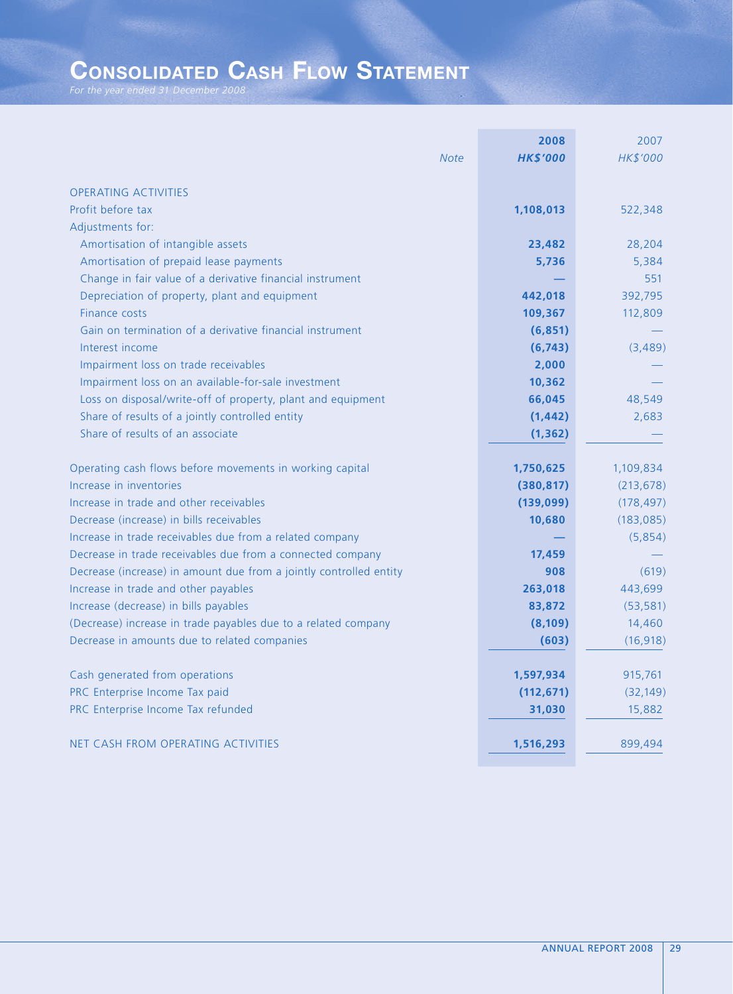# **CONSOLIDATED CASH FLOW STATEMENT**

*For the year ended 31 December 2008*

|                                                                    | 2008            | 2007       |
|--------------------------------------------------------------------|-----------------|------------|
| <b>Note</b>                                                        | <b>HK\$'000</b> | HK\$'000   |
|                                                                    |                 |            |
| <b>OPERATING ACTIVITIES</b>                                        |                 |            |
| Profit before tax                                                  | 1,108,013       | 522,348    |
| Adjustments for:                                                   |                 |            |
| Amortisation of intangible assets                                  | 23,482          | 28,204     |
| Amortisation of prepaid lease payments                             | 5,736           | 5,384      |
| Change in fair value of a derivative financial instrument          |                 | 551        |
| Depreciation of property, plant and equipment                      | 442,018         | 392,795    |
| Finance costs                                                      | 109,367         | 112,809    |
| Gain on termination of a derivative financial instrument           | (6, 851)        |            |
| Interest income                                                    | (6, 743)        | (3,489)    |
| Impairment loss on trade receivables                               | 2,000           |            |
| Impairment loss on an available-for-sale investment                | 10,362          |            |
| Loss on disposal/write-off of property, plant and equipment        | 66,045          | 48,549     |
| Share of results of a jointly controlled entity                    | (1, 442)        | 2,683      |
| Share of results of an associate                                   | (1, 362)        |            |
|                                                                    |                 |            |
| Operating cash flows before movements in working capital           | 1,750,625       | 1,109,834  |
| Increase in inventories                                            | (380, 817)      | (213, 678) |
| Increase in trade and other receivables                            | (139,099)       | (178, 497) |
| Decrease (increase) in bills receivables                           | 10,680          | (183, 085) |
| Increase in trade receivables due from a related company           |                 | (5,854)    |
| Decrease in trade receivables due from a connected company         | 17,459          |            |
| Decrease (increase) in amount due from a jointly controlled entity | 908             | (619)      |
| Increase in trade and other payables                               | 263,018         | 443,699    |
| Increase (decrease) in bills payables                              | 83,872          | (53, 581)  |
| (Decrease) increase in trade payables due to a related company     | (8, 109)        | 14,460     |
| Decrease in amounts due to related companies                       | (603)           | (16, 918)  |
|                                                                    |                 |            |
| Cash generated from operations                                     | 1,597,934       | 915,761    |
| PRC Enterprise Income Tax paid                                     | (112, 671)      | (32, 149)  |
| PRC Enterprise Income Tax refunded                                 | 31,030          | 15,882     |
| NET CASH FROM OPERATING ACTIVITIES                                 | 1,516,293       | 899,494    |
|                                                                    |                 |            |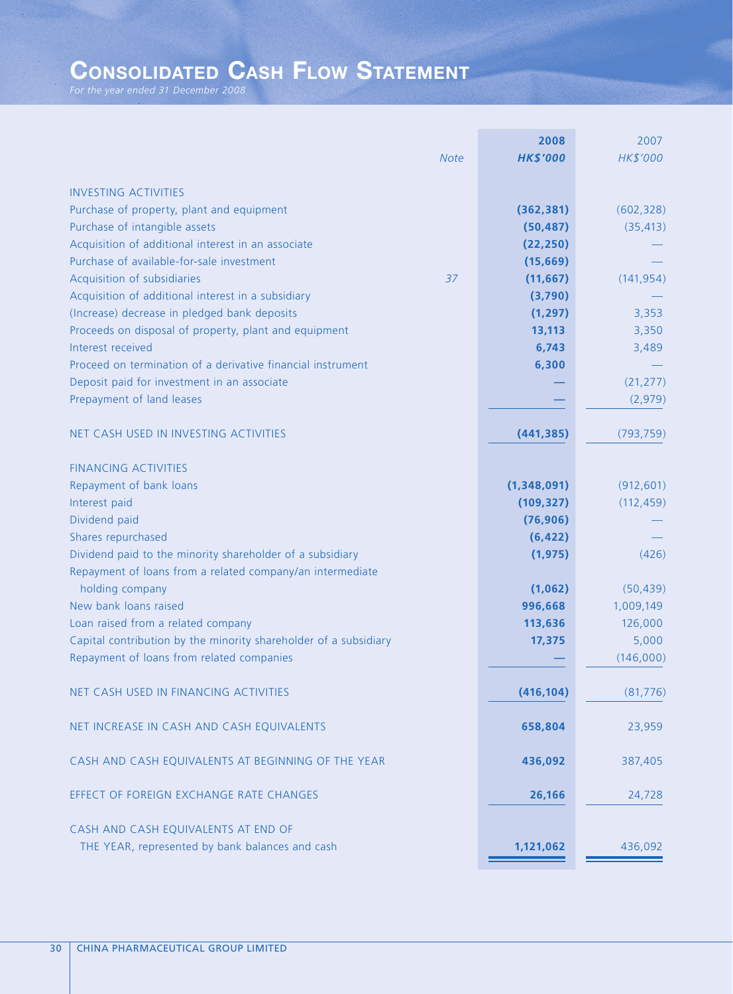# **CONSOLIDATED CASH FLOW STATEMENT**

*For the year ended 31 December 2008*

|                                                                              | 2008            | 2007       |
|------------------------------------------------------------------------------|-----------------|------------|
| <b>Note</b>                                                                  | <b>HK\$'000</b> | HK\$'000   |
|                                                                              |                 |            |
| <b>INVESTING ACTIVITIES</b>                                                  |                 |            |
| Purchase of property, plant and equipment                                    | (362, 381)      | (602, 328) |
| Purchase of intangible assets                                                | (50, 487)       | (35, 413)  |
| Acquisition of additional interest in an associate                           | (22, 250)       |            |
| Purchase of available-for-sale investment                                    | (15,669)        |            |
| Acquisition of subsidiaries<br>37                                            | (11, 667)       | (141, 954) |
| Acquisition of additional interest in a subsidiary                           | (3,790)         |            |
| (Increase) decrease in pledged bank deposits                                 | (1, 297)        | 3,353      |
| Proceeds on disposal of property, plant and equipment                        | 13,113          | 3,350      |
| Interest received                                                            | 6,743           | 3,489      |
| Proceed on termination of a derivative financial instrument                  | 6,300           |            |
| Deposit paid for investment in an associate                                  |                 | (21, 277)  |
| Prepayment of land leases                                                    |                 | (2,979)    |
|                                                                              |                 |            |
| NET CASH USED IN INVESTING ACTIVITIES                                        | (441, 385)      | (793, 759) |
|                                                                              |                 |            |
| <b>FINANCING ACTIVITIES</b>                                                  |                 |            |
| Repayment of bank loans                                                      | (1,348,091)     | (912, 601) |
| Interest paid                                                                | (109, 327)      | (112, 459) |
| Dividend paid                                                                | (76, 906)       |            |
| Shares repurchased                                                           | (6, 422)        |            |
| Dividend paid to the minority shareholder of a subsidiary                    | (1, 975)        | (426)      |
| Repayment of loans from a related company/an intermediate<br>holding company | (1,062)         | (50, 439)  |
| New bank loans raised                                                        | 996,668         | 1,009,149  |
| Loan raised from a related company                                           | 113,636         | 126,000    |
| Capital contribution by the minority shareholder of a subsidiary             | 17,375          | 5,000      |
| Repayment of loans from related companies                                    |                 | (146,000)  |
|                                                                              |                 |            |
| NET CASH USED IN FINANCING ACTIVITIES                                        | (416, 104)      | (81, 776)  |
|                                                                              |                 |            |
| NET INCREASE IN CASH AND CASH EQUIVALENTS                                    | 658,804         | 23,959     |
|                                                                              |                 |            |
| CASH AND CASH EQUIVALENTS AT BEGINNING OF THE YEAR                           | 436,092         | 387,405    |
|                                                                              |                 |            |
| EFFECT OF FOREIGN EXCHANGE RATE CHANGES                                      | 26,166          | 24,728     |
| CASH AND CASH EQUIVALENTS AT END OF                                          |                 |            |
| THE YEAR, represented by bank balances and cash                              | 1,121,062       | 436,092    |
|                                                                              |                 |            |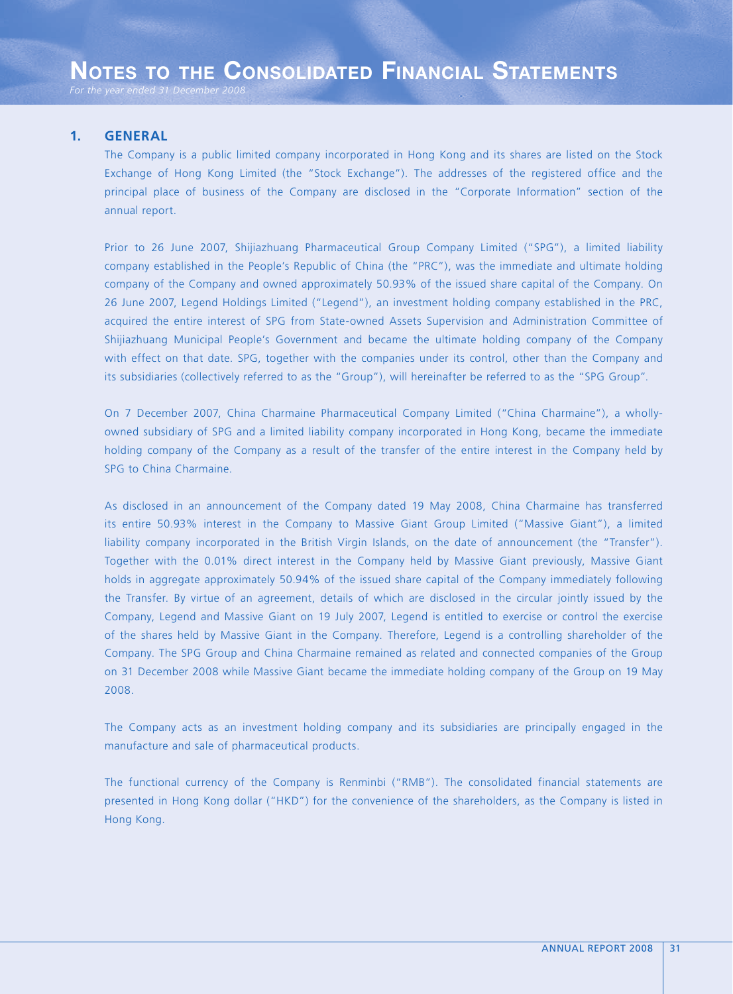### **1. GENERAL**

The Company is a public limited company incorporated in Hong Kong and its shares are listed on the Stock Exchange of Hong Kong Limited (the "Stock Exchange"). The addresses of the registered office and the principal place of business of the Company are disclosed in the "Corporate Information" section of the annual report.

Prior to 26 June 2007, Shijiazhuang Pharmaceutical Group Company Limited ("SPG"), a limited liability company established in the People's Republic of China (the "PRC"), was the immediate and ultimate holding company of the Company and owned approximately 50.93% of the issued share capital of the Company. On 26 June 2007, Legend Holdings Limited ("Legend"), an investment holding company established in the PRC, acquired the entire interest of SPG from State-owned Assets Supervision and Administration Committee of Shijiazhuang Municipal People's Government and became the ultimate holding company of the Company with effect on that date. SPG, together with the companies under its control, other than the Company and its subsidiaries (collectively referred to as the "Group"), will hereinafter be referred to as the "SPG Group".

On 7 December 2007, China Charmaine Pharmaceutical Company Limited ("China Charmaine"), a whollyowned subsidiary of SPG and a limited liability company incorporated in Hong Kong, became the immediate holding company of the Company as a result of the transfer of the entire interest in the Company held by SPG to China Charmaine.

As disclosed in an announcement of the Company dated 19 May 2008, China Charmaine has transferred its entire 50.93% interest in the Company to Massive Giant Group Limited ("Massive Giant"), a limited liability company incorporated in the British Virgin Islands, on the date of announcement (the "Transfer"). Together with the 0.01% direct interest in the Company held by Massive Giant previously, Massive Giant holds in aggregate approximately 50.94% of the issued share capital of the Company immediately following the Transfer. By virtue of an agreement, details of which are disclosed in the circular jointly issued by the Company, Legend and Massive Giant on 19 July 2007, Legend is entitled to exercise or control the exercise of the shares held by Massive Giant in the Company. Therefore, Legend is a controlling shareholder of the Company. The SPG Group and China Charmaine remained as related and connected companies of the Group on 31 December 2008 while Massive Giant became the immediate holding company of the Group on 19 May 2008.

The Company acts as an investment holding company and its subsidiaries are principally engaged in the manufacture and sale of pharmaceutical products.

The functional currency of the Company is Renminbi ("RMB"). The consolidated financial statements are presented in Hong Kong dollar ("HKD") for the convenience of the shareholders, as the Company is listed in Hong Kong.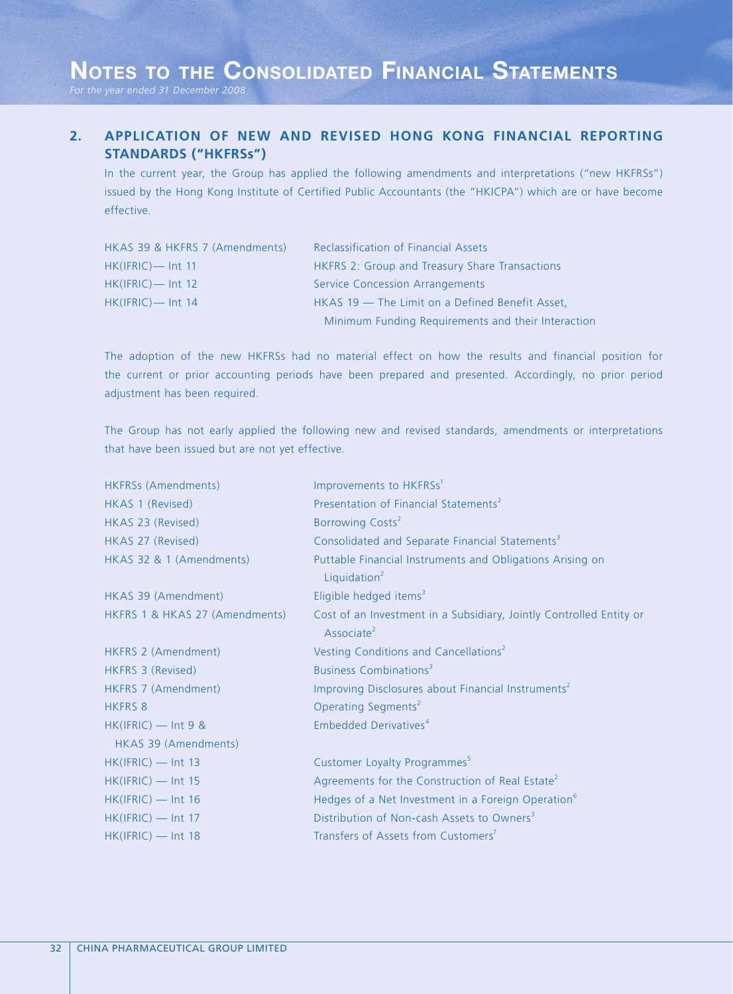# **NOTES TO THE CONSOLIDATED FINANCIAL STATEMENTS**

## **2. APPLICATION OF NEW AND REVISED HONG KONG FINANCIAL REPORTING STANDARDS ("HKFRSs")**

In the current year, the Group has applied the following amendments and interpretations ("new HKFRSs") issued by the Hong Kong Institute of Certified Public Accountants (the "HKICPA") which are or have become effective.

| HKAS 39 & HKFRS 7 (Amendments) | <b>Reclassification of Financial Assets</b>        |
|--------------------------------|----------------------------------------------------|
| HK(IFRIC) — Int 11             | HKFRS 2: Group and Treasury Share Transactions     |
| $HK(IFRIC)$ — Int 12           | <b>Service Concession Arrangements</b>             |
| $HK(IFRIC)$ — Int 14           | HKAS 19 - The Limit on a Defined Benefit Asset.    |
|                                | Minimum Funding Requirements and their Interaction |

The adoption of the new HKFRSs had no material effect on how the results and financial position for the current or prior accounting periods have been prepared and presented. Accordingly, no prior period adjustment has been required.

The Group has not early applied the following new and revised standards, amendments or interpretations that have been issued but are not yet effective.

| HKFRSs (Amendments)            | Improvements to HKFRSs <sup>1</sup>                                                           |
|--------------------------------|-----------------------------------------------------------------------------------------------|
| HKAS 1 (Revised)               | Presentation of Financial Statements <sup>2</sup>                                             |
| HKAS 23 (Revised)              | Borrowing Costs <sup>2</sup>                                                                  |
| HKAS 27 (Revised)              | Consolidated and Separate Financial Statements <sup>3</sup>                                   |
| HKAS 32 & 1 (Amendments)       | Puttable Financial Instruments and Obligations Arising on<br>Liquidation <sup>2</sup>         |
| HKAS 39 (Amendment)            | Eligible hedged items <sup>3</sup>                                                            |
| HKFRS 1 & HKAS 27 (Amendments) | Cost of an Investment in a Subsidiary, Jointly Controlled Entity or<br>Associate <sup>2</sup> |
| HKFRS 2 (Amendment)            | Vesting Conditions and Cancellations <sup>2</sup>                                             |
| HKFRS 3 (Revised)              | Business Combinations <sup>3</sup>                                                            |
| HKFRS 7 (Amendment)            | Improving Disclosures about Financial Instruments <sup>2</sup>                                |
| <b>HKFRS 8</b>                 | Operating Segments <sup>2</sup>                                                               |
| $HK(IFRIC)$ - Int 9 &          | Embedded Derivatives <sup>4</sup>                                                             |
| HKAS 39 (Amendments)           |                                                                                               |
| $HK(IFRIC)$ - Int 13           | Customer Loyalty Programmes <sup>5</sup>                                                      |
| $HK(IFRIC)$ — Int 15           | Agreements for the Construction of Real Estate <sup>2</sup>                                   |
| $HK(IFRIC)$ - Int 16           | Hedges of a Net Investment in a Foreign Operation <sup>6</sup>                                |
| $HK(IFRIC)$ — Int 17           | Distribution of Non-cash Assets to Owners <sup>3</sup>                                        |
| $HK(IFRIC)$ — Int 18           | Transfers of Assets from Customers'                                                           |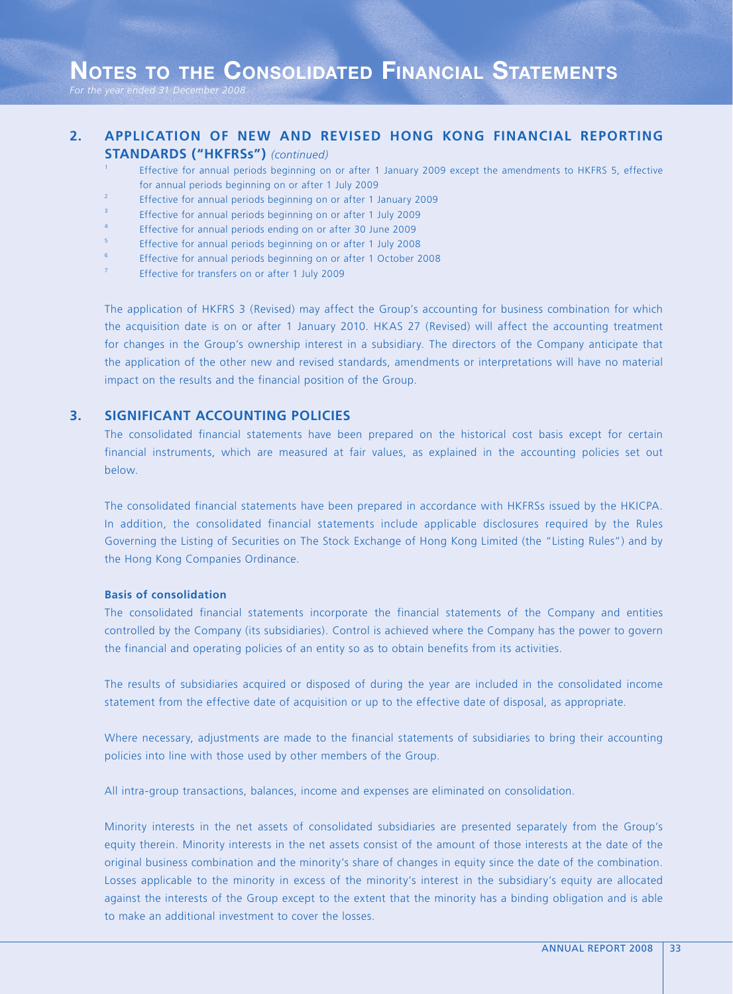# **NOTES TO THE CONSOLIDATED FINANCIAL STATEMENTS**

## **2. APPLICATION OF NEW AND REVISED HONG KONG FINANCIAL REPORTING STANDARDS ("HKFRSs")** *(continued)*

- 1 Effective for annual periods beginning on or after 1 January 2009 except the amendments to HKFRS 5, effective for annual periods beginning on or after 1 July 2009
- $\overline{2}$ Effective for annual periods beginning on or after 1 January 2009
- 3 Effective for annual periods beginning on or after 1 July 2009
- 4 Effective for annual periods ending on or after 30 June 2009
- 5 Effective for annual periods beginning on or after 1 July 2008
- 6 Effective for annual periods beginning on or after 1 October 2008
- 7 Effective for transfers on or after 1 July 2009

The application of HKFRS 3 (Revised) may affect the Group's accounting for business combination for which the acquisition date is on or after 1 January 2010. HKAS 27 (Revised) will affect the accounting treatment for changes in the Group's ownership interest in a subsidiary. The directors of the Company anticipate that the application of the other new and revised standards, amendments or interpretations will have no material impact on the results and the financial position of the Group.

## **3. SIGNIFICANT ACCOUNTING POLICIES**

The consolidated financial statements have been prepared on the historical cost basis except for certain financial instruments, which are measured at fair values, as explained in the accounting policies set out below.

The consolidated financial statements have been prepared in accordance with HKFRSs issued by the HKICPA. In addition, the consolidated financial statements include applicable disclosures required by the Rules Governing the Listing of Securities on The Stock Exchange of Hong Kong Limited (the "Listing Rules") and by the Hong Kong Companies Ordinance.

### **Basis of consolidation**

The consolidated financial statements incorporate the financial statements of the Company and entities controlled by the Company (its subsidiaries). Control is achieved where the Company has the power to govern the financial and operating policies of an entity so as to obtain benefits from its activities.

The results of subsidiaries acquired or disposed of during the year are included in the consolidated income statement from the effective date of acquisition or up to the effective date of disposal, as appropriate.

Where necessary, adjustments are made to the financial statements of subsidiaries to bring their accounting policies into line with those used by other members of the Group.

All intra-group transactions, balances, income and expenses are eliminated on consolidation.

Minority interests in the net assets of consolidated subsidiaries are presented separately from the Group's equity therein. Minority interests in the net assets consist of the amount of those interests at the date of the original business combination and the minority's share of changes in equity since the date of the combination. Losses applicable to the minority in excess of the minority's interest in the subsidiary's equity are allocated against the interests of the Group except to the extent that the minority has a binding obligation and is able to make an additional investment to cover the losses.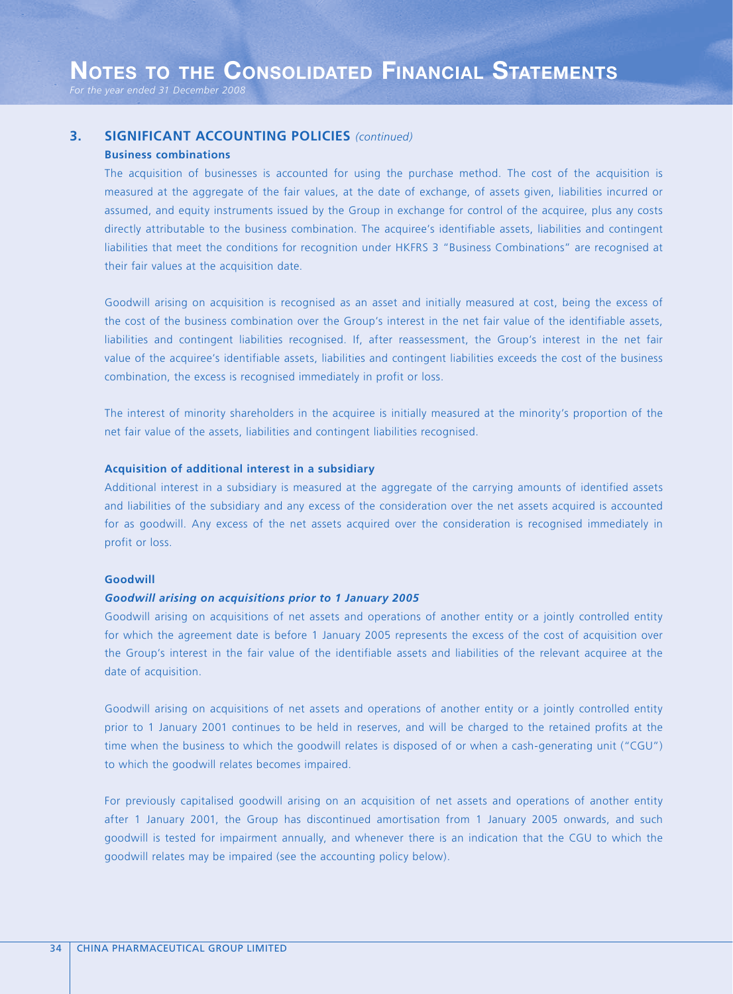### **3. SIGNIFICANT ACCOUNTING POLICIES** *(continued)*

#### **Business combinations**

The acquisition of businesses is accounted for using the purchase method. The cost of the acquisition is measured at the aggregate of the fair values, at the date of exchange, of assets given, liabilities incurred or assumed, and equity instruments issued by the Group in exchange for control of the acquiree, plus any costs directly attributable to the business combination. The acquiree's identifiable assets, liabilities and contingent liabilities that meet the conditions for recognition under HKFRS 3 "Business Combinations" are recognised at their fair values at the acquisition date.

Goodwill arising on acquisition is recognised as an asset and initially measured at cost, being the excess of the cost of the business combination over the Group's interest in the net fair value of the identifiable assets, liabilities and contingent liabilities recognised. If, after reassessment, the Group's interest in the net fair value of the acquiree's identifiable assets, liabilities and contingent liabilities exceeds the cost of the business combination, the excess is recognised immediately in profit or loss.

The interest of minority shareholders in the acquiree is initially measured at the minority's proportion of the net fair value of the assets, liabilities and contingent liabilities recognised.

#### **Acquisition of additional interest in a subsidiary**

Additional interest in a subsidiary is measured at the aggregate of the carrying amounts of identified assets and liabilities of the subsidiary and any excess of the consideration over the net assets acquired is accounted for as goodwill. Any excess of the net assets acquired over the consideration is recognised immediately in profit or loss.

#### **Goodwill**

#### *Goodwill arising on acquisitions prior to 1 January 2005*

Goodwill arising on acquisitions of net assets and operations of another entity or a jointly controlled entity for which the agreement date is before 1 January 2005 represents the excess of the cost of acquisition over the Group's interest in the fair value of the identifiable assets and liabilities of the relevant acquiree at the date of acquisition.

Goodwill arising on acquisitions of net assets and operations of another entity or a jointly controlled entity prior to 1 January 2001 continues to be held in reserves, and will be charged to the retained profits at the time when the business to which the goodwill relates is disposed of or when a cash-generating unit ("CGU") to which the goodwill relates becomes impaired.

For previously capitalised goodwill arising on an acquisition of net assets and operations of another entity after 1 January 2001, the Group has discontinued amortisation from 1 January 2005 onwards, and such goodwill is tested for impairment annually, and whenever there is an indication that the CGU to which the goodwill relates may be impaired (see the accounting policy below).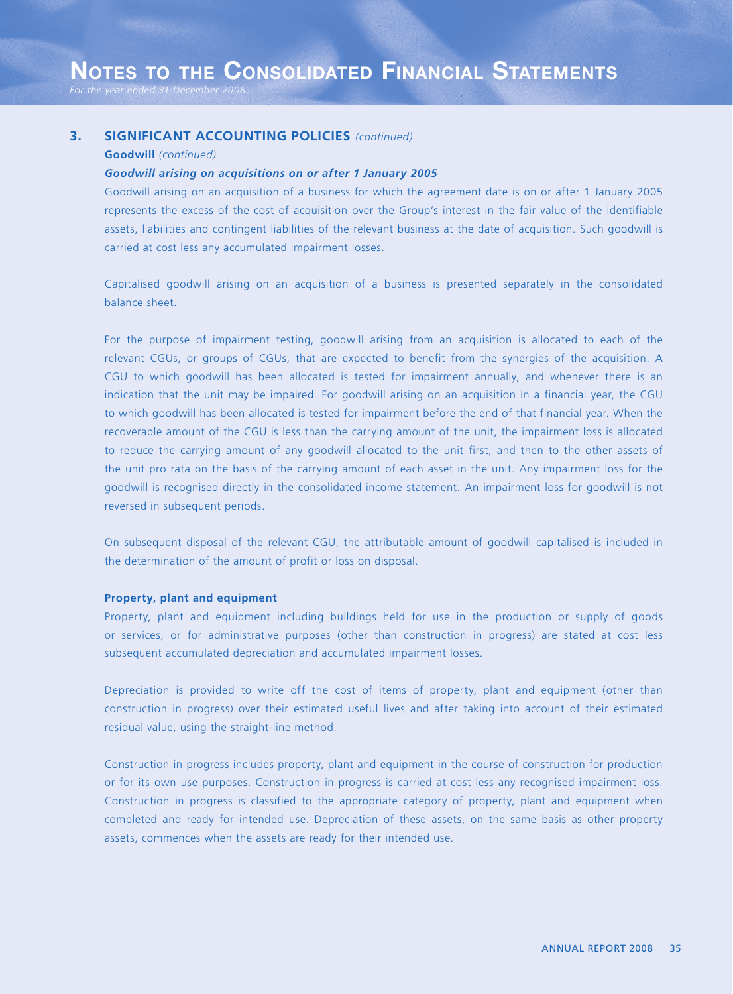## **3. SIGNIFICANT ACCOUNTING POLICIES** *(continued)*

#### **Goodwill** *(continued)*

### *Goodwill arising on acquisitions on or after 1 January 2005*

Goodwill arising on an acquisition of a business for which the agreement date is on or after 1 January 2005 represents the excess of the cost of acquisition over the Group's interest in the fair value of the identifiable assets, liabilities and contingent liabilities of the relevant business at the date of acquisition. Such goodwill is carried at cost less any accumulated impairment losses.

Capitalised goodwill arising on an acquisition of a business is presented separately in the consolidated balance sheet.

For the purpose of impairment testing, goodwill arising from an acquisition is allocated to each of the relevant CGUs, or groups of CGUs, that are expected to benefit from the synergies of the acquisition. A CGU to which goodwill has been allocated is tested for impairment annually, and whenever there is an indication that the unit may be impaired. For goodwill arising on an acquisition in a financial year, the CGU to which goodwill has been allocated is tested for impairment before the end of that financial year. When the recoverable amount of the CGU is less than the carrying amount of the unit, the impairment loss is allocated to reduce the carrying amount of any goodwill allocated to the unit first, and then to the other assets of the unit pro rata on the basis of the carrying amount of each asset in the unit. Any impairment loss for the goodwill is recognised directly in the consolidated income statement. An impairment loss for goodwill is not reversed in subsequent periods.

On subsequent disposal of the relevant CGU, the attributable amount of goodwill capitalised is included in the determination of the amount of profit or loss on disposal.

#### **Property, plant and equipment**

Property, plant and equipment including buildings held for use in the production or supply of goods or services, or for administrative purposes (other than construction in progress) are stated at cost less subsequent accumulated depreciation and accumulated impairment losses.

Depreciation is provided to write off the cost of items of property, plant and equipment (other than construction in progress) over their estimated useful lives and after taking into account of their estimated residual value, using the straight-line method.

Construction in progress includes property, plant and equipment in the course of construction for production or for its own use purposes. Construction in progress is carried at cost less any recognised impairment loss. Construction in progress is classified to the appropriate category of property, plant and equipment when completed and ready for intended use. Depreciation of these assets, on the same basis as other property assets, commences when the assets are ready for their intended use.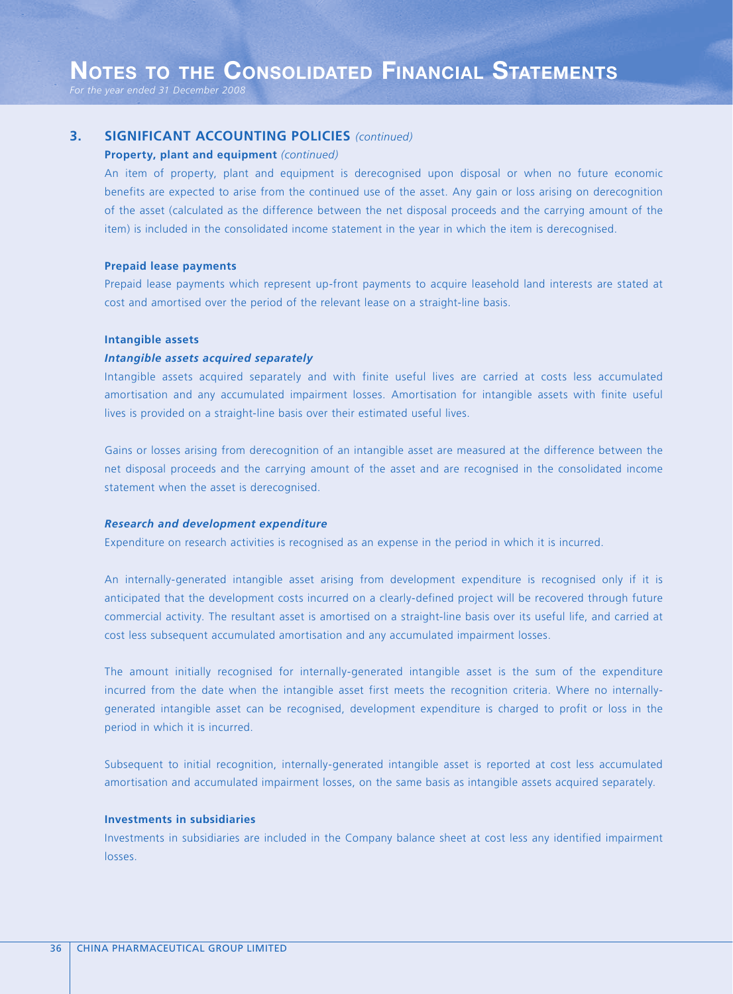#### **Property, plant and equipment** *(continued)*

An item of property, plant and equipment is derecognised upon disposal or when no future economic benefits are expected to arise from the continued use of the asset. Any gain or loss arising on derecognition of the asset (calculated as the difference between the net disposal proceeds and the carrying amount of the item) is included in the consolidated income statement in the year in which the item is derecognised.

#### **Prepaid lease payments**

Prepaid lease payments which represent up-front payments to acquire leasehold land interests are stated at cost and amortised over the period of the relevant lease on a straight-line basis.

#### **Intangible assets**

## *Intangible assets acquired separately*

Intangible assets acquired separately and with finite useful lives are carried at costs less accumulated amortisation and any accumulated impairment losses. Amortisation for intangible assets with finite useful lives is provided on a straight-line basis over their estimated useful lives.

Gains or losses arising from derecognition of an intangible asset are measured at the difference between the net disposal proceeds and the carrying amount of the asset and are recognised in the consolidated income statement when the asset is derecognised.

#### *Research and development expenditure*

Expenditure on research activities is recognised as an expense in the period in which it is incurred.

An internally-generated intangible asset arising from development expenditure is recognised only if it is anticipated that the development costs incurred on a clearly-defined project will be recovered through future commercial activity. The resultant asset is amortised on a straight-line basis over its useful life, and carried at cost less subsequent accumulated amortisation and any accumulated impairment losses.

The amount initially recognised for internally-generated intangible asset is the sum of the expenditure incurred from the date when the intangible asset first meets the recognition criteria. Where no internallygenerated intangible asset can be recognised, development expenditure is charged to profit or loss in the period in which it is incurred.

Subsequent to initial recognition, internally-generated intangible asset is reported at cost less accumulated amortisation and accumulated impairment losses, on the same basis as intangible assets acquired separately.

#### **Investments in subsidiaries**

Investments in subsidiaries are included in the Company balance sheet at cost less any identified impairment losses.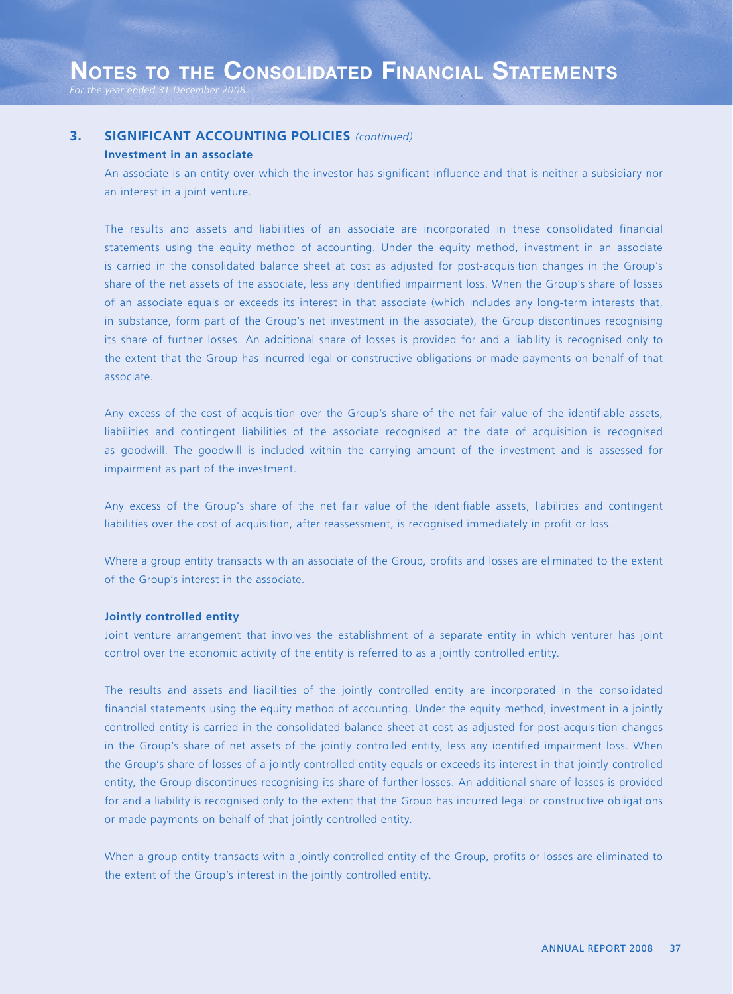#### **Investment in an associate**

An associate is an entity over which the investor has significant influence and that is neither a subsidiary nor an interest in a joint venture.

The results and assets and liabilities of an associate are incorporated in these consolidated financial statements using the equity method of accounting. Under the equity method, investment in an associate is carried in the consolidated balance sheet at cost as adjusted for post-acquisition changes in the Group's share of the net assets of the associate, less any identified impairment loss. When the Group's share of losses of an associate equals or exceeds its interest in that associate (which includes any long-term interests that, in substance, form part of the Group's net investment in the associate), the Group discontinues recognising its share of further losses. An additional share of losses is provided for and a liability is recognised only to the extent that the Group has incurred legal or constructive obligations or made payments on behalf of that associate.

Any excess of the cost of acquisition over the Group's share of the net fair value of the identifiable assets, liabilities and contingent liabilities of the associate recognised at the date of acquisition is recognised as goodwill. The goodwill is included within the carrying amount of the investment and is assessed for impairment as part of the investment.

Any excess of the Group's share of the net fair value of the identifiable assets, liabilities and contingent liabilities over the cost of acquisition, after reassessment, is recognised immediately in profit or loss.

Where a group entity transacts with an associate of the Group, profits and losses are eliminated to the extent of the Group's interest in the associate.

## **Jointly controlled entity**

Joint venture arrangement that involves the establishment of a separate entity in which venturer has joint control over the economic activity of the entity is referred to as a jointly controlled entity.

The results and assets and liabilities of the jointly controlled entity are incorporated in the consolidated financial statements using the equity method of accounting. Under the equity method, investment in a jointly controlled entity is carried in the consolidated balance sheet at cost as adjusted for post-acquisition changes in the Group's share of net assets of the jointly controlled entity, less any identified impairment loss. When the Group's share of losses of a jointly controlled entity equals or exceeds its interest in that jointly controlled entity, the Group discontinues recognising its share of further losses. An additional share of losses is provided for and a liability is recognised only to the extent that the Group has incurred legal or constructive obligations or made payments on behalf of that jointly controlled entity.

When a group entity transacts with a jointly controlled entity of the Group, profits or losses are eliminated to the extent of the Group's interest in the jointly controlled entity.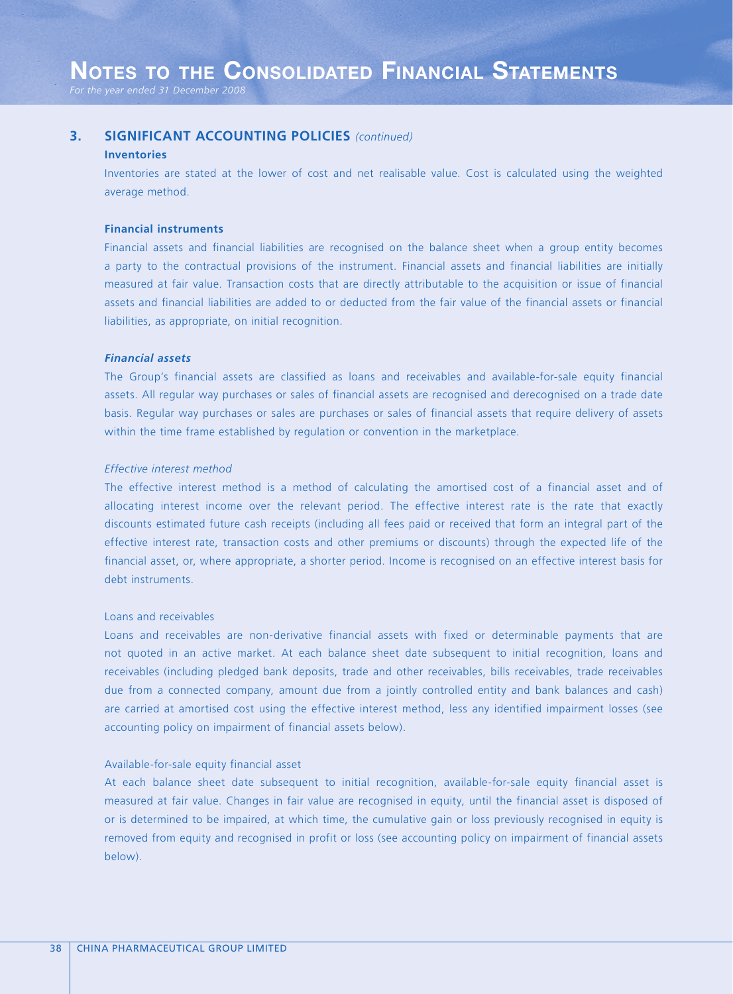#### **Inventories**

Inventories are stated at the lower of cost and net realisable value. Cost is calculated using the weighted average method.

#### **Financial instruments**

Financial assets and financial liabilities are recognised on the balance sheet when a group entity becomes a party to the contractual provisions of the instrument. Financial assets and financial liabilities are initially measured at fair value. Transaction costs that are directly attributable to the acquisition or issue of financial assets and financial liabilities are added to or deducted from the fair value of the financial assets or financial liabilities, as appropriate, on initial recognition.

#### *Financial assets*

The Group's financial assets are classified as loans and receivables and available-for-sale equity financial assets. All regular way purchases or sales of financial assets are recognised and derecognised on a trade date basis. Regular way purchases or sales are purchases or sales of financial assets that require delivery of assets within the time frame established by regulation or convention in the marketplace.

## *Effective interest method*

The effective interest method is a method of calculating the amortised cost of a financial asset and of allocating interest income over the relevant period. The effective interest rate is the rate that exactly discounts estimated future cash receipts (including all fees paid or received that form an integral part of the effective interest rate, transaction costs and other premiums or discounts) through the expected life of the financial asset, or, where appropriate, a shorter period. Income is recognised on an effective interest basis for debt instruments.

#### Loans and receivables

Loans and receivables are non-derivative financial assets with fixed or determinable payments that are not quoted in an active market. At each balance sheet date subsequent to initial recognition, loans and receivables (including pledged bank deposits, trade and other receivables, bills receivables, trade receivables due from a connected company, amount due from a jointly controlled entity and bank balances and cash) are carried at amortised cost using the effective interest method, less any identified impairment losses (see accounting policy on impairment of financial assets below).

#### Available-for-sale equity financial asset

At each balance sheet date subsequent to initial recognition, available-for-sale equity financial asset is measured at fair value. Changes in fair value are recognised in equity, until the financial asset is disposed of or is determined to be impaired, at which time, the cumulative gain or loss previously recognised in equity is removed from equity and recognised in profit or loss (see accounting policy on impairment of financial assets below).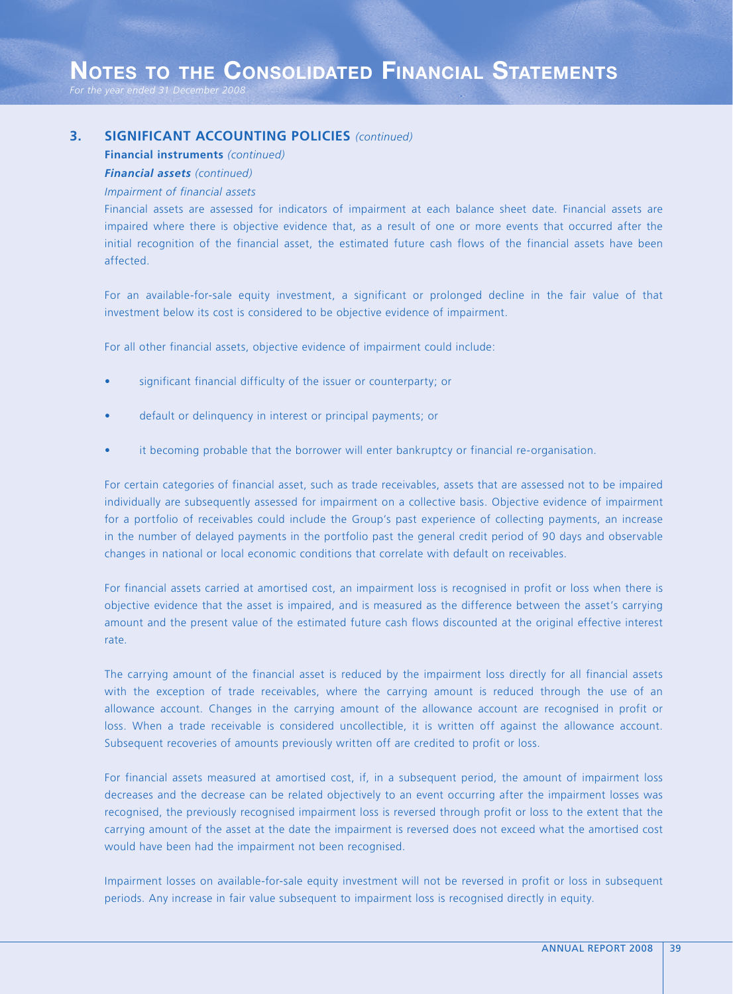## **3. SIGNIFICANT ACCOUNTING POLICIES** *(continued)*

**Financial instruments** *(continued)*

## *Financial assets (continued)*

### *Impairment of financial assets*

Financial assets are assessed for indicators of impairment at each balance sheet date. Financial assets are impaired where there is objective evidence that, as a result of one or more events that occurred after the initial recognition of the financial asset, the estimated future cash flows of the financial assets have been affected.

For an available-for-sale equity investment, a significant or prolonged decline in the fair value of that investment below its cost is considered to be objective evidence of impairment.

For all other financial assets, objective evidence of impairment could include:

- significant financial difficulty of the issuer or counterparty; or
- default or delinquency in interest or principal payments; or
- it becoming probable that the borrower will enter bankruptcy or financial re-organisation.

For certain categories of financial asset, such as trade receivables, assets that are assessed not to be impaired individually are subsequently assessed for impairment on a collective basis. Objective evidence of impairment for a portfolio of receivables could include the Group's past experience of collecting payments, an increase in the number of delayed payments in the portfolio past the general credit period of 90 days and observable changes in national or local economic conditions that correlate with default on receivables.

For financial assets carried at amortised cost, an impairment loss is recognised in profit or loss when there is objective evidence that the asset is impaired, and is measured as the difference between the asset's carrying amount and the present value of the estimated future cash flows discounted at the original effective interest rate.

The carrying amount of the financial asset is reduced by the impairment loss directly for all financial assets with the exception of trade receivables, where the carrying amount is reduced through the use of an allowance account. Changes in the carrying amount of the allowance account are recognised in profit or loss. When a trade receivable is considered uncollectible, it is written off against the allowance account. Subsequent recoveries of amounts previously written off are credited to profit or loss.

For financial assets measured at amortised cost, if, in a subsequent period, the amount of impairment loss decreases and the decrease can be related objectively to an event occurring after the impairment losses was recognised, the previously recognised impairment loss is reversed through profit or loss to the extent that the carrying amount of the asset at the date the impairment is reversed does not exceed what the amortised cost would have been had the impairment not been recognised.

Impairment losses on available-for-sale equity investment will not be reversed in profit or loss in subsequent periods. Any increase in fair value subsequent to impairment loss is recognised directly in equity.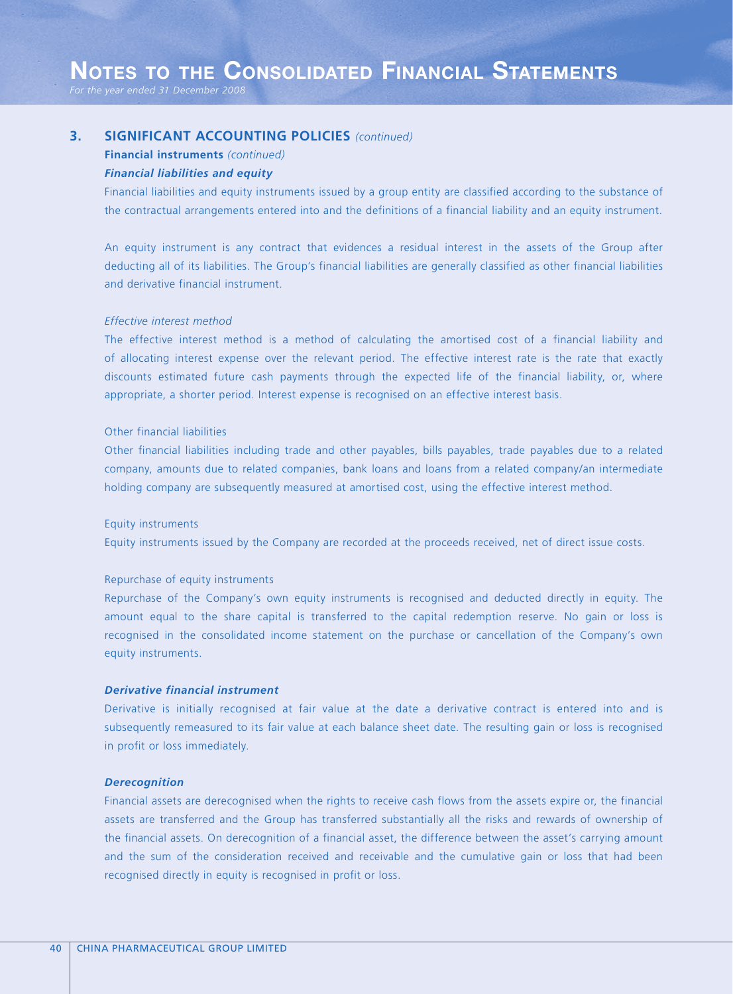## **Financial instruments** *(continued) Financial liabilities and equity*

Financial liabilities and equity instruments issued by a group entity are classified according to the substance of the contractual arrangements entered into and the definitions of a financial liability and an equity instrument.

An equity instrument is any contract that evidences a residual interest in the assets of the Group after deducting all of its liabilities. The Group's financial liabilities are generally classified as other financial liabilities and derivative financial instrument.

#### *Effective interest method*

The effective interest method is a method of calculating the amortised cost of a financial liability and of allocating interest expense over the relevant period. The effective interest rate is the rate that exactly discounts estimated future cash payments through the expected life of the financial liability, or, where appropriate, a shorter period. Interest expense is recognised on an effective interest basis.

#### Other financial liabilities

Other financial liabilities including trade and other payables, bills payables, trade payables due to a related company, amounts due to related companies, bank loans and loans from a related company/an intermediate holding company are subsequently measured at amortised cost, using the effective interest method.

#### Equity instruments

Equity instruments issued by the Company are recorded at the proceeds received, net of direct issue costs.

#### Repurchase of equity instruments

Repurchase of the Company's own equity instruments is recognised and deducted directly in equity. The amount equal to the share capital is transferred to the capital redemption reserve. No gain or loss is recognised in the consolidated income statement on the purchase or cancellation of the Company's own equity instruments.

## *Derivative financial instrument*

Derivative is initially recognised at fair value at the date a derivative contract is entered into and is subsequently remeasured to its fair value at each balance sheet date. The resulting gain or loss is recognised in profit or loss immediately.

#### *Derecognition*

Financial assets are derecognised when the rights to receive cash flows from the assets expire or, the financial assets are transferred and the Group has transferred substantially all the risks and rewards of ownership of the financial assets. On derecognition of a financial asset, the difference between the asset's carrying amount and the sum of the consideration received and receivable and the cumulative gain or loss that had been recognised directly in equity is recognised in profit or loss.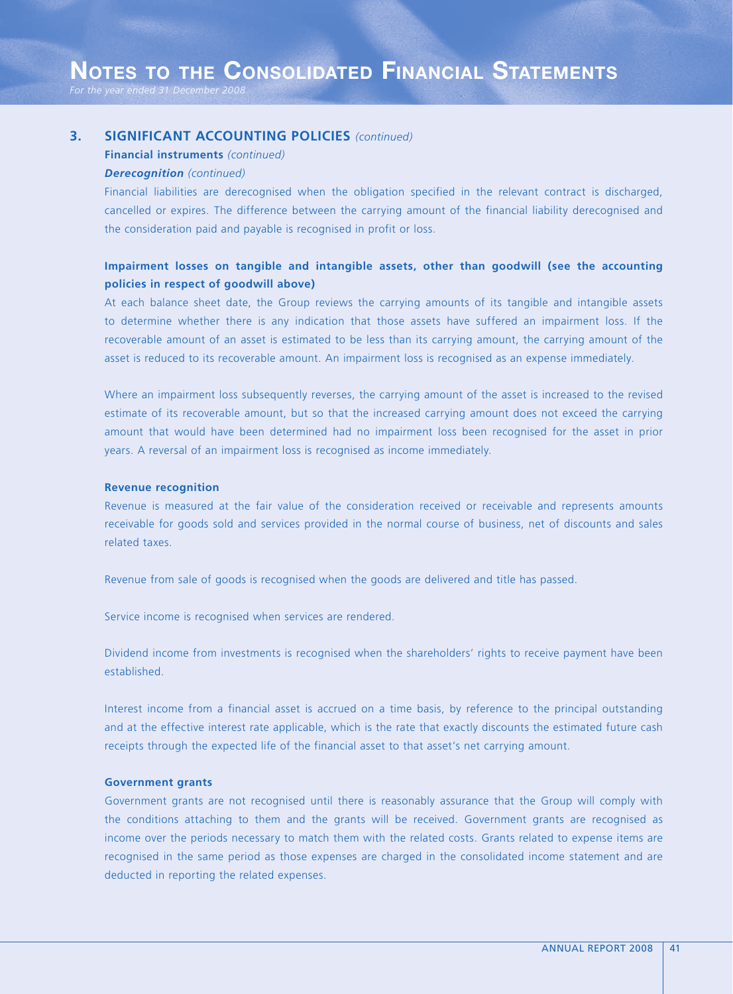## **3. SIGNIFICANT ACCOUNTING POLICIES** *(continued)*

#### **Financial instruments** *(continued)*

#### *Derecognition (continued)*

Financial liabilities are derecognised when the obligation specified in the relevant contract is discharged, cancelled or expires. The difference between the carrying amount of the financial liability derecognised and the consideration paid and payable is recognised in profit or loss.

## **Impairment losses on tangible and intangible assets, other than goodwill (see the accounting policies in respect of goodwill above)**

At each balance sheet date, the Group reviews the carrying amounts of its tangible and intangible assets to determine whether there is any indication that those assets have suffered an impairment loss. If the recoverable amount of an asset is estimated to be less than its carrying amount, the carrying amount of the asset is reduced to its recoverable amount. An impairment loss is recognised as an expense immediately.

Where an impairment loss subsequently reverses, the carrying amount of the asset is increased to the revised estimate of its recoverable amount, but so that the increased carrying amount does not exceed the carrying amount that would have been determined had no impairment loss been recognised for the asset in prior years. A reversal of an impairment loss is recognised as income immediately.

### **Revenue recognition**

Revenue is measured at the fair value of the consideration received or receivable and represents amounts receivable for goods sold and services provided in the normal course of business, net of discounts and sales related taxes.

Revenue from sale of goods is recognised when the goods are delivered and title has passed.

Service income is recognised when services are rendered.

Dividend income from investments is recognised when the shareholders' rights to receive payment have been established.

Interest income from a financial asset is accrued on a time basis, by reference to the principal outstanding and at the effective interest rate applicable, which is the rate that exactly discounts the estimated future cash receipts through the expected life of the financial asset to that asset's net carrying amount.

#### **Government grants**

Government grants are not recognised until there is reasonably assurance that the Group will comply with the conditions attaching to them and the grants will be received. Government grants are recognised as income over the periods necessary to match them with the related costs. Grants related to expense items are recognised in the same period as those expenses are charged in the consolidated income statement and are deducted in reporting the related expenses.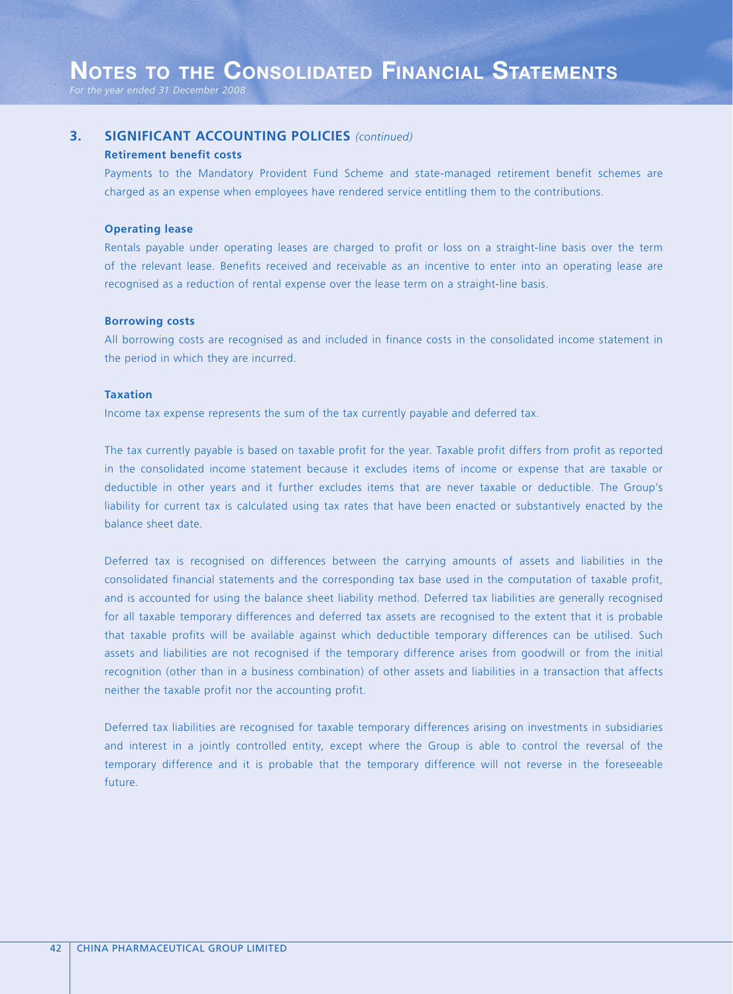## **3. SIGNIFICANT ACCOUNTING POLICIES** *(continued)*

#### **Retirement benefit costs**

Payments to the Mandatory Provident Fund Scheme and state-managed retirement benefit schemes are charged as an expense when employees have rendered service entitling them to the contributions.

#### **Operating lease**

Rentals payable under operating leases are charged to profit or loss on a straight-line basis over the term of the relevant lease. Benefits received and receivable as an incentive to enter into an operating lease are recognised as a reduction of rental expense over the lease term on a straight-line basis.

#### **Borrowing costs**

All borrowing costs are recognised as and included in finance costs in the consolidated income statement in the period in which they are incurred.

#### **Taxation**

Income tax expense represents the sum of the tax currently payable and deferred tax.

The tax currently payable is based on taxable profit for the year. Taxable profit differs from profit as reported in the consolidated income statement because it excludes items of income or expense that are taxable or deductible in other years and it further excludes items that are never taxable or deductible. The Group's liability for current tax is calculated using tax rates that have been enacted or substantively enacted by the balance sheet date.

Deferred tax is recognised on differences between the carrying amounts of assets and liabilities in the consolidated financial statements and the corresponding tax base used in the computation of taxable profit, and is accounted for using the balance sheet liability method. Deferred tax liabilities are generally recognised for all taxable temporary differences and deferred tax assets are recognised to the extent that it is probable that taxable profits will be available against which deductible temporary differences can be utilised. Such assets and liabilities are not recognised if the temporary difference arises from goodwill or from the initial recognition (other than in a business combination) of other assets and liabilities in a transaction that affects neither the taxable profit nor the accounting profit.

Deferred tax liabilities are recognised for taxable temporary differences arising on investments in subsidiaries and interest in a jointly controlled entity, except where the Group is able to control the reversal of the temporary difference and it is probable that the temporary difference will not reverse in the foreseeable future.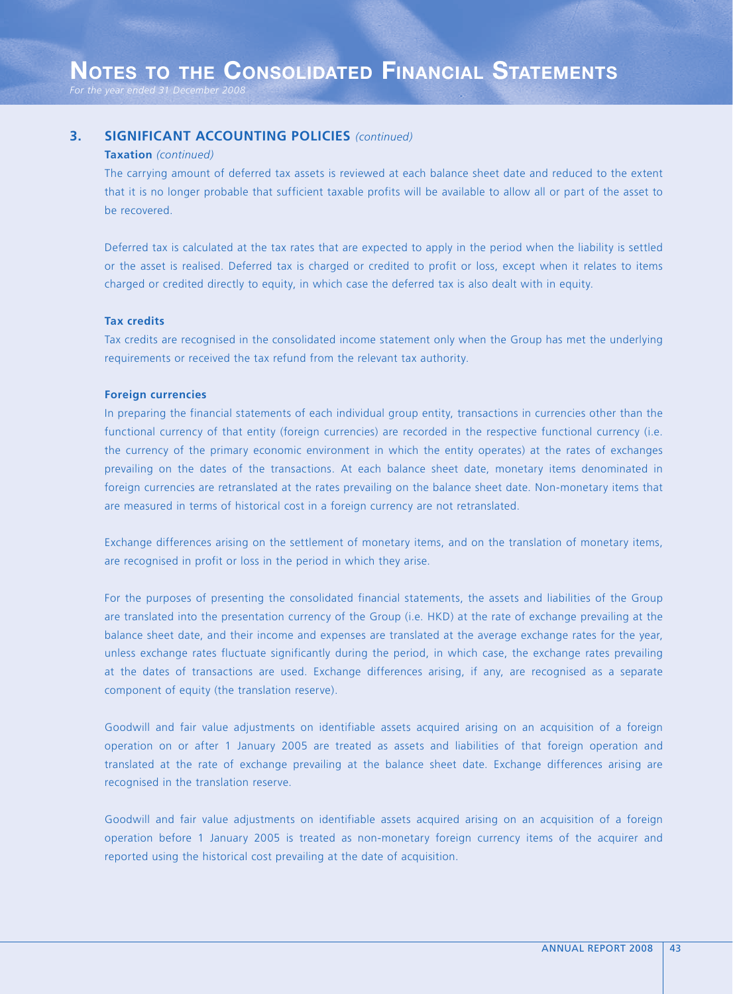## **3. SIGNIFICANT ACCOUNTING POLICIES** *(continued)*

#### **Taxation** *(continued)*

The carrying amount of deferred tax assets is reviewed at each balance sheet date and reduced to the extent that it is no longer probable that sufficient taxable profits will be available to allow all or part of the asset to be recovered.

Deferred tax is calculated at the tax rates that are expected to apply in the period when the liability is settled or the asset is realised. Deferred tax is charged or credited to profit or loss, except when it relates to items charged or credited directly to equity, in which case the deferred tax is also dealt with in equity.

#### **Tax credits**

Tax credits are recognised in the consolidated income statement only when the Group has met the underlying requirements or received the tax refund from the relevant tax authority.

#### **Foreign currencies**

In preparing the financial statements of each individual group entity, transactions in currencies other than the functional currency of that entity (foreign currencies) are recorded in the respective functional currency (i.e. the currency of the primary economic environment in which the entity operates) at the rates of exchanges prevailing on the dates of the transactions. At each balance sheet date, monetary items denominated in foreign currencies are retranslated at the rates prevailing on the balance sheet date. Non-monetary items that are measured in terms of historical cost in a foreign currency are not retranslated.

Exchange differences arising on the settlement of monetary items, and on the translation of monetary items, are recognised in profit or loss in the period in which they arise.

For the purposes of presenting the consolidated financial statements, the assets and liabilities of the Group are translated into the presentation currency of the Group (i.e. HKD) at the rate of exchange prevailing at the balance sheet date, and their income and expenses are translated at the average exchange rates for the year, unless exchange rates fluctuate significantly during the period, in which case, the exchange rates prevailing at the dates of transactions are used. Exchange differences arising, if any, are recognised as a separate component of equity (the translation reserve).

Goodwill and fair value adjustments on identifiable assets acquired arising on an acquisition of a foreign operation on or after 1 January 2005 are treated as assets and liabilities of that foreign operation and translated at the rate of exchange prevailing at the balance sheet date. Exchange differences arising are recognised in the translation reserve.

Goodwill and fair value adjustments on identifiable assets acquired arising on an acquisition of a foreign operation before 1 January 2005 is treated as non-monetary foreign currency items of the acquirer and reported using the historical cost prevailing at the date of acquisition.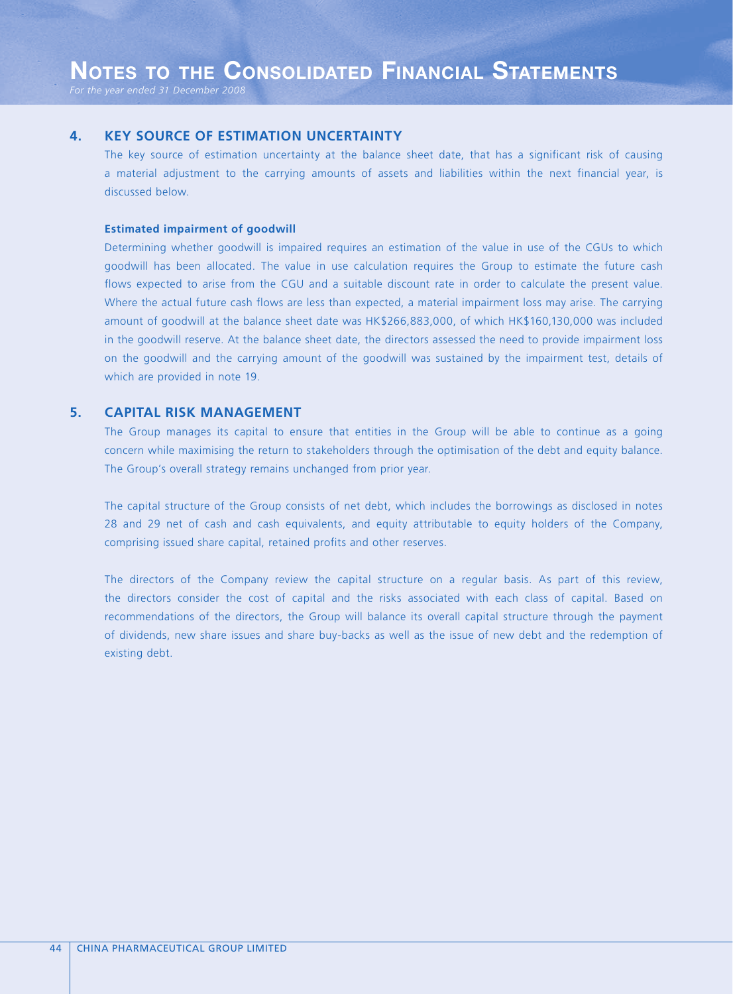## **4. KEY SOURCE OF ESTIMATION UNCERTAINTY**

The key source of estimation uncertainty at the balance sheet date, that has a significant risk of causing a material adjustment to the carrying amounts of assets and liabilities within the next financial year, is discussed below.

#### **Estimated impairment of goodwill**

Determining whether goodwill is impaired requires an estimation of the value in use of the CGUs to which goodwill has been allocated. The value in use calculation requires the Group to estimate the future cash flows expected to arise from the CGU and a suitable discount rate in order to calculate the present value. Where the actual future cash flows are less than expected, a material impairment loss may arise. The carrying amount of goodwill at the balance sheet date was HK\$266,883,000, of which HK\$160,130,000 was included in the goodwill reserve. At the balance sheet date, the directors assessed the need to provide impairment loss on the goodwill and the carrying amount of the goodwill was sustained by the impairment test, details of which are provided in note 19.

## **5. CAPITAL RISK MANAGEMENT**

The Group manages its capital to ensure that entities in the Group will be able to continue as a going concern while maximising the return to stakeholders through the optimisation of the debt and equity balance. The Group's overall strategy remains unchanged from prior year.

The capital structure of the Group consists of net debt, which includes the borrowings as disclosed in notes 28 and 29 net of cash and cash equivalents, and equity attributable to equity holders of the Company, comprising issued share capital, retained profits and other reserves.

The directors of the Company review the capital structure on a regular basis. As part of this review, the directors consider the cost of capital and the risks associated with each class of capital. Based on recommendations of the directors, the Group will balance its overall capital structure through the payment of dividends, new share issues and share buy-backs as well as the issue of new debt and the redemption of existing debt.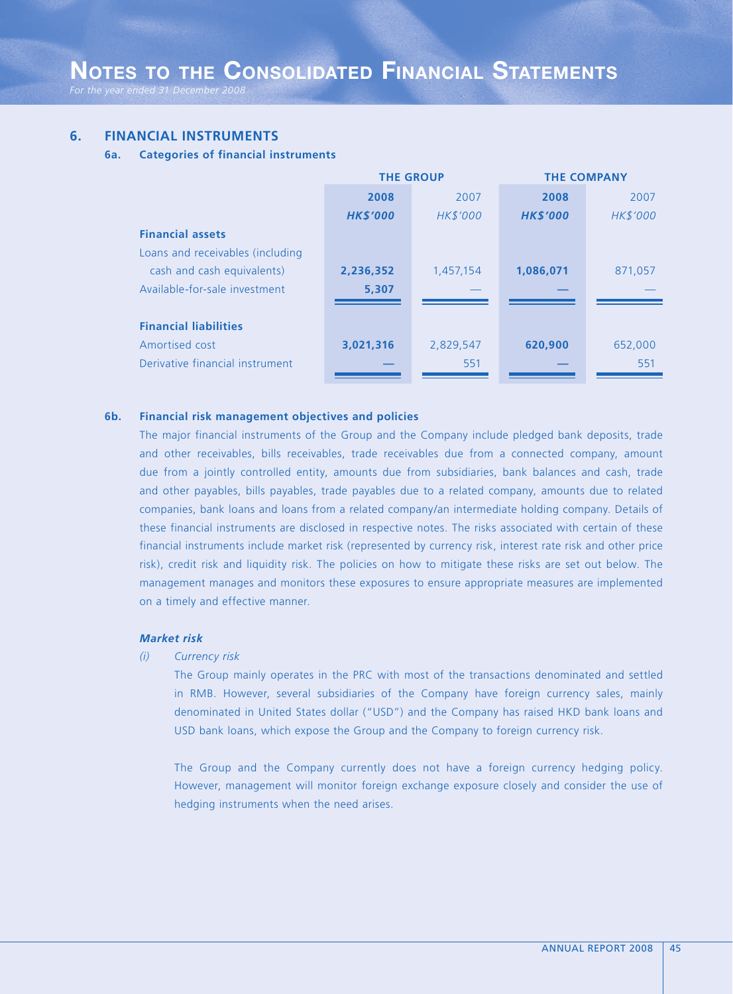## **6. FINANCIAL INSTRUMENTS**

#### **6a. Categories of financial instruments**

|                                  |                 | <b>THE GROUP</b> | <b>THE COMPANY</b> |                 |  |
|----------------------------------|-----------------|------------------|--------------------|-----------------|--|
|                                  | 2008            | 2007             | 2008               | 2007            |  |
|                                  | <b>HK\$'000</b> | HK\$'000         | <b>HK\$'000</b>    | <b>HK\$'000</b> |  |
| <b>Financial assets</b>          |                 |                  |                    |                 |  |
| Loans and receivables (including |                 |                  |                    |                 |  |
| cash and cash equivalents)       | 2,236,352       | 1,457,154        | 1,086,071          | 871,057         |  |
| Available-for-sale investment    | 5,307           |                  |                    |                 |  |
|                                  |                 |                  |                    |                 |  |
| <b>Financial liabilities</b>     |                 |                  |                    |                 |  |
| Amortised cost                   | 3,021,316       | 2,829,547        | 620,900            | 652,000         |  |
| Derivative financial instrument  |                 | 551              |                    | 551             |  |
|                                  |                 |                  |                    |                 |  |

#### **6b. Financial risk management objectives and policies**

The major financial instruments of the Group and the Company include pledged bank deposits, trade and other receivables, bills receivables, trade receivables due from a connected company, amount due from a jointly controlled entity, amounts due from subsidiaries, bank balances and cash, trade and other payables, bills payables, trade payables due to a related company, amounts due to related companies, bank loans and loans from a related company/an intermediate holding company. Details of these financial instruments are disclosed in respective notes. The risks associated with certain of these financial instruments include market risk (represented by currency risk, interest rate risk and other price risk), credit risk and liquidity risk. The policies on how to mitigate these risks are set out below. The management manages and monitors these exposures to ensure appropriate measures are implemented on a timely and effective manner.

### *Market risk*

*(i) Currency risk*

The Group mainly operates in the PRC with most of the transactions denominated and settled in RMB. However, several subsidiaries of the Company have foreign currency sales, mainly denominated in United States dollar ("USD") and the Company has raised HKD bank loans and USD bank loans, which expose the Group and the Company to foreign currency risk.

The Group and the Company currently does not have a foreign currency hedging policy. However, management will monitor foreign exchange exposure closely and consider the use of hedging instruments when the need arises.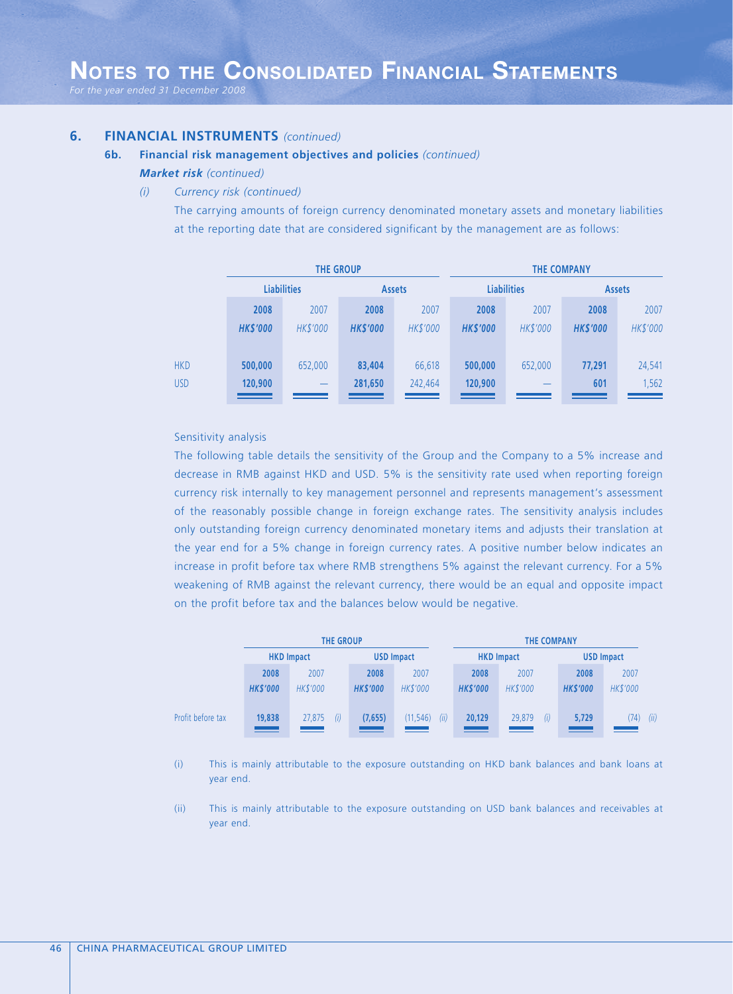## **6. FINANCIAL INSTRUMENTS** *(continued)*

## **6b. Financial risk management objectives and policies** *(continued)*

#### *Market risk (continued)*

*(i) Currency risk (continued)*

The carrying amounts of foreign currency denominated monetary assets and monetary liabilities at the reporting date that are considered significant by the management are as follows:

|            |                    |                                 | <b>THE GROUP</b> |                     | <b>THE COMPANY</b> |                 |                 |          |  |
|------------|--------------------|---------------------------------|------------------|---------------------|--------------------|-----------------|-----------------|----------|--|
|            | <b>Liabilities</b> |                                 | <b>Assets</b>    |                     | <b>Liabilities</b> |                 | <b>Assets</b>   |          |  |
|            | 2008               | 2007                            | 2008             | 2007                | 2008               | 2007            | 2008            | 2007     |  |
|            | <b>HK\$'000</b>    | HK\$'000                        | <b>HK\$'000</b>  | HK\$'000            | <b>HK\$'000</b>    | <b>HK\$'000</b> | <b>HK\$'000</b> | HK\$'000 |  |
|            |                    |                                 |                  |                     |                    |                 |                 |          |  |
| <b>HKD</b> | 500,000            | 652,000                         | 83,404           | 66.618              | 500,000            | 652,000         | 77,291          | 24,541   |  |
| <b>USD</b> | 120,900            | $\hspace{0.1mm}-\hspace{0.1mm}$ | 281,650          | 242,464             | 120,900            |                 | 601             | 1,562    |  |
|            | ___                |                                 |                  | <u> a shekara t</u> | ___                |                 |                 |          |  |

## Sensitivity analysis

The following table details the sensitivity of the Group and the Company to a 5% increase and decrease in RMB against HKD and USD. 5% is the sensitivity rate used when reporting foreign currency risk internally to key management personnel and represents management's assessment of the reasonably possible change in foreign exchange rates. The sensitivity analysis includes only outstanding foreign currency denominated monetary items and adjusts their translation at the year end for a 5% change in foreign currency rates. A positive number below indicates an increase in profit before tax where RMB strengthens 5% against the relevant currency. For a 5% weakening of RMB against the relevant currency, there would be an equal and opposite impact on the profit before tax and the balances below would be negative.

|                   |                         | <b>THE GROUP</b>               |                         |                                        | <b>THE COMPANY</b>      |                           |                         |                         |
|-------------------|-------------------------|--------------------------------|-------------------------|----------------------------------------|-------------------------|---------------------------|-------------------------|-------------------------|
|                   | <b>HKD Impact</b>       |                                | <b>USD Impact</b>       |                                        | <b>HKD Impact</b>       |                           | <b>USD Impact</b>       |                         |
|                   | 2008<br><b>HK\$'000</b> | 2007<br>HK\$'000               | 2008<br><b>HK\$'000</b> | 2007<br><b>HK\$'000</b>                | 2008<br><b>HK\$'000</b> | 2007<br><b>HK\$'000</b>   | 2008<br><b>HK\$'000</b> | 2007<br><b>HK\$'000</b> |
| Profit before tax | 19,838<br>--            | 27,875<br>(i)<br><u>e a se</u> | (7,655)<br>▅▅           | (ii)<br>(11, 546)<br><b>STATISTICS</b> | 20,129<br>==            | (i)<br>29,879<br>$\equiv$ | 5,729<br>━              | (ii)<br>74)             |

(i) This is mainly attributable to the exposure outstanding on HKD bank balances and bank loans at year end.

(ii) This is mainly attributable to the exposure outstanding on USD bank balances and receivables at year end.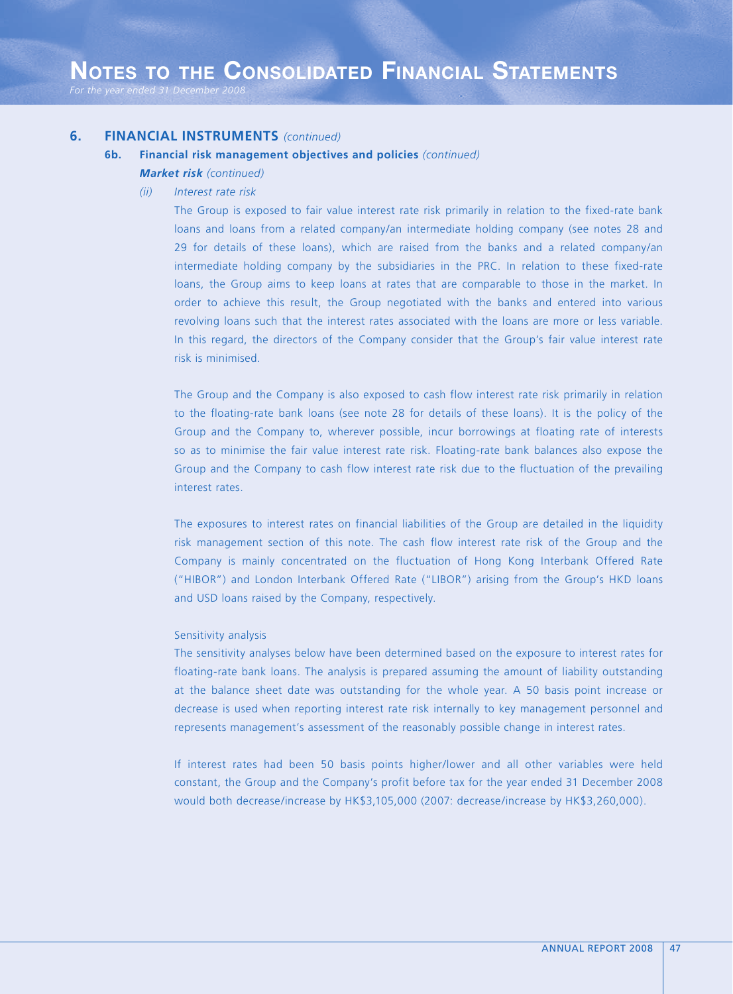## **6. FINANCIAL INSTRUMENTS** *(continued)*

#### **6b. Financial risk management objectives and policies** *(continued)*

- *Market risk (continued)*
	- *(ii) Interest rate risk*

The Group is exposed to fair value interest rate risk primarily in relation to the fixed-rate bank loans and loans from a related company/an intermediate holding company (see notes 28 and 29 for details of these loans), which are raised from the banks and a related company/an intermediate holding company by the subsidiaries in the PRC. In relation to these fixed-rate loans, the Group aims to keep loans at rates that are comparable to those in the market. In order to achieve this result, the Group negotiated with the banks and entered into various revolving loans such that the interest rates associated with the loans are more or less variable. In this regard, the directors of the Company consider that the Group's fair value interest rate risk is minimised.

The Group and the Company is also exposed to cash flow interest rate risk primarily in relation to the floating-rate bank loans (see note 28 for details of these loans). It is the policy of the Group and the Company to, wherever possible, incur borrowings at floating rate of interests so as to minimise the fair value interest rate risk. Floating-rate bank balances also expose the Group and the Company to cash flow interest rate risk due to the fluctuation of the prevailing interest rates.

The exposures to interest rates on financial liabilities of the Group are detailed in the liquidity risk management section of this note. The cash flow interest rate risk of the Group and the Company is mainly concentrated on the fluctuation of Hong Kong Interbank Offered Rate ("HIBOR") and London Interbank Offered Rate ("LIBOR") arising from the Group's HKD loans and USD loans raised by the Company, respectively.

#### Sensitivity analysis

The sensitivity analyses below have been determined based on the exposure to interest rates for floating-rate bank loans. The analysis is prepared assuming the amount of liability outstanding at the balance sheet date was outstanding for the whole year. A 50 basis point increase or decrease is used when reporting interest rate risk internally to key management personnel and represents management's assessment of the reasonably possible change in interest rates.

If interest rates had been 50 basis points higher/lower and all other variables were held constant, the Group and the Company's profit before tax for the year ended 31 December 2008 would both decrease/increase by HK\$3,105,000 (2007: decrease/increase by HK\$3,260,000).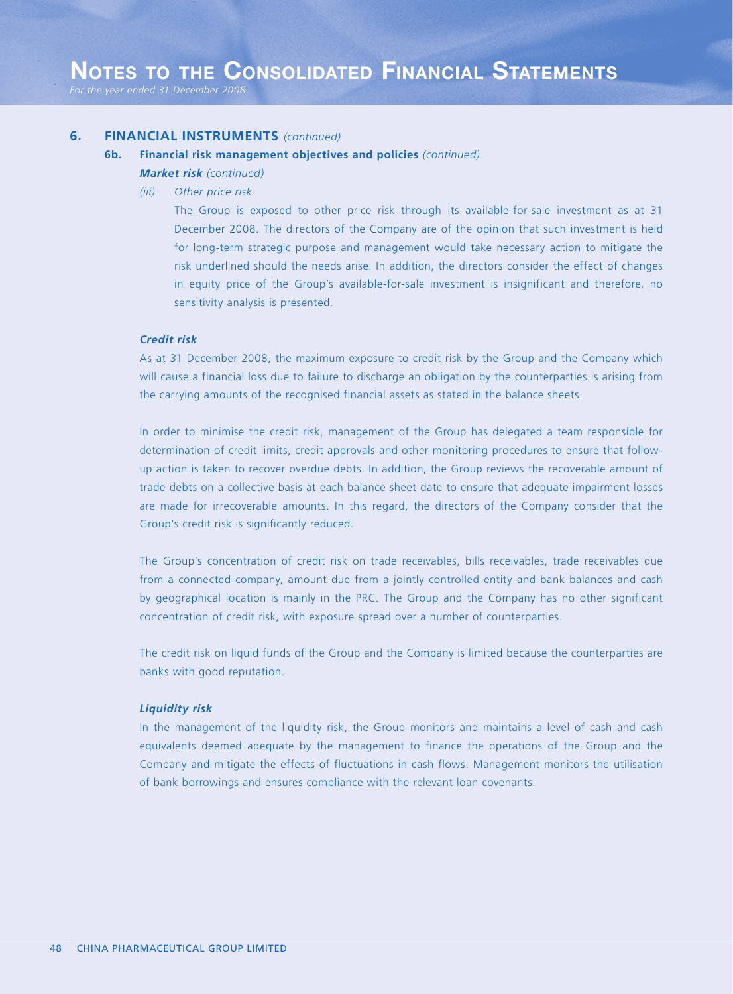## **6. FINANCIAL INSTRUMENTS** *(continued)*

#### **6b. Financial risk management objectives and policies** *(continued)*

- *Market risk (continued)*
	- *(iii) Other price risk*

The Group is exposed to other price risk through its available-for-sale investment as at 31 December 2008. The directors of the Company are of the opinion that such investment is held for long-term strategic purpose and management would take necessary action to mitigate the risk underlined should the needs arise. In addition, the directors consider the effect of changes in equity price of the Group's available-for-sale investment is insignificant and therefore, no sensitivity analysis is presented.

### *Credit risk*

As at 31 December 2008, the maximum exposure to credit risk by the Group and the Company which will cause a financial loss due to failure to discharge an obligation by the counterparties is arising from the carrying amounts of the recognised financial assets as stated in the balance sheets.

In order to minimise the credit risk, management of the Group has delegated a team responsible for determination of credit limits, credit approvals and other monitoring procedures to ensure that followup action is taken to recover overdue debts. In addition, the Group reviews the recoverable amount of trade debts on a collective basis at each balance sheet date to ensure that adequate impairment losses are made for irrecoverable amounts. In this regard, the directors of the Company consider that the Group's credit risk is significantly reduced.

The Group's concentration of credit risk on trade receivables, bills receivables, trade receivables due from a connected company, amount due from a jointly controlled entity and bank balances and cash by geographical location is mainly in the PRC. The Group and the Company has no other significant concentration of credit risk, with exposure spread over a number of counterparties.

The credit risk on liquid funds of the Group and the Company is limited because the counterparties are banks with good reputation.

#### *Liquidity risk*

In the management of the liquidity risk, the Group monitors and maintains a level of cash and cash equivalents deemed adequate by the management to finance the operations of the Group and the Company and mitigate the effects of fluctuations in cash flows. Management monitors the utilisation of bank borrowings and ensures compliance with the relevant loan covenants.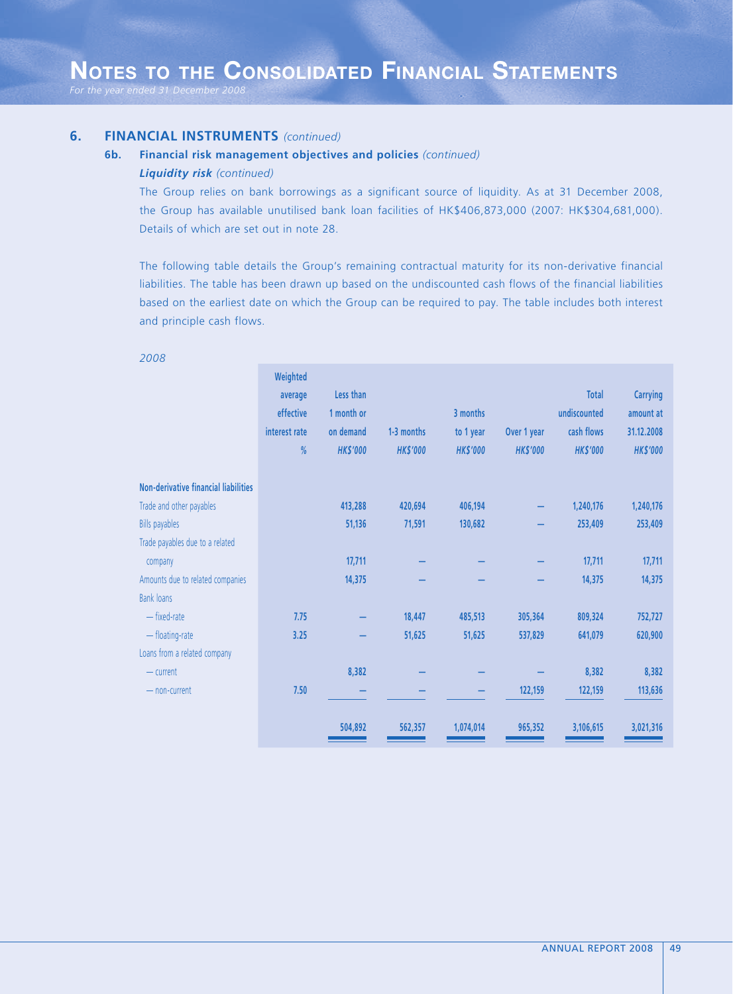*For the year ended 31 December 2008*

## **6. FINANCIAL INSTRUMENTS** *(continued)*

#### **6b. Financial risk management objectives and policies** *(continued)*

## *Liquidity risk (continued)*

The Group relies on bank borrowings as a significant source of liquidity. As at 31 December 2008, the Group has available unutilised bank loan facilities of HK\$406,873,000 (2007: HK\$304,681,000). Details of which are set out in note 28.

The following table details the Group's remaining contractual maturity for its non-derivative financial liabilities. The table has been drawn up based on the undiscounted cash flows of the financial liabilities based on the earliest date on which the Group can be required to pay. The table includes both interest and principle cash flows.

|                                      | Weighted      |                 |                 |                 |                 |                 |                 |
|--------------------------------------|---------------|-----------------|-----------------|-----------------|-----------------|-----------------|-----------------|
|                                      | average       | Less than       |                 |                 |                 | <b>Total</b>    | <b>Carrying</b> |
|                                      | effective     | 1 month or      |                 | 3 months        |                 | undiscounted    | amount at       |
|                                      | interest rate | on demand       | 1-3 months      | to 1 year       | Over 1 year     | cash flows      | 31.12.2008      |
|                                      | %             | <b>HK\$'000</b> | <b>HK\$'000</b> | <b>HK\$'000</b> | <b>HK\$'000</b> | <b>HK\$'000</b> | <b>HK\$'000</b> |
| Non-derivative financial liabilities |               |                 |                 |                 |                 |                 |                 |
| Trade and other payables             |               | 413,288         | 420,694         | 406,194         |                 | 1,240,176       | 1,240,176       |
| <b>Bills payables</b>                |               | 51,136          | 71,591          | 130,682         |                 | 253,409         | 253,409         |
| Trade payables due to a related      |               |                 |                 |                 |                 |                 |                 |
| company                              |               | 17,711          |                 |                 |                 | 17,711          | 17,711          |
| Amounts due to related companies     |               | 14,375          |                 |                 |                 | 14,375          | 14,375          |
| <b>Bank loans</b>                    |               |                 |                 |                 |                 |                 |                 |
| - fixed-rate                         | 7.75          |                 | 18,447          | 485,513         | 305,364         | 809,324         | 752,727         |
| - floating-rate                      | 3.25          |                 | 51,625          | 51,625          | 537,829         | 641,079         | 620,900         |
| Loans from a related company         |               |                 |                 |                 |                 |                 |                 |
| $-$ current                          |               | 8,382           |                 |                 |                 | 8,382           | 8,382           |
| - non-current                        | 7.50          |                 |                 |                 | 122,159         | 122,159         | 113,636         |
|                                      |               | 504,892         | 562,357         | 1,074,014       | 965,352         | 3,106,615       | 3,021,316       |
|                                      |               |                 |                 |                 |                 |                 |                 |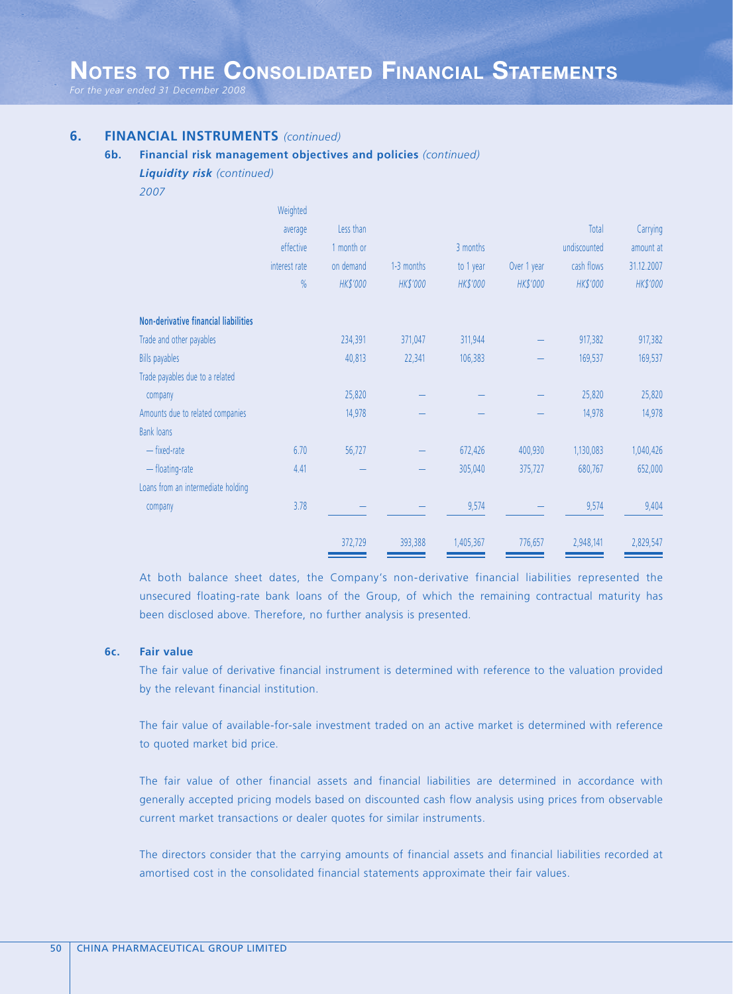## **6. FINANCIAL INSTRUMENTS** *(continued)*

#### **6b. Financial risk management objectives and policies** *(continued)*

#### *Liquidity risk (continued)*

*2007*

|                                      | Weighted      |            |            |           |             |              |            |
|--------------------------------------|---------------|------------|------------|-----------|-------------|--------------|------------|
|                                      | average       | Less than  |            |           |             | Total        | Carrying   |
|                                      | effective     | 1 month or |            | 3 months  |             | undiscounted | amount at  |
|                                      | interest rate | on demand  | 1-3 months | to 1 year | Over 1 year | cash flows   | 31.12.2007 |
|                                      | $\%$          | HK\$'000   | HK\$'000   | HK\$'000  | HK\$'000    | HK\$'000     | HK\$'000   |
| Non-derivative financial liabilities |               |            |            |           |             |              |            |
| Trade and other payables             |               | 234,391    | 371,047    | 311,944   |             | 917,382      | 917,382    |
| <b>Bills payables</b>                |               | 40,813     | 22,341     | 106,383   |             | 169,537      | 169,537    |
| Trade payables due to a related      |               |            |            |           |             |              |            |
| company                              |               | 25,820     |            |           |             | 25,820       | 25,820     |
| Amounts due to related companies     |               | 14,978     |            |           |             | 14,978       | 14,978     |
| <b>Bank loans</b>                    |               |            |            |           |             |              |            |
| - fixed-rate                         | 6.70          | 56,727     |            | 672,426   | 400,930     | 1,130,083    | 1,040,426  |
| - floating-rate                      | 4.41          |            |            | 305,040   | 375,727     | 680,767      | 652,000    |
| Loans from an intermediate holding   |               |            |            |           |             |              |            |
| company                              | 3.78          |            |            | 9,574     |             | 9,574        | 9,404      |
|                                      |               | 372,729    | 393,388    | 1,405,367 | 776,657     | 2,948,141    | 2,829,547  |

At both balance sheet dates, the Company's non-derivative financial liabilities represented the unsecured floating-rate bank loans of the Group, of which the remaining contractual maturity has been disclosed above. Therefore, no further analysis is presented.

## **6c. Fair value**

The fair value of derivative financial instrument is determined with reference to the valuation provided by the relevant financial institution.

The fair value of available-for-sale investment traded on an active market is determined with reference to quoted market bid price.

The fair value of other financial assets and financial liabilities are determined in accordance with generally accepted pricing models based on discounted cash flow analysis using prices from observable current market transactions or dealer quotes for similar instruments.

The directors consider that the carrying amounts of financial assets and financial liabilities recorded at amortised cost in the consolidated financial statements approximate their fair values.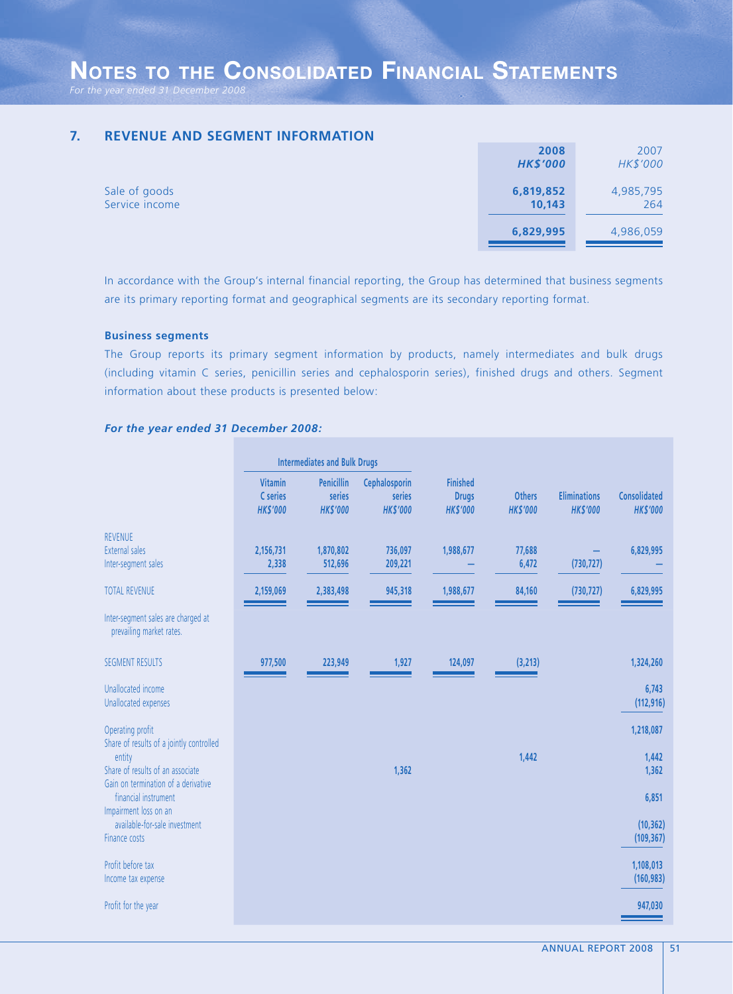*For the year ended 31 December 2008*

## **7. REVENUE AND SEGMENT INFORMATION**

|                | 2008            | 2007      |
|----------------|-----------------|-----------|
|                | <b>HK\$'000</b> | HK\$'000  |
|                |                 |           |
| Sale of goods  | 6,819,852       | 4,985,795 |
| Service income | 10,143          | 264       |
|                |                 |           |
|                | 6,829,995       | 4,986,059 |
|                |                 |           |

In accordance with the Group's internal financial reporting, the Group has determined that business segments are its primary reporting format and geographical segments are its secondary reporting format.

## **Business segments**

The Group reports its primary segment information by products, namely intermediates and bulk drugs (including vitamin C series, penicillin series and cephalosporin series), finished drugs and others. Segment information about these products is presented below:

#### *For the year ended 31 December 2008:*

|                                                                                      | <b>Intermediates and Bulk Drugs</b>                  |                                         |                                            |                                                    |                                  |                                        |                                        |
|--------------------------------------------------------------------------------------|------------------------------------------------------|-----------------------------------------|--------------------------------------------|----------------------------------------------------|----------------------------------|----------------------------------------|----------------------------------------|
|                                                                                      | <b>Vitamin</b><br><b>C</b> series<br><b>HK\$'000</b> | Penicillin<br>series<br><b>HK\$'000</b> | Cephalosporin<br>series<br><b>HK\$'000</b> | <b>Finished</b><br><b>Drugs</b><br><b>HK\$'000</b> | <b>Others</b><br><b>HK\$'000</b> | <b>Eliminations</b><br><b>HK\$'000</b> | <b>Consolidated</b><br><b>HK\$'000</b> |
| <b>REVENUE</b><br>External sales<br>Inter-segment sales<br><b>TOTAL REVENUE</b>      | 2,156,731<br>2,338<br>2,159,069                      | 1,870,802<br>512,696<br>2,383,498       | 736,097<br>209,221<br>945,318              | 1,988,677<br>1,988,677                             | 77,688<br>6,472<br>84,160        | (730, 727)<br>(730, 727)               | 6,829,995<br>6,829,995                 |
| Inter-segment sales are charged at<br>prevailing market rates.                       |                                                      |                                         |                                            |                                                    |                                  |                                        |                                        |
| <b>SEGMENT RESULTS</b>                                                               | 977,500                                              | 223,949                                 | 1,927                                      | 124,097                                            | (3, 213)                         |                                        | 1,324,260                              |
| Unallocated income<br><b>Unallocated expenses</b>                                    |                                                      |                                         |                                            |                                                    |                                  |                                        | 6,743<br>(112, 916)                    |
| Operating profit<br>Share of results of a jointly controlled                         |                                                      |                                         |                                            |                                                    |                                  |                                        | 1,218,087                              |
| entity<br>Share of results of an associate                                           |                                                      |                                         | 1,362                                      |                                                    | 1,442                            |                                        | 1,442<br>1,362                         |
| Gain on termination of a derivative<br>financial instrument<br>Impairment loss on an |                                                      |                                         |                                            |                                                    |                                  |                                        | 6,851                                  |
| available-for-sale investment<br>Finance costs                                       |                                                      |                                         |                                            |                                                    |                                  |                                        | (10, 362)<br>(109, 367)                |
| Profit before tax<br>Income tax expense                                              |                                                      |                                         |                                            |                                                    |                                  |                                        | 1,108,013<br>(160, 983)                |
| Profit for the year                                                                  |                                                      |                                         |                                            |                                                    |                                  |                                        | 947,030                                |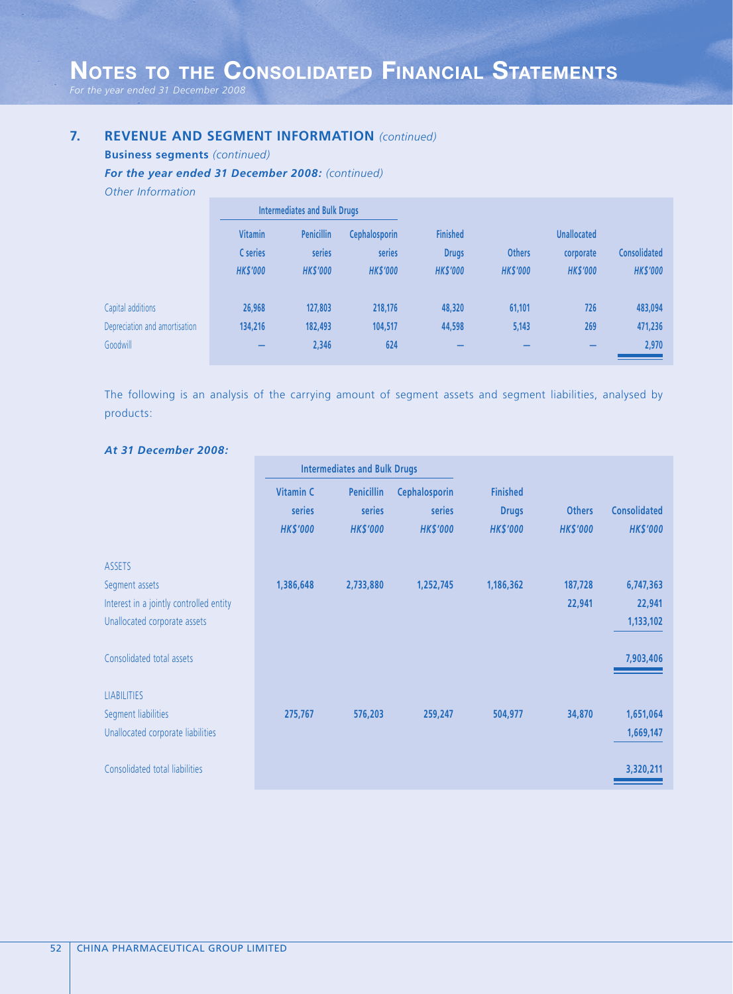*For the year ended 31 December 2008*

## **7. REVENUE AND SEGMENT INFORMATION** *(continued)*

**Business segments** *(continued)*

## *For the year ended 31 December 2008: (continued)*

*Other Information*

|                               |                 | <b>Intermediates and Bulk Drugs</b> |                      |                 |                 |                    |                     |
|-------------------------------|-----------------|-------------------------------------|----------------------|-----------------|-----------------|--------------------|---------------------|
|                               | <b>Vitamin</b>  | <b>Penicillin</b>                   | <b>Cephalosporin</b> | <b>Finished</b> |                 | <b>Unallocated</b> |                     |
|                               | C series        | series                              | series               | <b>Drugs</b>    | <b>Others</b>   | corporate          | <b>Consolidated</b> |
|                               | <b>HK\$'000</b> | <b>HK\$'000</b>                     | <b>HK\$'000</b>      | <b>HK\$'000</b> | <b>HK\$'000</b> | <b>HK\$'000</b>    | <b>HK\$'000</b>     |
| Capital additions             | 26,968          | 127,803                             | 218,176              | 48,320          | 61,101          | 726                | 483,094             |
| Depreciation and amortisation | 134,216         | 182,493                             | 104,517              | 44,598          | 5,143           | 269                | 471,236             |
| Goodwill                      | -               | 2,346                               | 624                  |                 |                 | -                  | 2,970               |

The following is an analysis of the carrying amount of segment assets and segment liabilities, analysed by products:

#### *At 31 December 2008:*

|                                         | <b>Intermediates and Bulk Drugs</b> |                   |                 |                 |                 |                     |
|-----------------------------------------|-------------------------------------|-------------------|-----------------|-----------------|-----------------|---------------------|
|                                         | <b>Vitamin C</b>                    | <b>Penicillin</b> | Cephalosporin   | <b>Finished</b> |                 |                     |
|                                         | series                              | series            | series          | <b>Drugs</b>    | <b>Others</b>   | <b>Consolidated</b> |
|                                         | <b>HK\$'000</b>                     | <b>HK\$'000</b>   | <b>HK\$'000</b> | <b>HK\$'000</b> | <b>HK\$'000</b> | <b>HK\$'000</b>     |
| <b>ASSETS</b>                           |                                     |                   |                 |                 |                 |                     |
| Segment assets                          | 1,386,648                           | 2,733,880         | 1,252,745       | 1,186,362       | 187,728         | 6,747,363           |
| Interest in a jointly controlled entity |                                     |                   |                 |                 | 22,941          | 22,941              |
| Unallocated corporate assets            |                                     |                   |                 |                 |                 | 1,133,102           |
| Consolidated total assets               |                                     |                   |                 |                 |                 | 7,903,406           |
| <b>LIABILITIES</b>                      |                                     |                   |                 |                 |                 |                     |
| Segment liabilities                     | 275,767                             | 576,203           | 259,247         | 504,977         | 34,870          | 1,651,064           |
| Unallocated corporate liabilities       |                                     |                   |                 |                 |                 | 1,669,147           |
| Consolidated total liabilities          |                                     |                   |                 |                 |                 | 3,320,211           |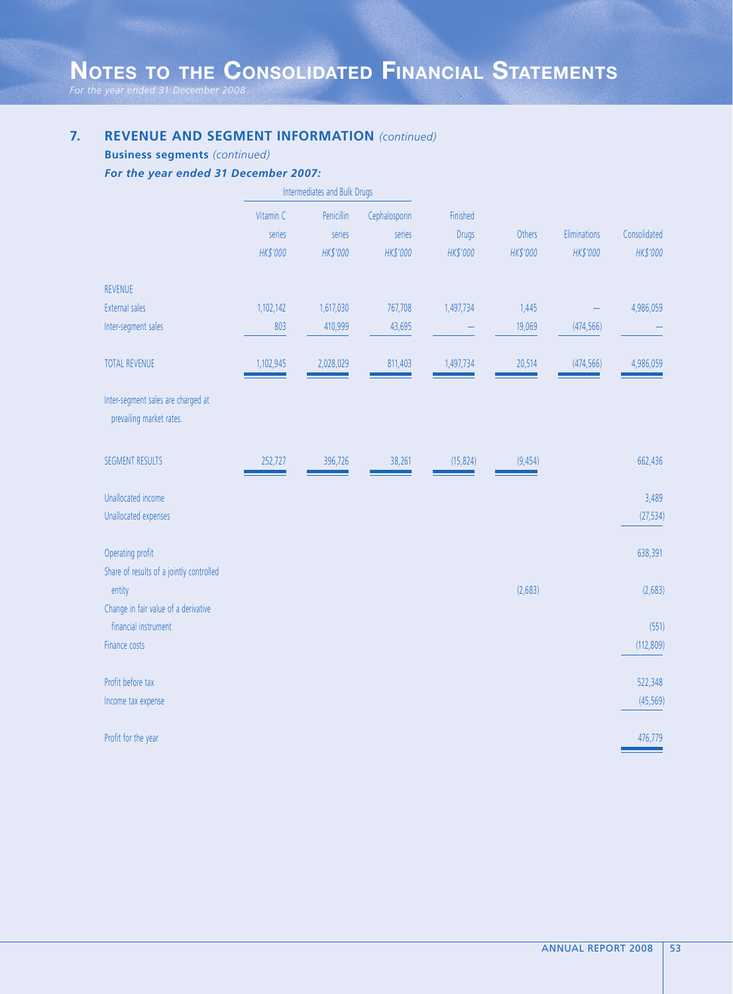*For the year ended 31 December 2008*

# **7. REVENUE AND SEGMENT INFORMATION** *(continued)*

**Business segments** *(continued)*

*For the year ended 31 December 2007:*

|                                                                | Intermediates and Bulk Drugs |            |               |              |          |              |              |
|----------------------------------------------------------------|------------------------------|------------|---------------|--------------|----------|--------------|--------------|
|                                                                | Vitamin C                    | Penicillin | Cephalosporin | Finished     |          |              |              |
|                                                                | series                       | series     | series        | <b>Drugs</b> | Others   | Eliminations | Consolidated |
|                                                                | HK\$'000                     | HK\$'000   | HK\$'000      | HK\$'000     | HK\$'000 | HK\$'000     | HK\$'000     |
| <b>REVENUE</b>                                                 |                              |            |               |              |          |              |              |
| External sales                                                 | 1,102,142                    | 1,617,030  | 767,708       | 1,497,734    | 1,445    |              | 4,986,059    |
| Inter-segment sales                                            | 803                          | 410,999    | 43,695        |              | 19,069   | (474, 566)   |              |
| <b>TOTAL REVENUE</b>                                           | 1,102,945                    | 2,028,029  | 811,403       | 1,497,734    | 20,514   | (474, 566)   | 4,986,059    |
| Inter-segment sales are charged at<br>prevailing market rates. |                              |            |               |              |          |              |              |
| <b>SEGMENT RESULTS</b>                                         | 252,727                      | 396,726    | 38,261        | (15, 824)    | (9, 454) |              | 662,436      |
| Unallocated income                                             |                              |            |               |              |          |              | 3,489        |
| Unallocated expenses                                           |                              |            |               |              |          |              | (27, 534)    |
| Operating profit<br>Share of results of a jointly controlled   |                              |            |               |              |          |              | 638,391      |
| entity                                                         |                              |            |               |              | (2,683)  |              | (2,683)      |
| Change in fair value of a derivative                           |                              |            |               |              |          |              |              |
| financial instrument                                           |                              |            |               |              |          |              | (551)        |
| Finance costs                                                  |                              |            |               |              |          |              | (112, 809)   |
| Profit before tax                                              |                              |            |               |              |          |              | 522,348      |
| Income tax expense                                             |                              |            |               |              |          |              | (45, 569)    |
| Profit for the year                                            |                              |            |               |              |          |              | 476,779      |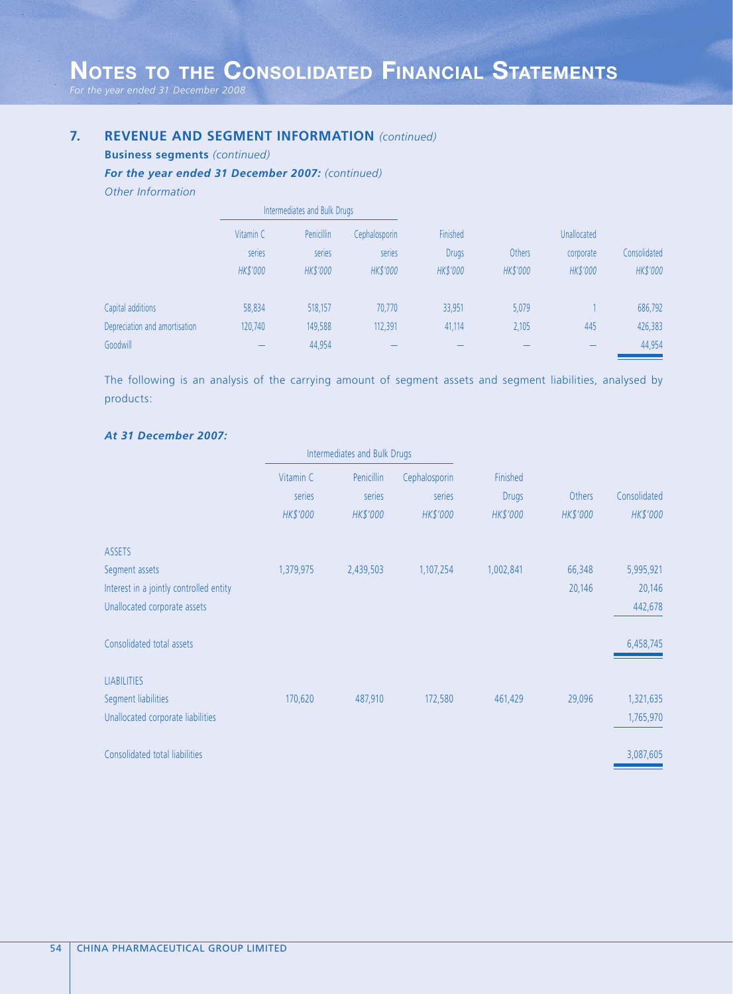*For the year ended 31 December 2008*

# **7. REVENUE AND SEGMENT INFORMATION** *(continued)*

**Business segments** *(continued)*

## *For the year ended 31 December 2007: (continued)*

*Other Information*

|                               | Intermediates and Bulk Drugs |                   |                 |                 |                 |                 |              |  |
|-------------------------------|------------------------------|-------------------|-----------------|-----------------|-----------------|-----------------|--------------|--|
|                               | Vitamin C                    | <b>Penicillin</b> | Cephalosporin   | Finished        | Unallocated     |                 |              |  |
|                               | series                       | series            | series          | <b>Drugs</b>    | Others          | corporate       | Consolidated |  |
|                               | <b>HK\$'000</b>              | <b>HK\$'000</b>   | <b>HK\$'000</b> | <b>HK\$'000</b> | <b>HK\$'000</b> | <b>HK\$'000</b> | HK\$'000     |  |
| Capital additions             | 58,834                       | 518,157           | 70.770          | 33,951          | 5,079           |                 | 686,792      |  |
| Depreciation and amortisation | 120,740                      | 149,588           | 112,391         | 41,114          | 2,105           | 445             | 426,383      |  |
| Goodwill                      |                              | 44,954            |                 |                 |                 |                 | 44,954       |  |

The following is an analysis of the carrying amount of segment assets and segment liabilities, analysed by products:

#### *At 31 December 2007:*

|                                         |           | Intermediates and Bulk Drugs |               |              |          |              |
|-----------------------------------------|-----------|------------------------------|---------------|--------------|----------|--------------|
|                                         | Vitamin C | Penicillin                   | Cephalosporin | Finished     |          |              |
|                                         | series    | series                       | series        | <b>Drugs</b> | Others   | Consolidated |
|                                         | HK\$'000  | HK\$'000                     | HK\$'000      | HK\$'000     | HK\$'000 | HK\$'000     |
| <b>ASSETS</b>                           |           |                              |               |              |          |              |
| Segment assets                          | 1,379,975 | 2,439,503                    | 1,107,254     | 1,002,841    | 66,348   | 5,995,921    |
| Interest in a jointly controlled entity |           |                              |               |              | 20,146   | 20,146       |
| Unallocated corporate assets            |           |                              |               |              |          | 442,678      |
| Consolidated total assets               |           |                              |               |              |          | 6,458,745    |
| <b>LIABILITIES</b>                      |           |                              |               |              |          |              |
| Segment liabilities                     | 170,620   | 487,910                      | 172,580       | 461,429      | 29,096   | 1,321,635    |
| Unallocated corporate liabilities       |           |                              |               |              |          | 1,765,970    |
| <b>Consolidated total liabilities</b>   |           |                              |               |              |          | 3,087,605    |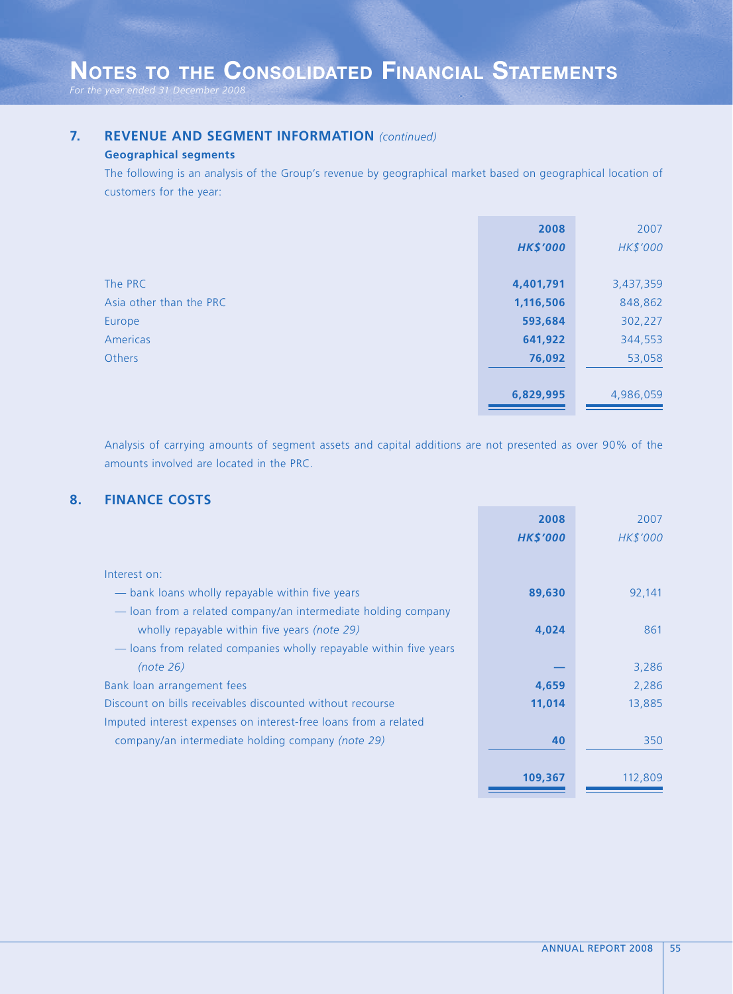*For the year ended 31 December 2008*

## **7. REVENUE AND SEGMENT INFORMATION** *(continued)*

## **Geographical segments**

The following is an analysis of the Group's revenue by geographical market based on geographical location of customers for the year:

|                         | 2008            | 2007      |
|-------------------------|-----------------|-----------|
|                         | <b>HK\$'000</b> | HK\$'000  |
|                         |                 |           |
| The PRC                 | 4,401,791       | 3,437,359 |
| Asia other than the PRC | 1,116,506       | 848,862   |
| Europe                  | 593,684         | 302,227   |
| Americas                | 641,922         | 344,553   |
| <b>Others</b>           | 76,092          | 53,058    |
|                         |                 |           |
|                         | 6,829,995       | 4,986,059 |

Analysis of carrying amounts of segment assets and capital additions are not presented as over 90% of the amounts involved are located in the PRC.

# **8. FINANCE COSTS**

|                                                                   | 2008            | 2007     |
|-------------------------------------------------------------------|-----------------|----------|
|                                                                   | <b>HK\$'000</b> | HK\$'000 |
|                                                                   |                 |          |
| Interest on:                                                      |                 |          |
| - bank loans wholly repayable within five years                   | 89,630          | 92,141   |
| - loan from a related company/an intermediate holding company     |                 |          |
| wholly repayable within five years (note 29)                      | 4,024           | 861      |
| — loans from related companies wholly repayable within five years |                 |          |
| (note 26)                                                         |                 | 3,286    |
| Bank loan arrangement fees                                        | 4,659           | 2,286    |
| Discount on bills receivables discounted without recourse         | 11,014          | 13,885   |
| Imputed interest expenses on interest-free loans from a related   |                 |          |
| company/an intermediate holding company (note 29)                 | 40              | 350      |
|                                                                   |                 |          |
|                                                                   | 109,367         | 112,809  |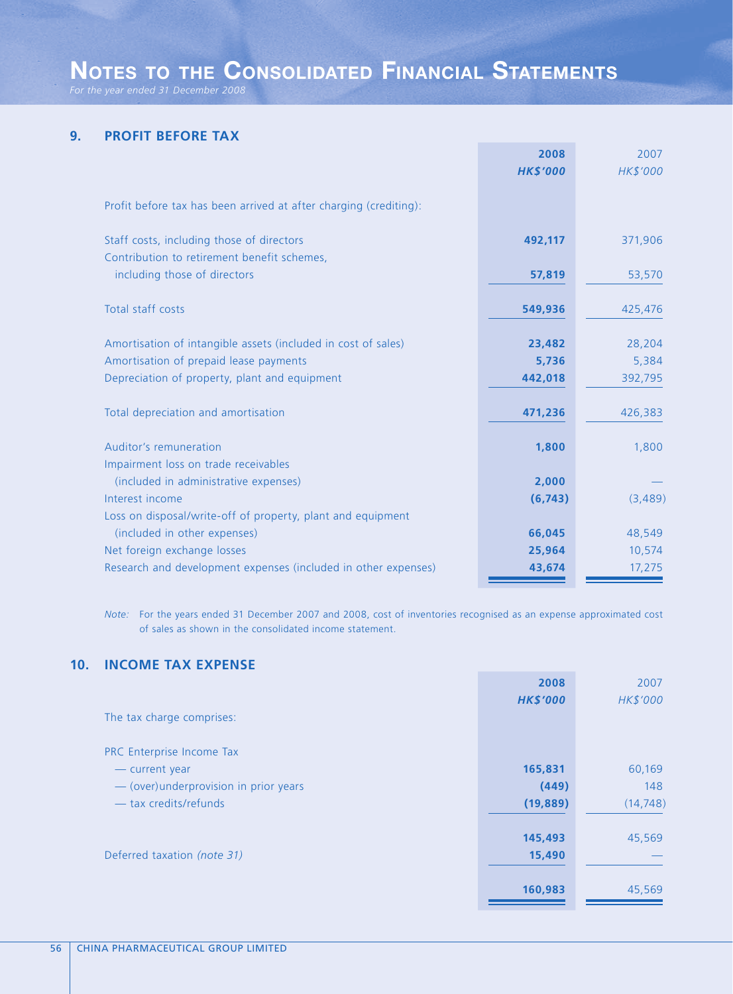*For the year ended 31 December 2008*

## **9. PROFIT BEFORE TAX**

|                                                                   | 2008            | 2007     |
|-------------------------------------------------------------------|-----------------|----------|
|                                                                   | <b>HK\$'000</b> | HK\$'000 |
|                                                                   |                 |          |
| Profit before tax has been arrived at after charging (crediting): |                 |          |
|                                                                   |                 |          |
| Staff costs, including those of directors                         | 492,117         | 371,906  |
| Contribution to retirement benefit schemes,                       |                 |          |
|                                                                   |                 |          |
| including those of directors                                      | 57,819          | 53,570   |
|                                                                   |                 |          |
| Total staff costs                                                 | 549,936         | 425,476  |
|                                                                   |                 |          |
| Amortisation of intangible assets (included in cost of sales)     | 23,482          | 28,204   |
| Amortisation of prepaid lease payments                            | 5,736           | 5,384    |
| Depreciation of property, plant and equipment                     | 442,018         | 392,795  |
|                                                                   |                 |          |
| Total depreciation and amortisation                               | 471,236         | 426,383  |
|                                                                   |                 |          |
| Auditor's remuneration                                            | 1,800           | 1,800    |
| Impairment loss on trade receivables                              |                 |          |
| (included in administrative expenses)                             | 2,000           |          |
| Interest income                                                   | (6, 743)        | (3,489)  |
| Loss on disposal/write-off of property, plant and equipment       |                 |          |
| (included in other expenses)                                      | 66,045          | 48,549   |
|                                                                   |                 |          |
| Net foreign exchange losses                                       | 25,964          | 10,574   |
| Research and development expenses (included in other expenses)    | 43,674          | 17,275   |

*Note:* For the years ended 31 December 2007 and 2008, cost of inventories recognised as an expense approximated cost of sales as shown in the consolidated income statement.

# **10. INCOME TAX EXPENSE**

|                                        | 2008            | 2007      |
|----------------------------------------|-----------------|-----------|
|                                        | <b>HK\$'000</b> | HK\$'000  |
| The tax charge comprises:              |                 |           |
|                                        |                 |           |
| PRC Enterprise Income Tax              |                 |           |
| - current year                         | 165,831         | 60,169    |
| - (over) underprovision in prior years | (449)           | 148       |
| — tax credits/refunds                  | (19, 889)       | (14, 748) |
|                                        |                 |           |
|                                        | 145,493         | 45,569    |
| Deferred taxation (note 31)            | 15,490          |           |
|                                        |                 |           |
|                                        | 160,983         | 45,569    |
|                                        |                 |           |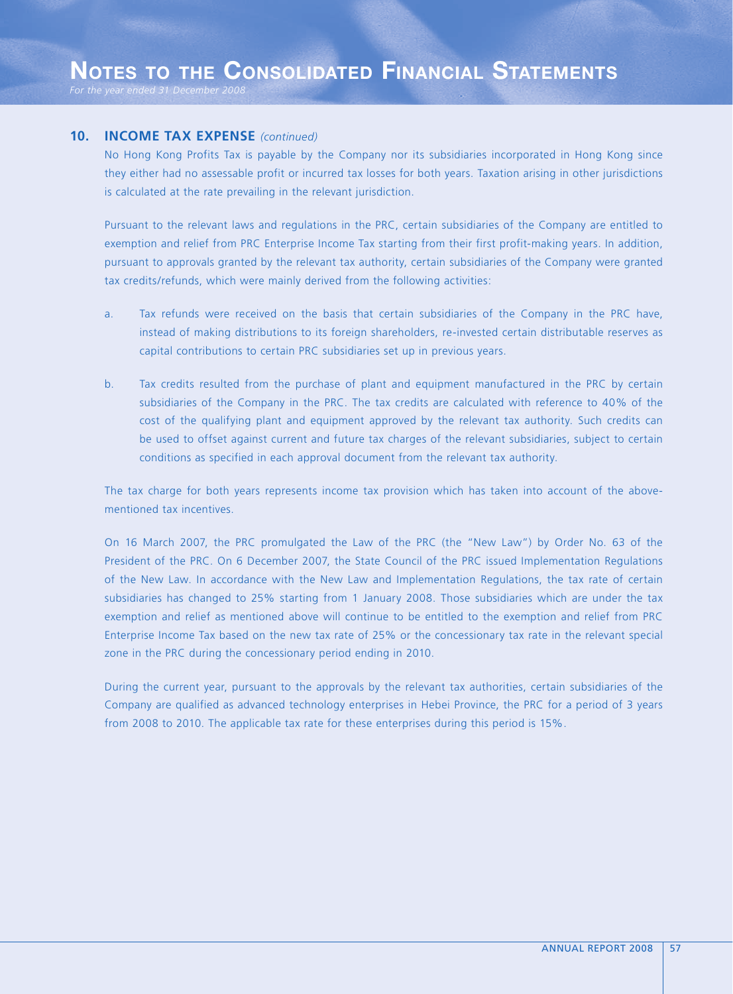## **10. INCOME TAX EXPENSE** *(continued)*

No Hong Kong Profits Tax is payable by the Company nor its subsidiaries incorporated in Hong Kong since they either had no assessable profit or incurred tax losses for both years. Taxation arising in other jurisdictions is calculated at the rate prevailing in the relevant jurisdiction.

Pursuant to the relevant laws and regulations in the PRC, certain subsidiaries of the Company are entitled to exemption and relief from PRC Enterprise Income Tax starting from their first profit-making years. In addition, pursuant to approvals granted by the relevant tax authority, certain subsidiaries of the Company were granted tax credits/refunds, which were mainly derived from the following activities:

- a. Tax refunds were received on the basis that certain subsidiaries of the Company in the PRC have, instead of making distributions to its foreign shareholders, re-invested certain distributable reserves as capital contributions to certain PRC subsidiaries set up in previous years.
- b. Tax credits resulted from the purchase of plant and equipment manufactured in the PRC by certain subsidiaries of the Company in the PRC. The tax credits are calculated with reference to 40% of the cost of the qualifying plant and equipment approved by the relevant tax authority. Such credits can be used to offset against current and future tax charges of the relevant subsidiaries, subject to certain conditions as specified in each approval document from the relevant tax authority.

The tax charge for both years represents income tax provision which has taken into account of the abovementioned tax incentives.

On 16 March 2007, the PRC promulgated the Law of the PRC (the "New Law") by Order No. 63 of the President of the PRC. On 6 December 2007, the State Council of the PRC issued Implementation Regulations of the New Law. In accordance with the New Law and Implementation Regulations, the tax rate of certain subsidiaries has changed to 25% starting from 1 January 2008. Those subsidiaries which are under the tax exemption and relief as mentioned above will continue to be entitled to the exemption and relief from PRC Enterprise Income Tax based on the new tax rate of 25% or the concessionary tax rate in the relevant special zone in the PRC during the concessionary period ending in 2010.

During the current year, pursuant to the approvals by the relevant tax authorities, certain subsidiaries of the Company are qualified as advanced technology enterprises in Hebei Province, the PRC for a period of 3 years from 2008 to 2010. The applicable tax rate for these enterprises during this period is 15%.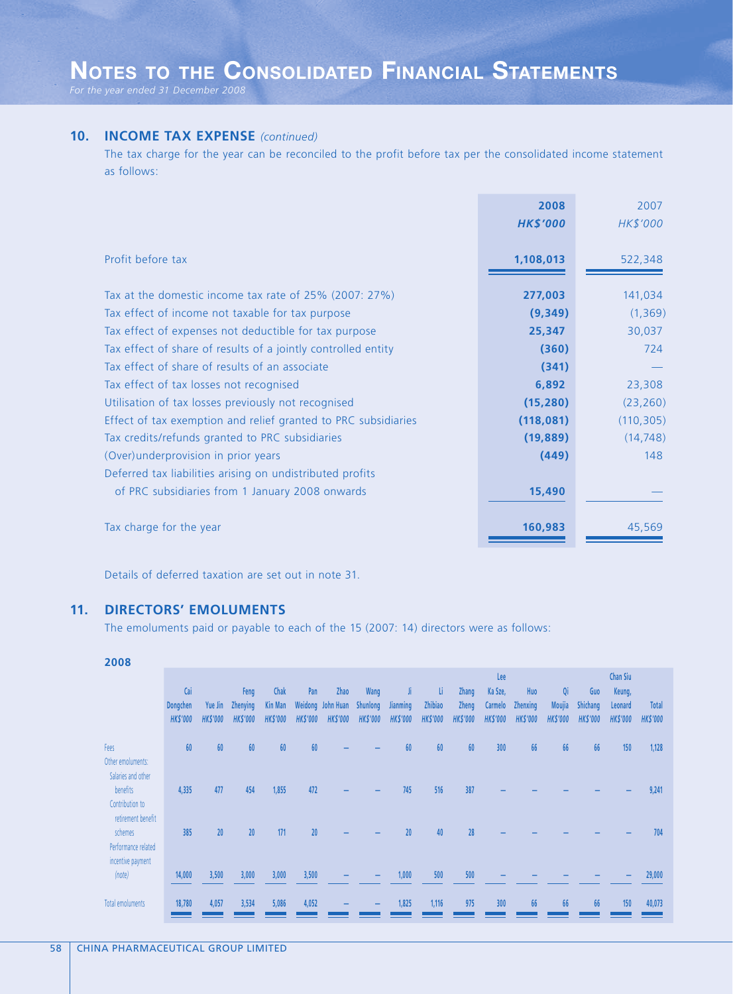*For the year ended 31 December 2008*

## **10. INCOME TAX EXPENSE** *(continued)*

The tax charge for the year can be reconciled to the profit before tax per the consolidated income statement as follows:

|                                                                | 2008<br><b>HK\$'000</b> | 2007<br>HK\$'000 |
|----------------------------------------------------------------|-------------------------|------------------|
| Profit before tax                                              | 1,108,013               | 522,348          |
| Tax at the domestic income tax rate of 25% (2007: 27%)         | 277,003                 | 141,034          |
| Tax effect of income not taxable for tax purpose               | (9, 349)                | (1, 369)         |
| Tax effect of expenses not deductible for tax purpose          | 25,347                  | 30,037           |
| Tax effect of share of results of a jointly controlled entity  | (360)                   | 724              |
| Tax effect of share of results of an associate                 | (341)                   |                  |
| Tax effect of tax losses not recognised                        | 6,892                   | 23,308           |
| Utilisation of tax losses previously not recognised            | (15, 280)               | (23, 260)        |
| Effect of tax exemption and relief granted to PRC subsidiaries | (118, 081)              | (110, 305)       |
| Tax credits/refunds granted to PRC subsidiaries                | (19, 889)               | (14, 748)        |
| (Over) underprovision in prior years                           | (449)                   | 148              |
| Deferred tax liabilities arising on undistributed profits      |                         |                  |
| of PRC subsidiaries from 1 January 2008 onwards                | 15,490                  |                  |
| Tax charge for the year                                        | 160,983                 | 45,569           |

Details of deferred taxation are set out in note 31.

## **11. DIRECTORS' EMOLUMENTS**

The emoluments paid or payable to each of the 15 (2007: 14) directors were as follows:

#### **2008**

|                     |                 |                 |                 |                 |                 |                   |                 |                 |                 |                 | Lee             |                 |                 |                 | <b>Chan Siu</b> |                 |
|---------------------|-----------------|-----------------|-----------------|-----------------|-----------------|-------------------|-----------------|-----------------|-----------------|-----------------|-----------------|-----------------|-----------------|-----------------|-----------------|-----------------|
|                     | Cai             |                 | Feng            | Chak            | Pan             | Zhao              | Wang            | Ji              | -li             | <b>Zhang</b>    | Ka Sze,         | Huo             | Qi              | Guo             | Keung,          |                 |
|                     | Dongchen        | Yue Jin         | <b>Zhenying</b> | <b>Kin Man</b>  |                 | Weidong John Huan | <b>Shunlong</b> | Jianming        | Zhibiao         | <b>Zheng</b>    | Carmelo         | <b>Zhenxing</b> | <b>Moujia</b>   | <b>Shichang</b> | Leonard         | <b>Total</b>    |
|                     | <b>HK\$'000</b> | <b>HKS'000</b>  | <b>HKS'000</b>  | <b>HK\$'000</b> | <b>HK\$'000</b> | <b>HK\$'000</b>   | <b>HK\$'000</b> | <b>HK\$'000</b> | <b>HK\$'000</b> | <b>HK\$'000</b> | <b>HK\$'000</b> | <b>HKS'000</b>  | <b>HK\$'000</b> | <b>HKS'000</b>  | <b>HK\$'000</b> | <b>HK\$'000</b> |
|                     |                 |                 |                 |                 |                 |                   |                 |                 |                 |                 |                 |                 |                 |                 |                 |                 |
| Fees                | 60              | 60              | 60              | 60              | 60              |                   |                 | 60              | 60              | 60              | 300             | 66              | 66              | 66              | 150             | 1,128           |
| Other emoluments:   |                 |                 |                 |                 |                 |                   |                 |                 |                 |                 |                 |                 |                 |                 |                 |                 |
| Salaries and other  |                 |                 |                 |                 |                 |                   |                 |                 |                 |                 |                 |                 |                 |                 |                 |                 |
| benefits            | 4,335           | 477             | 454             | 1,855           | 472             |                   |                 | 745             | 516             | 387             |                 |                 |                 |                 |                 | 9,241           |
| Contribution to     |                 |                 |                 |                 |                 |                   |                 |                 |                 |                 |                 |                 |                 |                 |                 |                 |
| retirement benefit  |                 |                 |                 |                 |                 |                   |                 |                 |                 |                 |                 |                 |                 |                 |                 |                 |
| schemes             | 385             | 20 <sup>°</sup> | 20 <sup>°</sup> | 171             | 20 <sup>°</sup> |                   |                 | 20              | 40              | 28              |                 |                 |                 |                 |                 | 704             |
| Performance related |                 |                 |                 |                 |                 |                   |                 |                 |                 |                 |                 |                 |                 |                 |                 |                 |
| incentive payment   |                 |                 |                 |                 |                 |                   |                 |                 |                 |                 |                 |                 |                 |                 |                 |                 |
| (note)              | 14,000          | 3,500           | 3,000           | 3,000           | 3,500           |                   |                 | 1,000           | 500             | 500             |                 |                 |                 |                 |                 | 29,000          |
|                     |                 |                 |                 |                 |                 |                   |                 |                 |                 |                 |                 |                 |                 |                 |                 |                 |
| Total emoluments    | 18,780          | 4,057           | 3,534           | 5,086           | 4,052           |                   |                 | 1,825           | 1,116           | 975             | 300             | 66              | 66              | 66              | 150             | 40,073          |
|                     |                 |                 |                 |                 |                 |                   |                 |                 |                 |                 |                 |                 |                 |                 |                 |                 |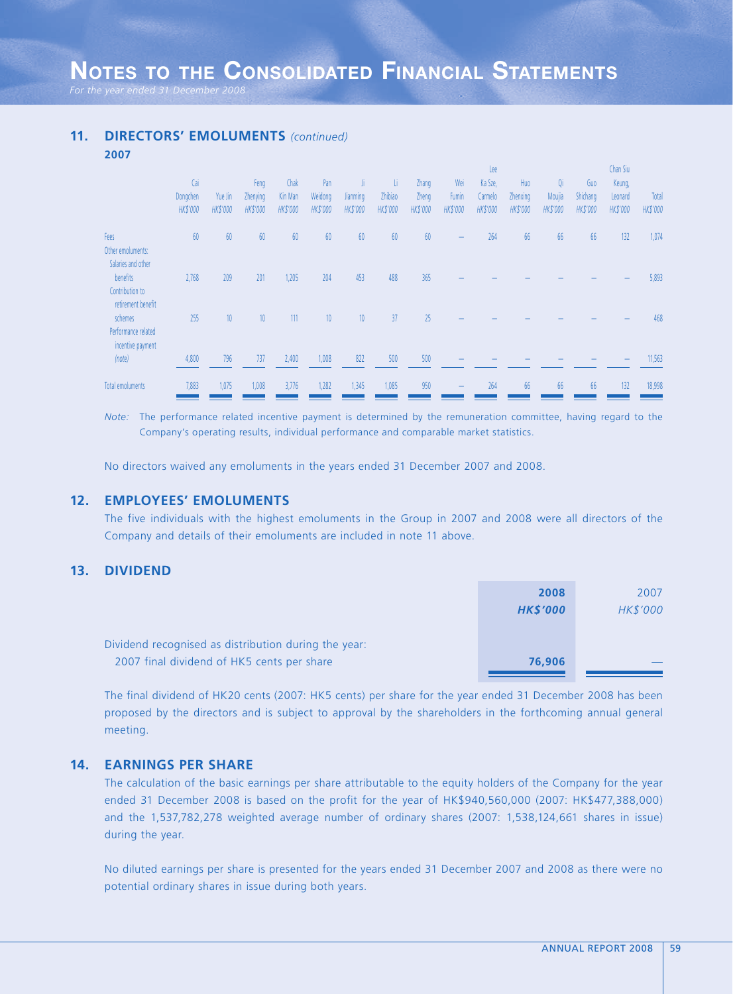## **11. DIRECTORS' EMOLUMENTS** *(continued)*

| 2007                                                 |                             |                            |                                     |                                    |                                   |                                   |                                   |                            |                                        |                                       |                                    |                                 |                             |                                      |                          |
|------------------------------------------------------|-----------------------------|----------------------------|-------------------------------------|------------------------------------|-----------------------------------|-----------------------------------|-----------------------------------|----------------------------|----------------------------------------|---------------------------------------|------------------------------------|---------------------------------|-----------------------------|--------------------------------------|--------------------------|
|                                                      |                             |                            |                                     |                                    |                                   |                                   |                                   |                            |                                        | Lee                                   |                                    |                                 |                             | Chan Siu                             |                          |
|                                                      | Cai<br>Dongchen<br>HK\$'000 | Yue Jin<br><b>HK\$'000</b> | Feng<br>Zhenying<br><b>HK\$'000</b> | Chak<br>Kin Man<br><b>HK\$'000</b> | Pan<br>Weidong<br><b>HK\$'000</b> | Ji<br>Jianming<br><b>HK\$'000</b> | Li.<br>Zhibiao<br><b>HK\$'000</b> | Zhang<br>Zheng<br>HK\$'000 | Wei<br><b>Fumin</b><br><b>HK\$'000</b> | Ka Sze,<br>Carmelo<br><b>HK\$'000</b> | Huo<br>Zhenxing<br><b>HK\$'000</b> | Qi<br>Moujia<br><b>HK\$'000</b> | Guo<br>Shichang<br>HK\$'000 | Keung,<br>Leonard<br><b>HK\$'000</b> | Total<br><b>HK\$'000</b> |
| Fees<br>Other emoluments:                            | 60                          | 60                         | 60                                  | 60                                 | 60                                | 60                                | 60                                | 60                         |                                        | 264                                   | 66                                 | 66                              | 66                          | 132                                  | 1,074                    |
| Salaries and other<br>benefits<br>Contribution to    | 2,768                       | 209                        | 201                                 | 1,205                              | 204                               | 453                               | 488                               | 365                        |                                        |                                       |                                    |                                 |                             |                                      | 5,893                    |
| retirement benefit<br>schemes<br>Performance related | 255                         | 10 <sup>°</sup>            | 10                                  | 111                                | 10 <sup>°</sup>                   | 10 <sup>°</sup>                   | 37                                | 25                         |                                        |                                       |                                    |                                 |                             |                                      | 468                      |
| incentive payment<br>(note)                          | 4,800                       | 796                        | 737                                 | 2,400                              | 1,008                             | 822                               | 500                               | 500                        |                                        |                                       |                                    |                                 |                             |                                      | 11,563                   |
| Total emoluments                                     | 7,883                       | 1,075                      | 1,008                               | 3,776                              | 1,282                             | 1,345                             | 1,085                             | 950                        |                                        | 264                                   | 66                                 | 66                              | 66                          | 132                                  | 18,998                   |

*Note:* The performance related incentive payment is determined by the remuneration committee, having regard to the Company's operating results, individual performance and comparable market statistics.

No directors waived any emoluments in the years ended 31 December 2007 and 2008.

## **12. EMPLOYEES' EMOLUMENTS**

The five individuals with the highest emoluments in the Group in 2007 and 2008 were all directors of the Company and details of their emoluments are included in note 11 above.

## **13. DIVIDEND**

| 2008            | 2007            |
|-----------------|-----------------|
| <b>HK\$'000</b> | <b>HK\$'000</b> |
|                 |                 |
|                 |                 |
| 76,906          |                 |
|                 |                 |

The final dividend of HK20 cents (2007: HK5 cents) per share for the year ended 31 December 2008 has been proposed by the directors and is subject to approval by the shareholders in the forthcoming annual general meeting.

## **14. EARNINGS PER SHARE**

The calculation of the basic earnings per share attributable to the equity holders of the Company for the year ended 31 December 2008 is based on the profit for the year of HK\$940,560,000 (2007: HK\$477,388,000) and the 1,537,782,278 weighted average number of ordinary shares (2007: 1,538,124,661 shares in issue) during the year.

No diluted earnings per share is presented for the years ended 31 December 2007 and 2008 as there were no potential ordinary shares in issue during both years.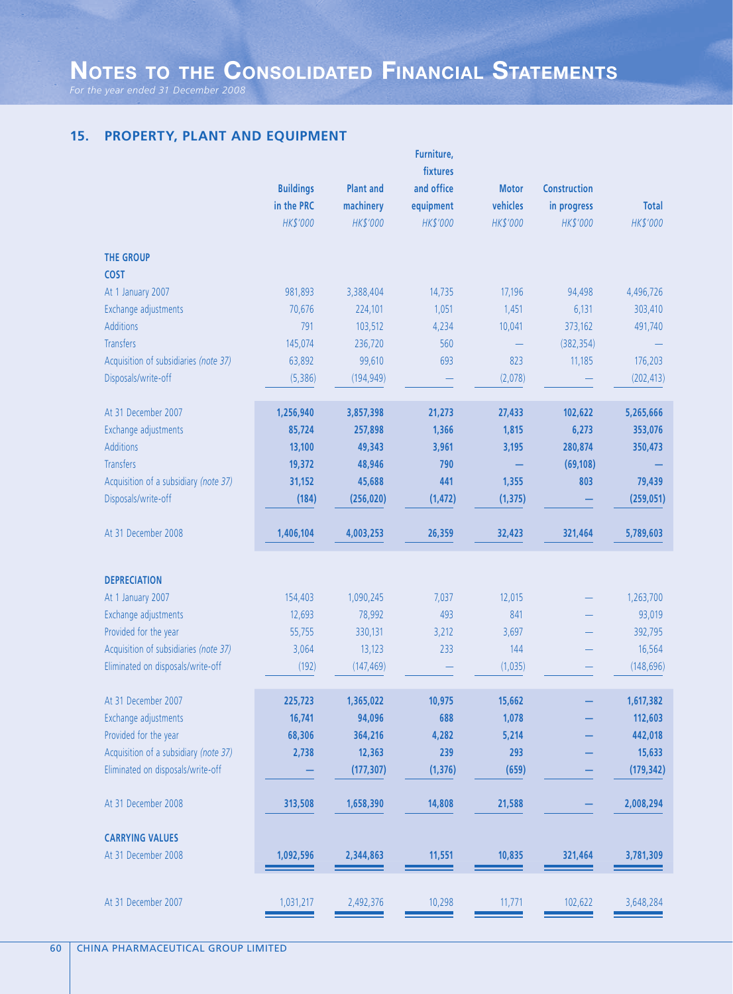*For the year ended 31 December 2008*

# **15. PROPERTY, PLANT AND EQUIPMENT**

|                                       |                  |                  | Furniture, |              |                     |              |
|---------------------------------------|------------------|------------------|------------|--------------|---------------------|--------------|
|                                       |                  |                  | fixtures   |              |                     |              |
|                                       | <b>Buildings</b> | <b>Plant and</b> | and office | <b>Motor</b> | <b>Construction</b> |              |
|                                       | in the PRC       | machinery        | equipment  | vehicles     | in progress         | <b>Total</b> |
|                                       | HK\$'000         | HK\$'000         | HK\$'000   | HK\$'000     | HK\$'000            | HK\$'000     |
| <b>THE GROUP</b>                      |                  |                  |            |              |                     |              |
| <b>COST</b>                           |                  |                  |            |              |                     |              |
| At 1 January 2007                     | 981,893          | 3,388,404        | 14,735     | 17,196       | 94,498              | 4,496,726    |
| Exchange adjustments                  | 70,676           | 224,101          | 1,051      | 1,451        | 6,131               | 303,410      |
| <b>Additions</b>                      | 791              | 103,512          | 4,234      | 10,041       | 373,162             | 491,740      |
| <b>Transfers</b>                      | 145,074          | 236,720          | 560        |              | (382, 354)          |              |
| Acquisition of subsidiaries (note 37) | 63,892           | 99,610           | 693        | 823          | 11,185              | 176,203      |
| Disposals/write-off                   | (5,386)          | (194, 949)       |            | (2,078)      |                     | (202, 413)   |
| At 31 December 2007                   | 1,256,940        | 3,857,398        | 21,273     | 27,433       | 102,622             | 5,265,666    |
| Exchange adjustments                  | 85,724           | 257,898          | 1,366      | 1,815        | 6,273               | 353,076      |
| <b>Additions</b>                      | 13,100           | 49,343           | 3,961      | 3,195        | 280,874             | 350,473      |
| <b>Transfers</b>                      | 19,372           | 48,946           | 790        |              | (69, 108)           |              |
| Acquisition of a subsidiary (note 37) | 31,152           | 45,688           | 441        | 1,355        | 803                 | 79,439       |
| Disposals/write-off                   | (184)            | (256, 020)       | (1, 472)   | (1, 375)     |                     | (259, 051)   |
| At 31 December 2008                   | 1,406,104        | 4,003,253        | 26,359     | 32,423       | 321,464             | 5,789,603    |
|                                       |                  |                  |            |              |                     |              |
| <b>DEPRECIATION</b>                   |                  |                  |            |              |                     |              |
| At 1 January 2007                     | 154,403          | 1,090,245        | 7,037      | 12,015       |                     | 1,263,700    |
| Exchange adjustments                  | 12,693           | 78,992           | 493        | 841          |                     | 93,019       |
| Provided for the year                 | 55,755           | 330,131          | 3,212      | 3,697        |                     | 392,795      |
| Acquisition of subsidiaries (note 37) | 3,064            | 13,123           | 233        | 144          |                     | 16,564       |
| Eliminated on disposals/write-off     | (192)            | (147, 469)       |            | (1,035)      |                     | (148, 696)   |
| At 31 December 2007                   | 225,723          | 1,365,022        | 10,975     | 15,662       |                     | 1,617,382    |
| Exchange adjustments                  | 16,741           | 94,096           | 688        | 1,078        |                     | 112,603      |
| Provided for the year                 | 68,306           | 364,216          | 4,282      | 5,214        |                     | 442,018      |
| Acquisition of a subsidiary (note 37) | 2,738            | 12,363           | 239        | 293          |                     | 15,633       |
| Eliminated on disposals/write-off     |                  | (177, 307)       | (1, 376)   | (659)        |                     | (179, 342)   |
| At 31 December 2008                   | 313,508          | 1,658,390        | 14,808     | 21,588       |                     | 2,008,294    |
| <b>CARRYING VALUES</b>                |                  |                  |            |              |                     |              |
| At 31 December 2008                   | 1,092,596        | 2,344,863        | 11,551     | 10,835       | 321,464             | 3,781,309    |
|                                       |                  |                  |            |              |                     |              |
| At 31 December 2007                   | 1,031,217        | 2,492,376        | 10,298     | 11,771       | 102,622             | 3,648,284    |
|                                       |                  |                  |            |              |                     |              |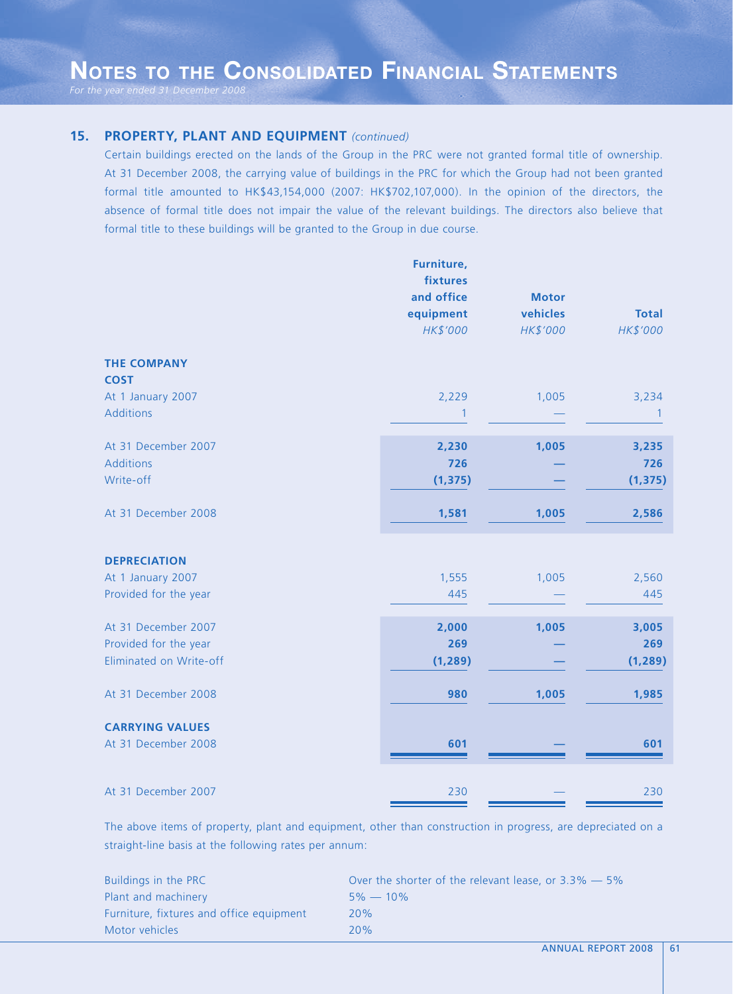*For the year ended 31 December 2008*

## **15. PROPERTY, PLANT AND EQUIPMENT** *(continued)*

Certain buildings erected on the lands of the Group in the PRC were not granted formal title of ownership. At 31 December 2008, the carrying value of buildings in the PRC for which the Group had not been granted formal title amounted to HK\$43,154,000 (2007: HK\$702,107,000). In the opinion of the directors, the absence of formal title does not impair the value of the relevant buildings. The directors also believe that formal title to these buildings will be granted to the Group in due course.

|                                                      | Furniture,<br>fixtures<br>and office<br>equipment<br>HK\$'000 | <b>Motor</b><br>vehicles<br>HK\$'000 | <b>Total</b><br>HK\$'000 |
|------------------------------------------------------|---------------------------------------------------------------|--------------------------------------|--------------------------|
| <b>THE COMPANY</b><br><b>COST</b>                    |                                                               |                                      |                          |
| At 1 January 2007<br><b>Additions</b>                | 2,229<br>$\overline{1}$                                       | 1,005                                | 3,234<br>1               |
| At 31 December 2007<br><b>Additions</b><br>Write-off | 2,230<br>726<br>(1, 375)                                      | 1,005                                | 3,235<br>726<br>(1, 375) |
| At 31 December 2008                                  | 1,581                                                         | 1,005                                | 2,586                    |
| <b>DEPRECIATION</b>                                  |                                                               |                                      |                          |
| At 1 January 2007<br>Provided for the year           | 1,555<br>445                                                  | 1,005                                | 2,560<br>445             |
| At 31 December 2007<br>Provided for the year         | 2,000<br>269                                                  | 1,005                                | 3,005<br>269             |
| Eliminated on Write-off                              | (1, 289)                                                      |                                      | (1, 289)                 |
| At 31 December 2008                                  | 980                                                           | 1,005                                | 1,985                    |
| <b>CARRYING VALUES</b><br>At 31 December 2008        | 601                                                           |                                      | 601                      |
|                                                      |                                                               |                                      |                          |
| At 31 December 2007                                  | 230                                                           |                                      | 230                      |

The above items of property, plant and equipment, other than construction in progress, are depreciated on a straight-line basis at the following rates per annum:

| Buildings in the PRC                     | Over the shorter of the relevant lease, or $3.3\%$ – 5% |
|------------------------------------------|---------------------------------------------------------|
| Plant and machinery                      | $5\% - 10\%$                                            |
| Furniture, fixtures and office equipment | 20%                                                     |
| Motor vehicles                           | 20%                                                     |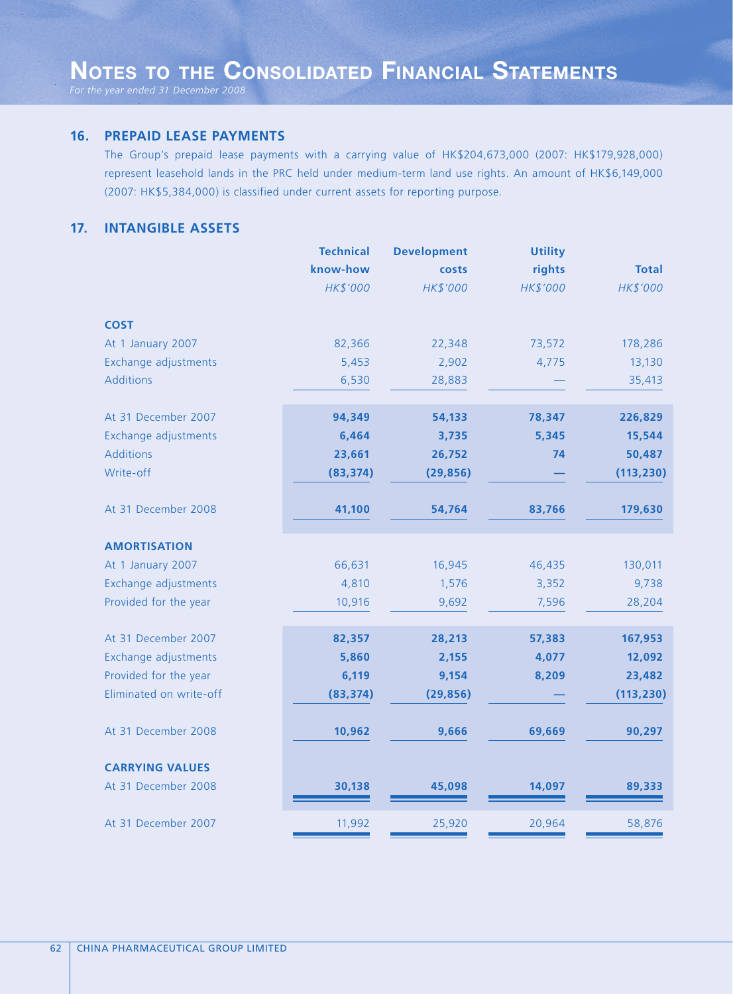*For the year ended 31 December 2008*

## **16. PREPAID LEASE PAYMENTS**

The Group's prepaid lease payments with a carrying value of HK\$204,673,000 (2007: HK\$179,928,000) represent leasehold lands in the PRC held under medium-term land use rights. An amount of HK\$6,149,000 (2007: HK\$5,384,000) is classified under current assets for reporting purpose.

# **17. INTANGIBLE ASSETS**

|                         | <b>Technical</b> | <b>Development</b> | <b>Utility</b> |              |
|-------------------------|------------------|--------------------|----------------|--------------|
|                         | know-how         | costs              | rights         | <b>Total</b> |
|                         | HK\$'000         | HK\$'000           | HK\$'000       | HK\$'000     |
| <b>COST</b>             |                  |                    |                |              |
| At 1 January 2007       | 82,366           | 22,348             | 73,572         | 178,286      |
| Exchange adjustments    | 5,453            | 2,902              | 4,775          | 13,130       |
| <b>Additions</b>        | 6,530            | 28,883             |                | 35,413       |
| At 31 December 2007     | 94,349           | 54,133             | 78,347         | 226,829      |
| Exchange adjustments    | 6,464            | 3,735              | 5,345          | 15,544       |
| <b>Additions</b>        | 23,661           | 26,752             | 74             | 50,487       |
| Write-off               | (83, 374)        | (29, 856)          |                | (113, 230)   |
|                         |                  |                    |                |              |
| At 31 December 2008     | 41,100           | 54,764             | 83,766         | 179,630      |
| <b>AMORTISATION</b>     |                  |                    |                |              |
| At 1 January 2007       | 66,631           | 16,945             | 46,435         | 130,011      |
| Exchange adjustments    | 4,810            | 1,576              | 3,352          | 9,738        |
| Provided for the year   | 10,916           | 9,692              | 7,596          | 28,204       |
|                         |                  |                    |                |              |
| At 31 December 2007     | 82,357           | 28,213             | 57,383         | 167,953      |
| Exchange adjustments    | 5,860            | 2,155              | 4,077          | 12,092       |
| Provided for the year   | 6,119            | 9,154              | 8,209          | 23,482       |
| Eliminated on write-off | (83, 374)        | (29, 856)          |                | (113, 230)   |
|                         |                  |                    |                |              |
| At 31 December 2008     | 10,962           | 9,666              | 69,669         | 90,297       |
| <b>CARRYING VALUES</b>  |                  |                    |                |              |
| At 31 December 2008     | 30,138           | 45,098             | 14,097         | 89,333       |
|                         |                  |                    |                |              |
| At 31 December 2007     | 11,992           | 25,920             | 20,964         | 58,876       |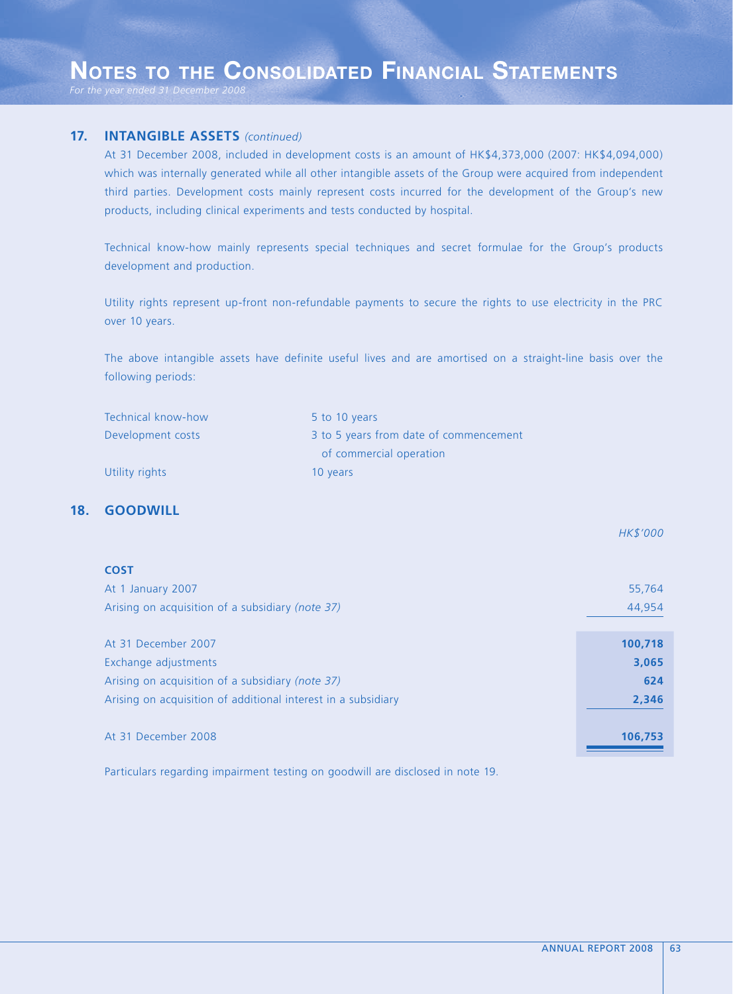## **17. INTANGIBLE ASSETS** *(continued)*

At 31 December 2008, included in development costs is an amount of HK\$4,373,000 (2007: HK\$4,094,000) which was internally generated while all other intangible assets of the Group were acquired from independent third parties. Development costs mainly represent costs incurred for the development of the Group's new products, including clinical experiments and tests conducted by hospital.

Technical know-how mainly represents special techniques and secret formulae for the Group's products development and production.

Utility rights represent up-front non-refundable payments to secure the rights to use electricity in the PRC over 10 years.

The above intangible assets have definite useful lives and are amortised on a straight-line basis over the following periods:

| Technical know-how | 5 to 10 years                          |
|--------------------|----------------------------------------|
| Development costs  | 3 to 5 years from date of commencement |
|                    | of commercial operation                |
| Utility rights     | 10 years                               |

## **18. GOODWILL**

| <b>COST</b>                                                   |         |
|---------------------------------------------------------------|---------|
| At 1 January 2007                                             | 55,764  |
| Arising on acquisition of a subsidiary (note 37)              | 44,954  |
|                                                               |         |
| At 31 December 2007                                           | 100,718 |
| Exchange adjustments                                          | 3,065   |
| Arising on acquisition of a subsidiary (note 37)              | 624     |
| Arising on acquisition of additional interest in a subsidiary | 2,346   |
|                                                               |         |
| At 31 December 2008                                           | 106,753 |
|                                                               |         |

Particulars regarding impairment testing on goodwill are disclosed in note 19.

*HK\$'000*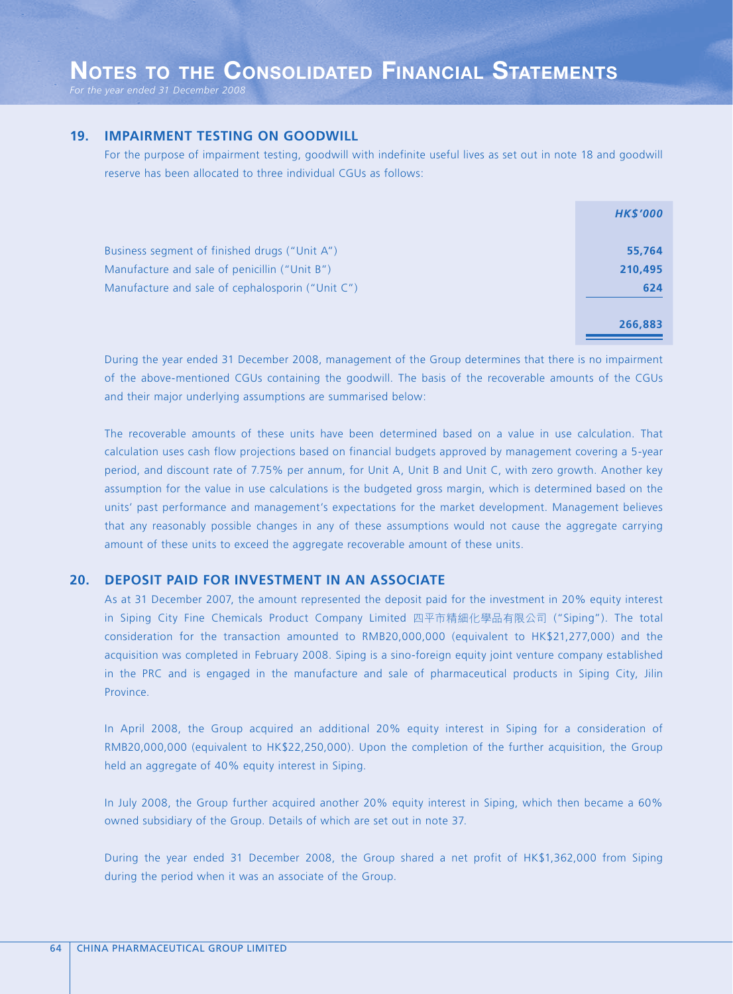## **19. IMPAIRMENT TESTING ON GOODWILL**

For the purpose of impairment testing, goodwill with indefinite useful lives as set out in note 18 and goodwill reserve has been allocated to three individual CGUs as follows:

| 55,764  |
|---------|
| 210,495 |
| 624     |
|         |
| 266,883 |
|         |

During the year ended 31 December 2008, management of the Group determines that there is no impairment of the above-mentioned CGUs containing the goodwill. The basis of the recoverable amounts of the CGUs and their major underlying assumptions are summarised below:

The recoverable amounts of these units have been determined based on a value in use calculation. That calculation uses cash flow projections based on financial budgets approved by management covering a 5-year period, and discount rate of 7.75% per annum, for Unit A, Unit B and Unit C, with zero growth. Another key assumption for the value in use calculations is the budgeted gross margin, which is determined based on the units' past performance and management's expectations for the market development. Management believes that any reasonably possible changes in any of these assumptions would not cause the aggregate carrying amount of these units to exceed the aggregate recoverable amount of these units.

## **20. DEPOSIT PAID FOR INVESTMENT IN AN ASSOCIATE**

As at 31 December 2007, the amount represented the deposit paid for the investment in 20% equity interest in Siping City Fine Chemicals Product Company Limited 四平市精細化學品有限公司 ("Siping"). The total consideration for the transaction amounted to RMB20,000,000 (equivalent to HK\$21,277,000) and the acquisition was completed in February 2008. Siping is a sino-foreign equity joint venture company established in the PRC and is engaged in the manufacture and sale of pharmaceutical products in Siping City, Jilin Province.

In April 2008, the Group acquired an additional 20% equity interest in Siping for a consideration of RMB20,000,000 (equivalent to HK\$22,250,000). Upon the completion of the further acquisition, the Group held an aggregate of 40% equity interest in Siping.

In July 2008, the Group further acquired another 20% equity interest in Siping, which then became a 60% owned subsidiary of the Group. Details of which are set out in note 37.

During the year ended 31 December 2008, the Group shared a net profit of HK\$1,362,000 from Siping during the period when it was an associate of the Group.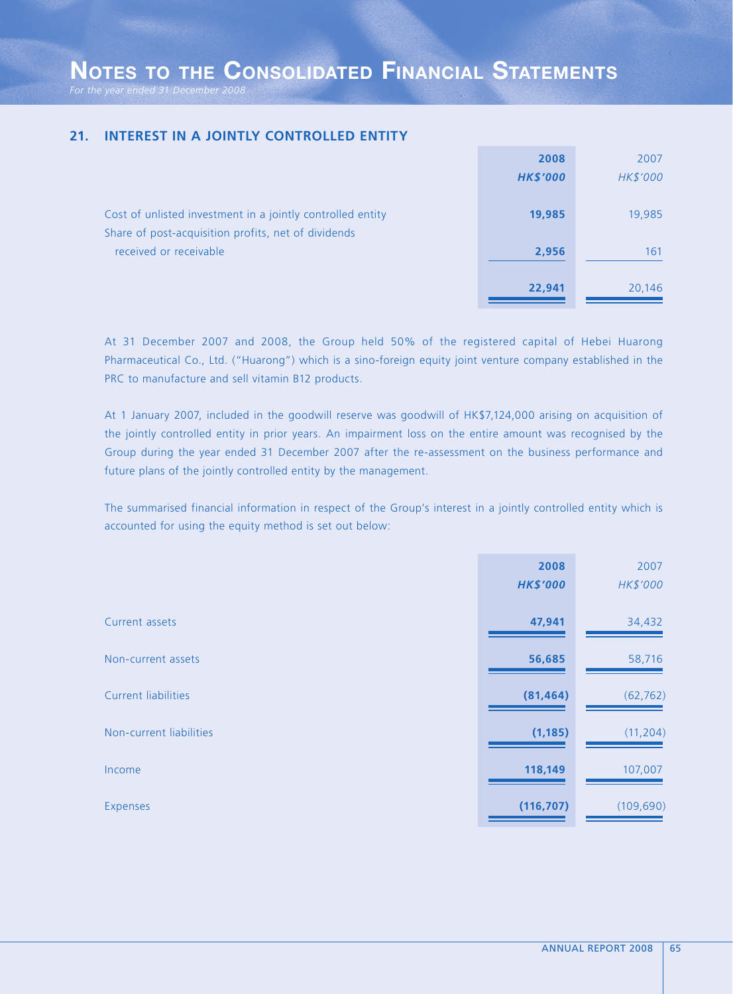*For the year ended 31 December 2008*

## **21. INTEREST IN A JOINTLY CONTROLLED ENTITY**

|                                                                                                                   | 2008            | 2007     |
|-------------------------------------------------------------------------------------------------------------------|-----------------|----------|
|                                                                                                                   | <b>HK\$'000</b> | HK\$'000 |
| Cost of unlisted investment in a jointly controlled entity<br>Share of post-acquisition profits, net of dividends | 19,985          | 19,985   |
| received or receivable                                                                                            | 2,956           | 161      |
|                                                                                                                   | 22,941          | 20.146   |

At 31 December 2007 and 2008, the Group held 50% of the registered capital of Hebei Huarong Pharmaceutical Co., Ltd. ("Huarong") which is a sino-foreign equity joint venture company established in the PRC to manufacture and sell vitamin B12 products.

At 1 January 2007, included in the goodwill reserve was goodwill of HK\$7,124,000 arising on acquisition of the jointly controlled entity in prior years. An impairment loss on the entire amount was recognised by the Group during the year ended 31 December 2007 after the re-assessment on the business performance and future plans of the jointly controlled entity by the management.

The summarised financial information in respect of the Group's interest in a jointly controlled entity which is accounted for using the equity method is set out below:

|                            | 2008<br><b>HK\$'000</b> | 2007<br>HK\$'000 |
|----------------------------|-------------------------|------------------|
| Current assets             | 47,941                  | 34,432           |
| Non-current assets         | 56,685                  | 58,716           |
| <b>Current liabilities</b> | (81, 464)               | (62, 762)        |
| Non-current liabilities    | (1, 185)                | (11, 204)        |
| Income                     | 118,149                 | 107,007          |
| Expenses                   | (116, 707)              | (109, 690)       |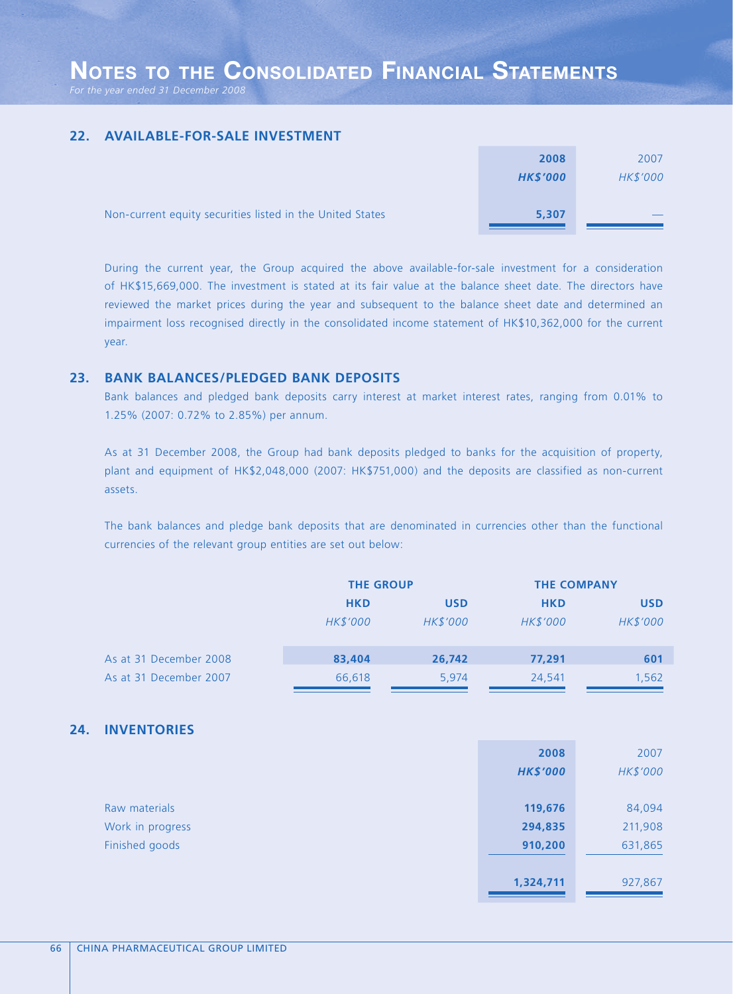## **22. AVAILABLE-FOR-SALE INVESTMENT**

|                                                           | 2008            | 2007     |
|-----------------------------------------------------------|-----------------|----------|
|                                                           | <b>HK\$'000</b> | HK\$'000 |
|                                                           |                 |          |
| Non-current equity securities listed in the United States | 5,307           |          |
|                                                           |                 |          |

During the current year, the Group acquired the above available-for-sale investment for a consideration of HK\$15,669,000. The investment is stated at its fair value at the balance sheet date. The directors have reviewed the market prices during the year and subsequent to the balance sheet date and determined an impairment loss recognised directly in the consolidated income statement of HK\$10,362,000 for the current year.

## **23. BANK BALANCES/PLEDGED BANK DEPOSITS**

Bank balances and pledged bank deposits carry interest at market interest rates, ranging from 0.01% to 1.25% (2007: 0.72% to 2.85%) per annum.

As at 31 December 2008, the Group had bank deposits pledged to banks for the acquisition of property, plant and equipment of HK\$2,048,000 (2007: HK\$751,000) and the deposits are classified as non-current assets.

The bank balances and pledge bank deposits that are denominated in currencies other than the functional currencies of the relevant group entities are set out below:

|                        | <b>THE GROUP</b> |            |            | <b>THE COMPANY</b> |  |
|------------------------|------------------|------------|------------|--------------------|--|
|                        | <b>HKD</b>       | <b>USD</b> | <b>HKD</b> | <b>USD</b>         |  |
|                        | HK\$'000         | HK\$'000   | HK\$'000   | HK\$'000           |  |
| As at 31 December 2008 | 83,404           | 26,742     | 77,291     | 601                |  |
| As at 31 December 2007 | 66,618           | 5,974      | 24,541     | 1,562              |  |

## **24. INVENTORIES**

|                  | 2008            | 2007     |
|------------------|-----------------|----------|
|                  | <b>HK\$'000</b> | HK\$'000 |
|                  |                 |          |
| Raw materials    | 119,676         | 84,094   |
| Work in progress | 294,835         | 211,908  |
| Finished goods   | 910,200         | 631,865  |
|                  |                 |          |
|                  | 1,324,711       | 927,867  |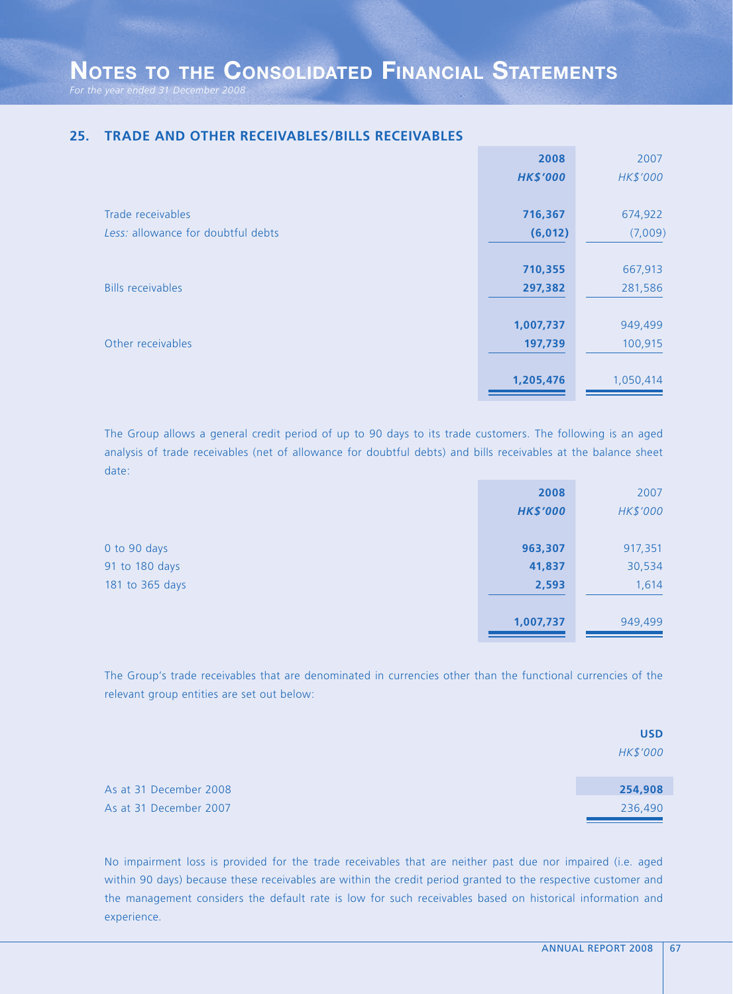*For the year ended 31 December 2008*

## **25. TRADE AND OTHER RECEIVABLES/BILLS RECEIVABLES**

|                                    | 2008            | 2007      |
|------------------------------------|-----------------|-----------|
|                                    | <b>HK\$'000</b> | HK\$'000  |
|                                    |                 |           |
| Trade receivables                  | 716,367         | 674,922   |
| Less: allowance for doubtful debts | (6,012)         | (7,009)   |
|                                    |                 |           |
|                                    | 710,355         | 667,913   |
| <b>Bills receivables</b>           | 297,382         | 281,586   |
|                                    |                 |           |
|                                    | 1,007,737       | 949,499   |
| Other receivables                  | 197,739         | 100,915   |
|                                    |                 |           |
|                                    | 1,205,476       | 1,050,414 |
|                                    |                 |           |

The Group allows a general credit period of up to 90 days to its trade customers. The following is an aged analysis of trade receivables (net of allowance for doubtful debts) and bills receivables at the balance sheet date:

|                 | 2008            | 2007     |
|-----------------|-----------------|----------|
|                 | <b>HK\$'000</b> | HK\$'000 |
|                 |                 |          |
| 0 to 90 days    | 963,307         | 917,351  |
| 91 to 180 days  | 41,837          | 30,534   |
| 181 to 365 days | 2,593           | 1,614    |
|                 |                 |          |
|                 | 1,007,737       | 949,499  |
|                 |                 |          |

The Group's trade receivables that are denominated in currencies other than the functional currencies of the relevant group entities are set out below:

|                        | <b>USD</b> |
|------------------------|------------|
|                        | HK\$'000   |
|                        |            |
| As at 31 December 2008 | 254,908    |
| As at 31 December 2007 | 236,490    |

No impairment loss is provided for the trade receivables that are neither past due nor impaired (i.e. aged within 90 days) because these receivables are within the credit period granted to the respective customer and the management considers the default rate is low for such receivables based on historical information and experience.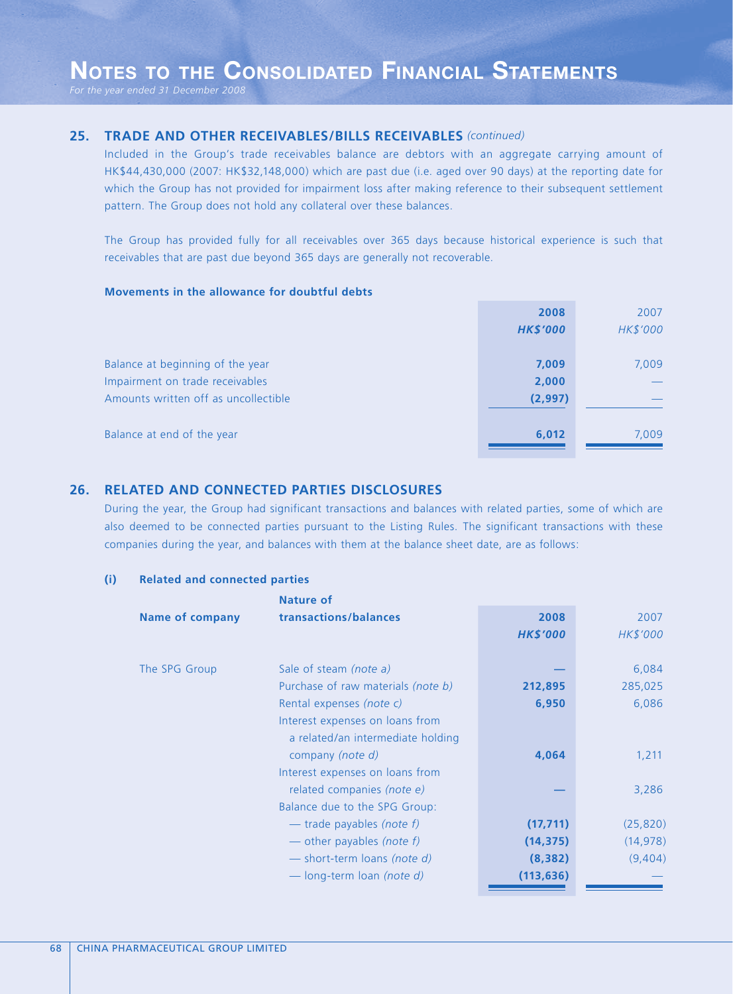## **25. TRADE AND OTHER RECEIVABLES/BILLS RECEIVABLES** *(continued)*

Included in the Group's trade receivables balance are debtors with an aggregate carrying amount of HK\$44,430,000 (2007: HK\$32,148,000) which are past due (i.e. aged over 90 days) at the reporting date for which the Group has not provided for impairment loss after making reference to their subsequent settlement pattern. The Group does not hold any collateral over these balances.

The Group has provided fully for all receivables over 365 days because historical experience is such that receivables that are past due beyond 365 days are generally not recoverable.

#### **Movements in the allowance for doubtful debts**

|                                      | 2008            | 2007     |
|--------------------------------------|-----------------|----------|
|                                      | <b>HK\$'000</b> | HK\$'000 |
|                                      |                 |          |
| Balance at beginning of the year     | 7,009           | 7,009    |
| Impairment on trade receivables      | 2,000           |          |
| Amounts written off as uncollectible | (2,997)         |          |
|                                      |                 |          |
| Balance at end of the year           | 6,012           | 7,009    |
|                                      |                 |          |

## **26. RELATED AND CONNECTED PARTIES DISCLOSURES**

During the year, the Group had significant transactions and balances with related parties, some of which are also deemed to be connected parties pursuant to the Listing Rules. The significant transactions with these companies during the year, and balances with them at the balance sheet date, are as follows:

#### **(i) Related and connected parties**

|                        | <b>Nature of</b>                   |                 |           |
|------------------------|------------------------------------|-----------------|-----------|
| <b>Name of company</b> | transactions/balances              | 2008            | 2007      |
|                        |                                    | <b>HK\$'000</b> | HK\$'000  |
| The SPG Group          | Sale of steam (note a)             |                 | 6,084     |
|                        | Purchase of raw materials (note b) | 212,895         | 285,025   |
|                        | Rental expenses (note c)           | 6,950           | 6,086     |
|                        | Interest expenses on loans from    |                 |           |
|                        | a related/an intermediate holding  |                 |           |
|                        | company (note d)                   | 4,064           | 1,211     |
|                        | Interest expenses on loans from    |                 |           |
|                        | related companies (note e)         |                 | 3,286     |
|                        | Balance due to the SPG Group:      |                 |           |
|                        | — trade payables (note f)          | (17, 711)       | (25, 820) |
|                        | — other payables (note f)          | (14, 375)       | (14, 978) |
|                        | - short-term loans (note d)        | (8, 382)        | (9,404)   |
|                        | — long-term loan (note d)          | (113, 636)      |           |
|                        |                                    |                 |           |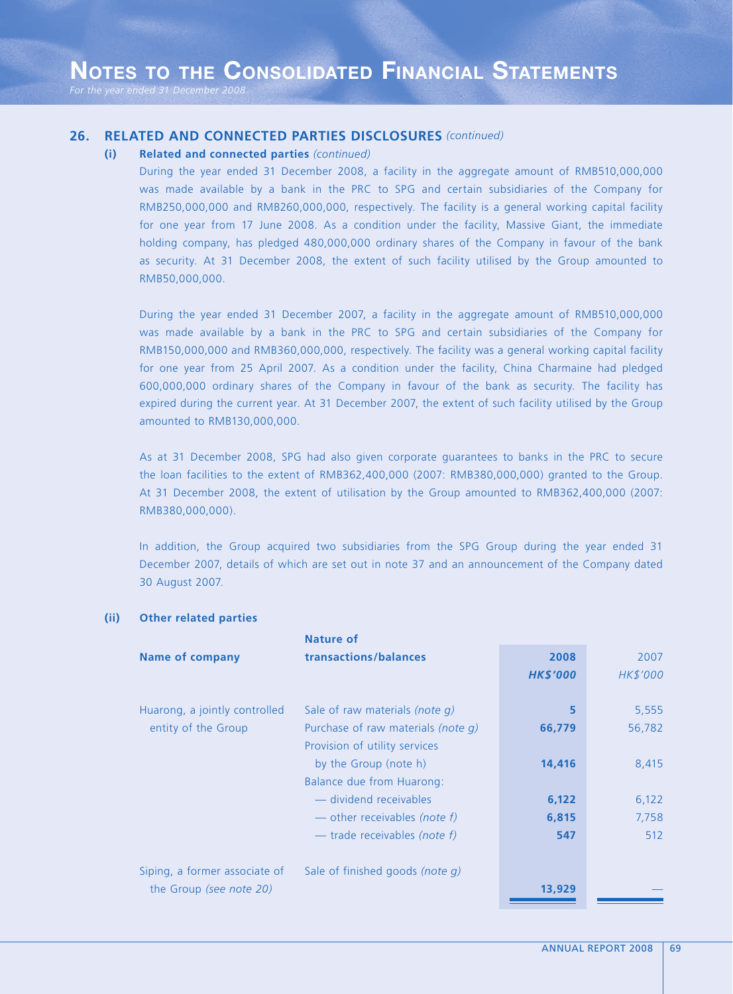## **26. RELATED AND CONNECTED PARTIES DISCLOSURES** *(continued)*

## **(i) Related and connected parties** *(continued)*

During the year ended 31 December 2008, a facility in the aggregate amount of RMB510,000,000 was made available by a bank in the PRC to SPG and certain subsidiaries of the Company for RMB250,000,000 and RMB260,000,000, respectively. The facility is a general working capital facility for one year from 17 June 2008. As a condition under the facility, Massive Giant, the immediate holding company, has pledged 480,000,000 ordinary shares of the Company in favour of the bank as security. At 31 December 2008, the extent of such facility utilised by the Group amounted to RMB50,000,000.

During the year ended 31 December 2007, a facility in the aggregate amount of RMB510,000,000 was made available by a bank in the PRC to SPG and certain subsidiaries of the Company for RMB150,000,000 and RMB360,000,000, respectively. The facility was a general working capital facility for one year from 25 April 2007. As a condition under the facility, China Charmaine had pledged 600,000,000 ordinary shares of the Company in favour of the bank as security. The facility has expired during the current year. At 31 December 2007, the extent of such facility utilised by the Group amounted to RMB130,000,000.

As at 31 December 2008, SPG had also given corporate guarantees to banks in the PRC to secure the loan facilities to the extent of RMB362,400,000 (2007: RMB380,000,000) granted to the Group. At 31 December 2008, the extent of utilisation by the Group amounted to RMB362,400,000 (2007: RMB380,000,000).

In addition, the Group acquired two subsidiaries from the SPG Group during the year ended 31 December 2007, details of which are set out in note 37 and an announcement of the Company dated 30 August 2007.

|                               | <b>Nature of</b>                   |                 |          |
|-------------------------------|------------------------------------|-----------------|----------|
| <b>Name of company</b>        | transactions/balances              | 2008            | 2007     |
|                               |                                    | <b>HK\$'000</b> | HK\$'000 |
| Huarong, a jointly controlled | Sale of raw materials (note q)     | 5               | 5,555    |
| entity of the Group           | Purchase of raw materials (note q) | 66,779          | 56,782   |
|                               | Provision of utility services      |                 |          |
|                               | by the Group (note h)              | 14,416          | 8,415    |
|                               | Balance due from Huarong:          |                 |          |
|                               | — dividend receivables             | 6,122           | 6,122    |
|                               | — other receivables (note f)       | 6,815           | 7,758    |
|                               | — trade receivables (note f)       | 547             | 512      |
| Siping, a former associate of | Sale of finished goods (note q)    |                 |          |
| the Group (see note 20)       |                                    | 13,929          |          |
|                               |                                    |                 |          |

## **(ii) Other related parties**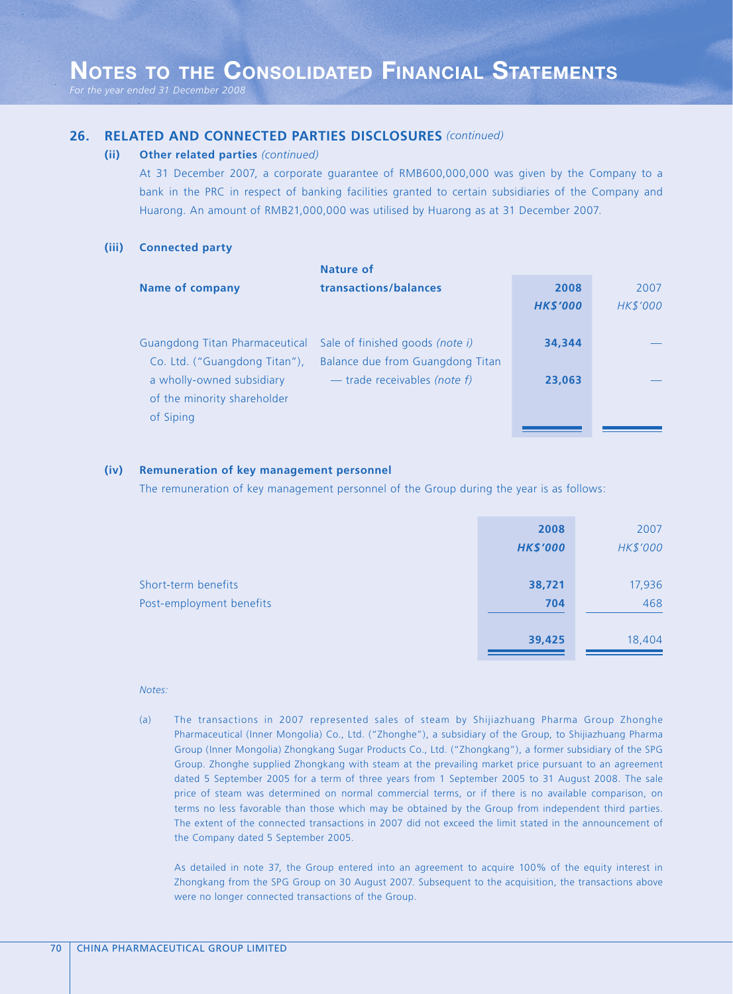## **26. RELATED AND CONNECTED PARTIES DISCLOSURES** *(continued)*

#### **(ii) Other related parties** *(continued)*

At 31 December 2007, a corporate guarantee of RMB600,000,000 was given by the Company to a bank in the PRC in respect of banking facilities granted to certain subsidiaries of the Company and Huarong. An amount of RMB21,000,000 was utilised by Huarong as at 31 December 2007.

#### **(iii) Connected party**

|                                | Nature of                        |                 |          |
|--------------------------------|----------------------------------|-----------------|----------|
| <b>Name of company</b>         | transactions/balances            | 2008            | 2007     |
|                                |                                  | <b>HK\$'000</b> | HK\$'000 |
|                                |                                  |                 |          |
| Guangdong Titan Pharmaceutical | Sale of finished goods (note i)  | 34,344          |          |
| Co. Ltd. ("Guangdong Titan"),  | Balance due from Guangdong Titan |                 |          |
| a wholly-owned subsidiary      | $-$ trade receivables (note f)   | 23,063          |          |
| of the minority shareholder    |                                  |                 |          |
| of Siping                      |                                  |                 |          |
|                                |                                  |                 |          |

#### **(iv) Remuneration of key management personnel**

The remuneration of key management personnel of the Group during the year is as follows:

|                          | 2008            | 2007     |
|--------------------------|-----------------|----------|
|                          | <b>HK\$'000</b> | HK\$'000 |
|                          |                 |          |
| Short-term benefits      | 38,721          | 17,936   |
| Post-employment benefits | 704             | 468      |
|                          |                 |          |
|                          | 39,425          | 18,404   |
|                          |                 |          |

#### *Notes:*

(a) The transactions in 2007 represented sales of steam by Shijiazhuang Pharma Group Zhonghe Pharmaceutical (Inner Mongolia) Co., Ltd. ("Zhonghe"), a subsidiary of the Group, to Shijiazhuang Pharma Group (Inner Mongolia) Zhongkang Sugar Products Co., Ltd. ("Zhongkang"), a former subsidiary of the SPG Group. Zhonghe supplied Zhongkang with steam at the prevailing market price pursuant to an agreement dated 5 September 2005 for a term of three years from 1 September 2005 to 31 August 2008. The sale price of steam was determined on normal commercial terms, or if there is no available comparison, on terms no less favorable than those which may be obtained by the Group from independent third parties. The extent of the connected transactions in 2007 did not exceed the limit stated in the announcement of the Company dated 5 September 2005.

As detailed in note 37, the Group entered into an agreement to acquire 100% of the equity interest in Zhongkang from the SPG Group on 30 August 2007. Subsequent to the acquisition, the transactions above were no longer connected transactions of the Group.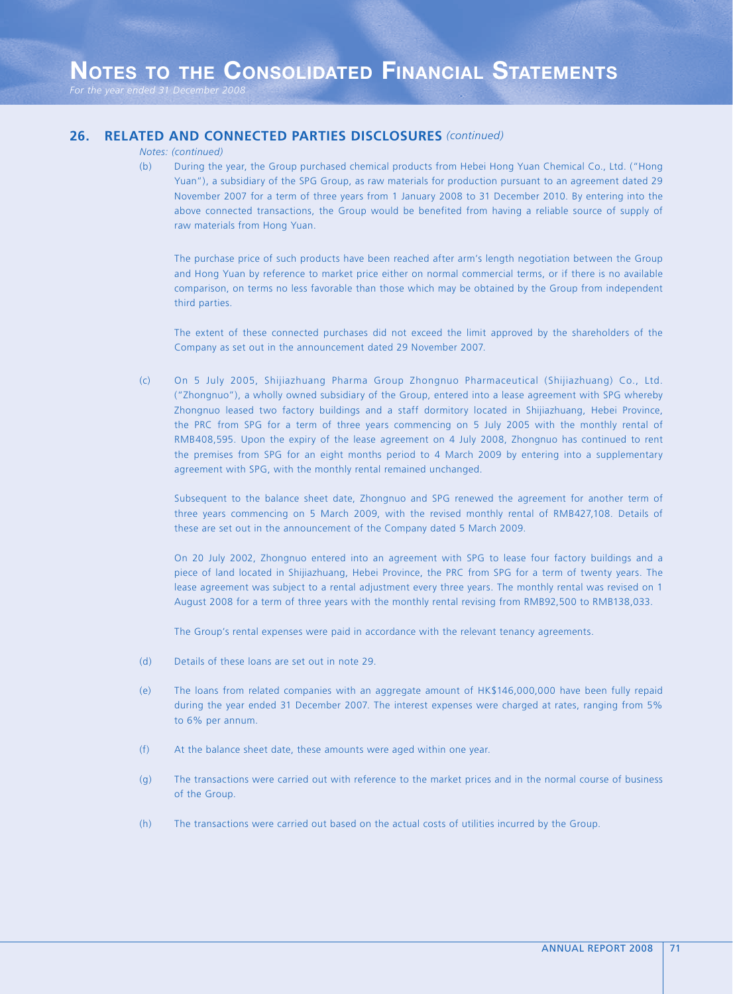## **26. RELATED AND CONNECTED PARTIES DISCLOSURES** *(continued)*

#### *Notes: (continued)*

(b) During the year, the Group purchased chemical products from Hebei Hong Yuan Chemical Co., Ltd. ("Hong Yuan"), a subsidiary of the SPG Group, as raw materials for production pursuant to an agreement dated 29 November 2007 for a term of three years from 1 January 2008 to 31 December 2010. By entering into the above connected transactions, the Group would be benefited from having a reliable source of supply of raw materials from Hong Yuan.

The purchase price of such products have been reached after arm's length negotiation between the Group and Hong Yuan by reference to market price either on normal commercial terms, or if there is no available comparison, on terms no less favorable than those which may be obtained by the Group from independent third parties.

The extent of these connected purchases did not exceed the limit approved by the shareholders of the Company as set out in the announcement dated 29 November 2007.

(c) On 5 July 2005, Shijiazhuang Pharma Group Zhongnuo Pharmaceutical (Shijiazhuang) Co., Ltd. ("Zhongnuo"), a wholly owned subsidiary of the Group, entered into a lease agreement with SPG whereby Zhongnuo leased two factory buildings and a staff dormitory located in Shijiazhuang, Hebei Province, the PRC from SPG for a term of three years commencing on 5 July 2005 with the monthly rental of RMB408,595. Upon the expiry of the lease agreement on 4 July 2008, Zhongnuo has continued to rent the premises from SPG for an eight months period to 4 March 2009 by entering into a supplementary agreement with SPG, with the monthly rental remained unchanged.

Subsequent to the balance sheet date, Zhongnuo and SPG renewed the agreement for another term of three years commencing on 5 March 2009, with the revised monthly rental of RMB427,108. Details of these are set out in the announcement of the Company dated 5 March 2009.

On 20 July 2002, Zhongnuo entered into an agreement with SPG to lease four factory buildings and a piece of land located in Shijiazhuang, Hebei Province, the PRC from SPG for a term of twenty years. The lease agreement was subject to a rental adjustment every three years. The monthly rental was revised on 1 August 2008 for a term of three years with the monthly rental revising from RMB92,500 to RMB138,033.

The Group's rental expenses were paid in accordance with the relevant tenancy agreements.

- (d) Details of these loans are set out in note 29.
- (e) The loans from related companies with an aggregate amount of HK\$146,000,000 have been fully repaid during the year ended 31 December 2007. The interest expenses were charged at rates, ranging from 5% to 6% per annum.
- (f) At the balance sheet date, these amounts were aged within one year.
- (g) The transactions were carried out with reference to the market prices and in the normal course of business of the Group.
- (h) The transactions were carried out based on the actual costs of utilities incurred by the Group.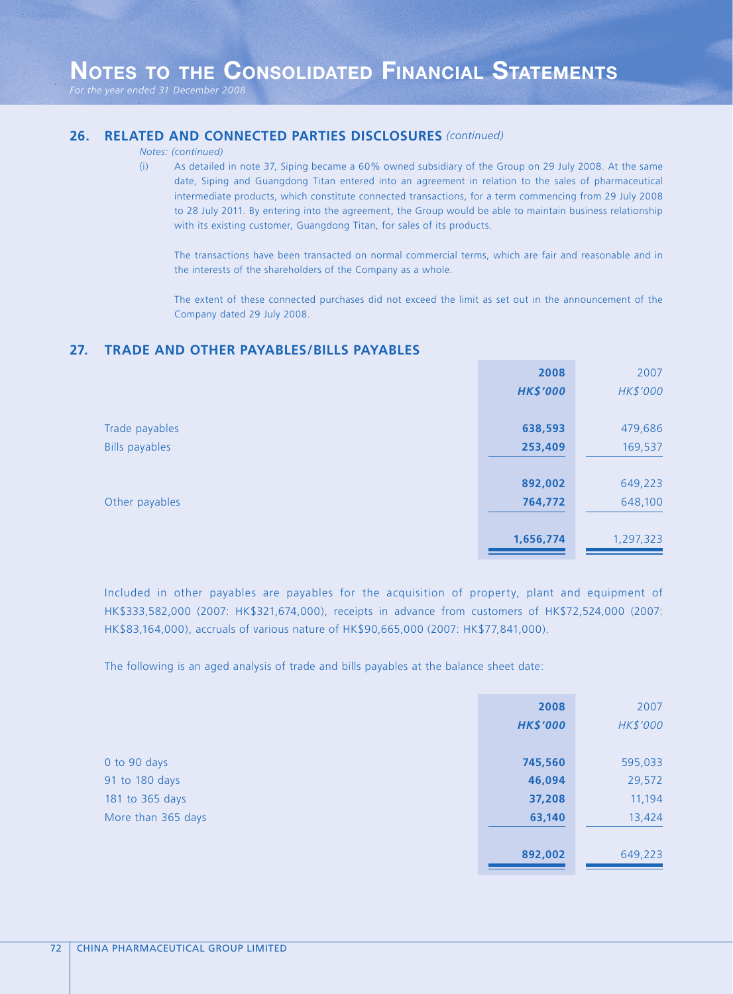#### **26. RELATED AND CONNECTED PARTIES DISCLOSURES** *(continued)*

#### *Notes: (continued)*

(i) As detailed in note 37, Siping became a 60% owned subsidiary of the Group on 29 July 2008. At the same date, Siping and Guangdong Titan entered into an agreement in relation to the sales of pharmaceutical intermediate products, which constitute connected transactions, for a term commencing from 29 July 2008 to 28 July 2011. By entering into the agreement, the Group would be able to maintain business relationship with its existing customer. Guangdong Titan, for sales of its products.

The transactions have been transacted on normal commercial terms, which are fair and reasonable and in the interests of the shareholders of the Company as a whole.

The extent of these connected purchases did not exceed the limit as set out in the announcement of the Company dated 29 July 2008.

#### **27. TRADE AND OTHER PAYABLES/BILLS PAYABLES**

|                       | 2008            | 2007      |
|-----------------------|-----------------|-----------|
|                       | <b>HK\$'000</b> | HK\$'000  |
|                       |                 |           |
| Trade payables        | 638,593         | 479,686   |
| <b>Bills payables</b> | 253,409         | 169,537   |
|                       |                 |           |
|                       | 892,002         | 649,223   |
| Other payables        | 764,772         | 648,100   |
|                       |                 |           |
|                       | 1,656,774       | 1,297,323 |
|                       |                 |           |

Included in other payables are payables for the acquisition of property, plant and equipment of HK\$333,582,000 (2007: HK\$321,674,000), receipts in advance from customers of HK\$72,524,000 (2007: HK\$83,164,000), accruals of various nature of HK\$90,665,000 (2007: HK\$77,841,000).

The following is an aged analysis of trade and bills payables at the balance sheet date:

|                    | 2008            | 2007     |
|--------------------|-----------------|----------|
|                    | <b>HK\$'000</b> | HK\$'000 |
|                    |                 |          |
| 0 to 90 days       | 745,560         | 595,033  |
| 91 to 180 days     | 46,094          | 29,572   |
| 181 to 365 days    | 37,208          | 11,194   |
| More than 365 days | 63,140          | 13,424   |
|                    |                 |          |
|                    | 892,002         | 649,223  |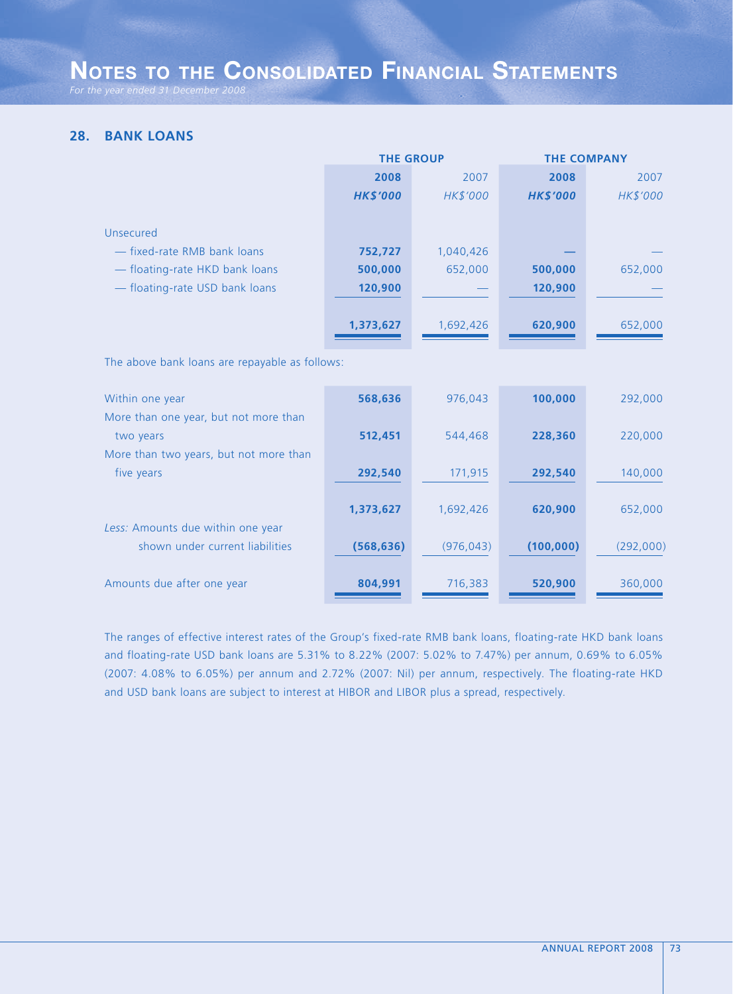*For the year ended 31 December 2008*

# **28. BANK LOANS**

|                                                | <b>THE GROUP</b> |            | <b>THE COMPANY</b> |           |  |
|------------------------------------------------|------------------|------------|--------------------|-----------|--|
|                                                | 2008             | 2007       | 2008               | 2007      |  |
|                                                | <b>HK\$'000</b>  | HK\$'000   | <b>HK\$'000</b>    | HK\$'000  |  |
|                                                |                  |            |                    |           |  |
| <b>Unsecured</b>                               |                  |            |                    |           |  |
| - fixed-rate RMB bank loans                    | 752,727          | 1,040,426  |                    |           |  |
| - floating-rate HKD bank loans                 | 500,000          | 652,000    | 500,000            | 652,000   |  |
| - floating-rate USD bank loans                 | 120,900          |            | 120,900            |           |  |
|                                                |                  |            |                    |           |  |
|                                                | 1,373,627        | 1,692,426  | 620,900            | 652,000   |  |
|                                                |                  |            |                    |           |  |
| The above bank loans are repayable as follows: |                  |            |                    |           |  |
|                                                |                  |            |                    |           |  |
| Within one year                                | 568,636          | 976,043    | 100,000            | 292,000   |  |
| More than one year, but not more than          |                  |            |                    |           |  |
| two years                                      | 512,451          | 544,468    | 228,360            | 220,000   |  |
| More than two years, but not more than         |                  |            |                    |           |  |
| five years                                     | 292,540          | 171,915    | 292,540            | 140,000   |  |
|                                                |                  |            |                    |           |  |
|                                                | 1,373,627        | 1,692,426  | 620,900            | 652,000   |  |
| Less: Amounts due within one year              |                  |            |                    |           |  |
| shown under current liabilities                | (568, 636)       | (976, 043) | (100, 000)         | (292,000) |  |
|                                                |                  |            |                    |           |  |
| Amounts due after one year                     | 804,991          | 716,383    | 520,900            | 360,000   |  |

The ranges of effective interest rates of the Group's fixed-rate RMB bank loans, floating-rate HKD bank loans and floating-rate USD bank loans are 5.31% to 8.22% (2007: 5.02% to 7.47%) per annum, 0.69% to 6.05% (2007: 4.08% to 6.05%) per annum and 2.72% (2007: Nil) per annum, respectively. The floating-rate HKD and USD bank loans are subject to interest at HIBOR and LIBOR plus a spread, respectively.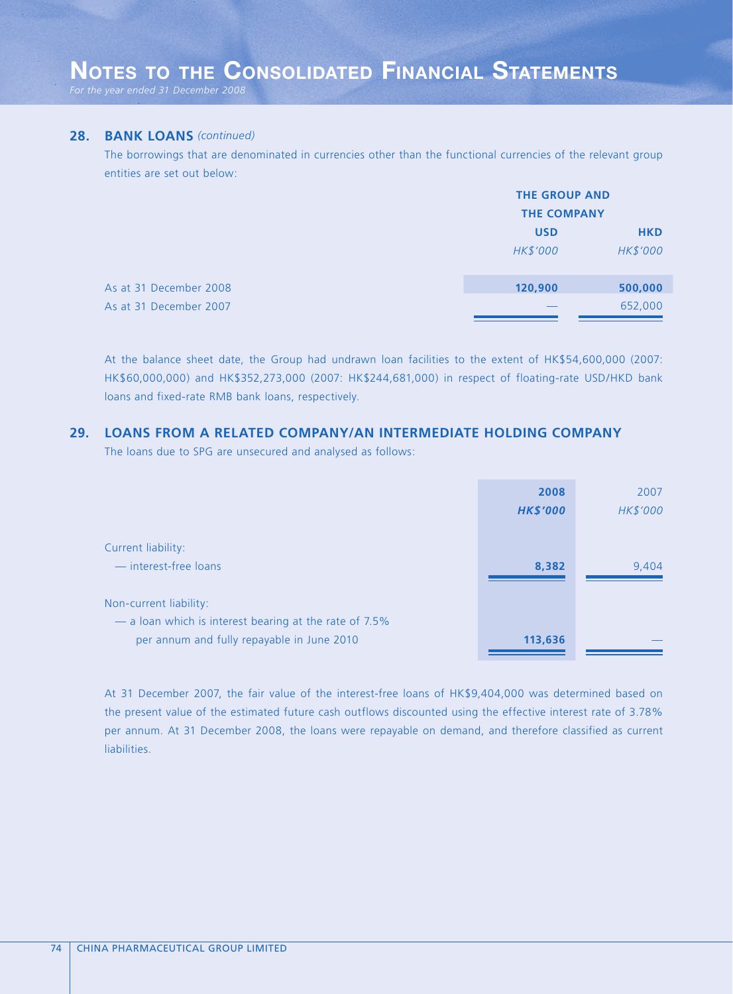#### **28. BANK LOANS** *(continued)*

The borrowings that are denominated in currencies other than the functional currencies of the relevant group entities are set out below:

|                        | <b>THE GROUP AND</b> |            |
|------------------------|----------------------|------------|
|                        | <b>THE COMPANY</b>   |            |
|                        | <b>USD</b>           | <b>HKD</b> |
|                        | HK\$'000             | HK\$'000   |
| As at 31 December 2008 | 120,900              | 500,000    |
| As at 31 December 2007 |                      | 652,000    |

At the balance sheet date, the Group had undrawn loan facilities to the extent of HK\$54,600,000 (2007: HK\$60,000,000) and HK\$352,273,000 (2007: HK\$244,681,000) in respect of floating-rate USD/HKD bank loans and fixed-rate RMB bank loans, respectively.

## **29. LOANS FROM A RELATED COMPANY/AN INTERMEDIATE HOLDING COMPANY**

The loans due to SPG are unsecured and analysed as follows:

|                                                        | 2008<br><b>HK\$'000</b> | 2007<br>HK\$'000 |
|--------------------------------------------------------|-------------------------|------------------|
| Current liability:                                     |                         |                  |
| - interest-free loans                                  | 8,382                   | 9,404            |
| Non-current liability:                                 |                         |                  |
| - a loan which is interest bearing at the rate of 7.5% |                         |                  |
| per annum and fully repayable in June 2010             | 113,636                 |                  |

At 31 December 2007, the fair value of the interest-free loans of HK\$9,404,000 was determined based on the present value of the estimated future cash outflows discounted using the effective interest rate of 3.78% per annum. At 31 December 2008, the loans were repayable on demand, and therefore classified as current liabilities.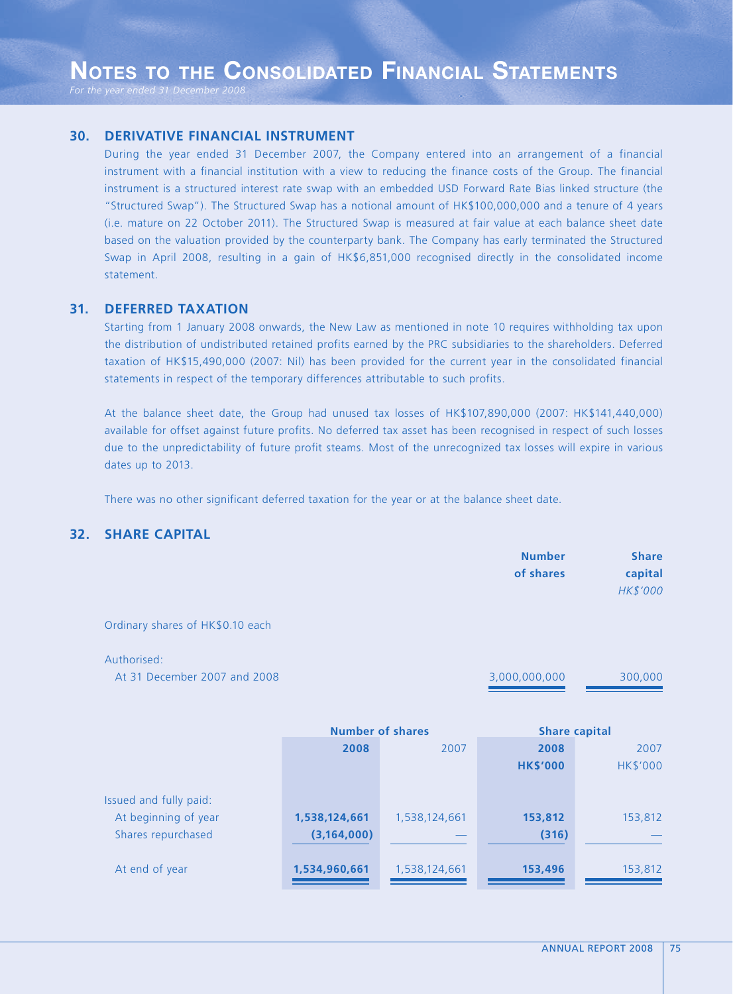#### **30. DERIVATIVE FINANCIAL INSTRUMENT**

During the year ended 31 December 2007, the Company entered into an arrangement of a financial instrument with a financial institution with a view to reducing the finance costs of the Group. The financial instrument is a structured interest rate swap with an embedded USD Forward Rate Bias linked structure (the "Structured Swap"). The Structured Swap has a notional amount of HK\$100,000,000 and a tenure of 4 years (i.e. mature on 22 October 2011). The Structured Swap is measured at fair value at each balance sheet date based on the valuation provided by the counterparty bank. The Company has early terminated the Structured Swap in April 2008, resulting in a gain of HK\$6,851,000 recognised directly in the consolidated income statement.

#### **31. DEFERRED TAXATION**

Starting from 1 January 2008 onwards, the New Law as mentioned in note 10 requires withholding tax upon the distribution of undistributed retained profits earned by the PRC subsidiaries to the shareholders. Deferred taxation of HK\$15,490,000 (2007: Nil) has been provided for the current year in the consolidated financial statements in respect of the temporary differences attributable to such profits.

At the balance sheet date, the Group had unused tax losses of HK\$107,890,000 (2007: HK\$141,440,000) available for offset against future profits. No deferred tax asset has been recognised in respect of such losses due to the unpredictability of future profit steams. Most of the unrecognized tax losses will expire in various dates up to 2013.

There was no other significant deferred taxation for the year or at the balance sheet date.

#### **32. SHARE CAPITAL**

|                                             |                                |                         | <b>Number</b><br>of shares | <b>Share</b><br>capital<br>HK\$'000 |
|---------------------------------------------|--------------------------------|-------------------------|----------------------------|-------------------------------------|
| Ordinary shares of HK\$0.10 each            |                                |                         |                            |                                     |
| Authorised:<br>At 31 December 2007 and 2008 |                                |                         | 3,000,000,000              | 300,000                             |
|                                             |                                | <b>Number of shares</b> |                            | <b>Share capital</b>                |
|                                             | 2008                           | 2007                    | 2008<br><b>HK\$'000</b>    | 2007<br><b>HK\$'000</b>             |
| Issued and fully paid:                      |                                |                         |                            |                                     |
| At beginning of year<br>Shares repurchased  | 1,538,124,661<br>(3, 164, 000) | 1,538,124,661           | 153,812<br>(316)           | 153,812                             |

At end of year **1,534,960,661** 1,538,124,661 **153,496** 153,812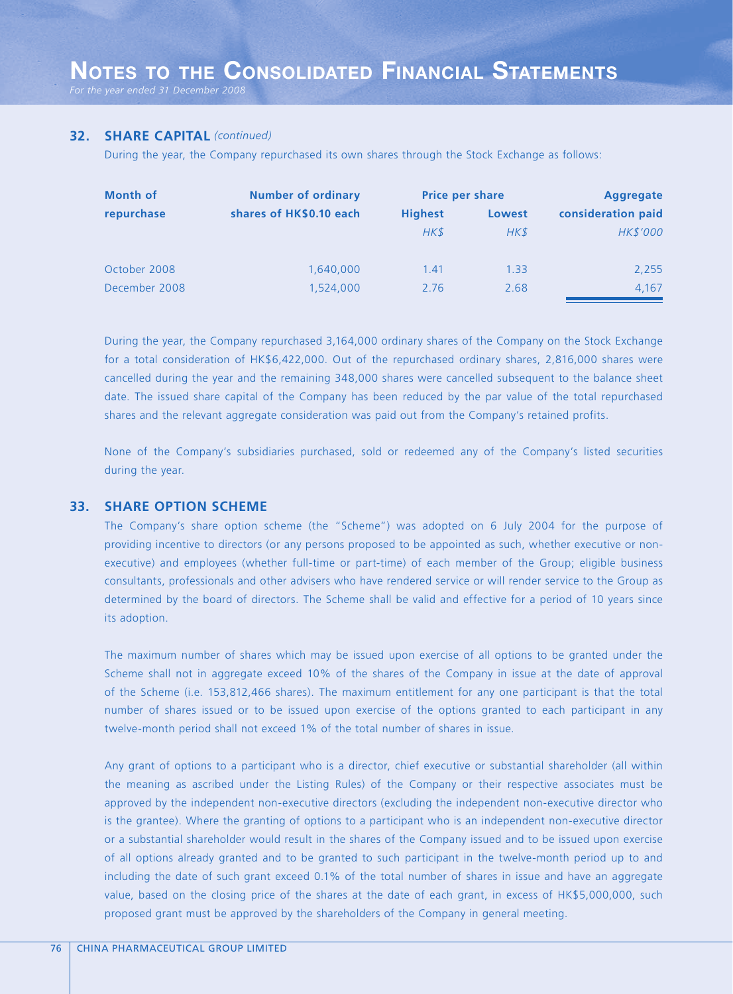#### **32. SHARE CAPITAL** *(continued)*

During the year, the Company repurchased its own shares through the Stock Exchange as follows:

| <b>Month of</b> | <b>Number of ordinary</b> | <b>Price per share</b> |        | <b>Aggregate</b>   |
|-----------------|---------------------------|------------------------|--------|--------------------|
| repurchase      | shares of HK\$0.10 each   | <b>Highest</b>         | Lowest | consideration paid |
|                 |                           | HK\$                   | HKS    | <b>HK\$'000</b>    |
| October 2008    | 1,640,000                 | 1.41                   | 1.33   | 2,255              |
| December 2008   | 1,524,000                 | 2.76                   | 2.68   | 4,167              |

During the year, the Company repurchased 3,164,000 ordinary shares of the Company on the Stock Exchange for a total consideration of HK\$6,422,000. Out of the repurchased ordinary shares, 2,816,000 shares were cancelled during the year and the remaining 348,000 shares were cancelled subsequent to the balance sheet date. The issued share capital of the Company has been reduced by the par value of the total repurchased shares and the relevant aggregate consideration was paid out from the Company's retained profits.

None of the Company's subsidiaries purchased, sold or redeemed any of the Company's listed securities during the year.

#### **33. SHARE OPTION SCHEME**

The Company's share option scheme (the "Scheme") was adopted on 6 July 2004 for the purpose of providing incentive to directors (or any persons proposed to be appointed as such, whether executive or nonexecutive) and employees (whether full-time or part-time) of each member of the Group; eligible business consultants, professionals and other advisers who have rendered service or will render service to the Group as determined by the board of directors. The Scheme shall be valid and effective for a period of 10 years since its adoption.

The maximum number of shares which may be issued upon exercise of all options to be granted under the Scheme shall not in aggregate exceed 10% of the shares of the Company in issue at the date of approval of the Scheme (i.e. 153,812,466 shares). The maximum entitlement for any one participant is that the total number of shares issued or to be issued upon exercise of the options granted to each participant in any twelve-month period shall not exceed 1% of the total number of shares in issue.

Any grant of options to a participant who is a director, chief executive or substantial shareholder (all within the meaning as ascribed under the Listing Rules) of the Company or their respective associates must be approved by the independent non-executive directors (excluding the independent non-executive director who is the grantee). Where the granting of options to a participant who is an independent non-executive director or a substantial shareholder would result in the shares of the Company issued and to be issued upon exercise of all options already granted and to be granted to such participant in the twelve-month period up to and including the date of such grant exceed 0.1% of the total number of shares in issue and have an aggregate value, based on the closing price of the shares at the date of each grant, in excess of HK\$5,000,000, such proposed grant must be approved by the shareholders of the Company in general meeting.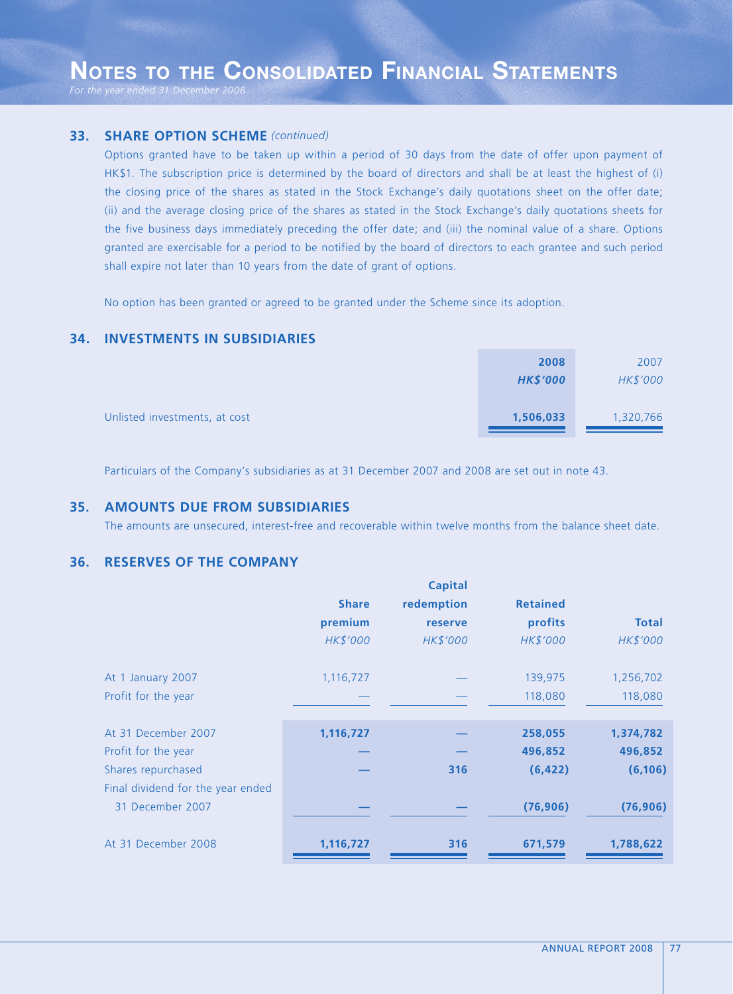#### **33. SHARE OPTION SCHEME** *(continued)*

Options granted have to be taken up within a period of 30 days from the date of offer upon payment of HK\$1. The subscription price is determined by the board of directors and shall be at least the highest of (i) the closing price of the shares as stated in the Stock Exchange's daily quotations sheet on the offer date; (ii) and the average closing price of the shares as stated in the Stock Exchange's daily quotations sheets for the five business days immediately preceding the offer date; and (iii) the nominal value of a share. Options granted are exercisable for a period to be notified by the board of directors to each grantee and such period shall expire not later than 10 years from the date of grant of options.

No option has been granted or agreed to be granted under the Scheme since its adoption.

#### **34. INVESTMENTS IN SUBSIDIARIES**

|                               | 2008            | 2007      |
|-------------------------------|-----------------|-----------|
|                               | <b>HK\$'000</b> | HK\$'000  |
|                               |                 |           |
| Unlisted investments, at cost | 1,506,033       | 1,320,766 |
|                               |                 |           |

Particulars of the Company's subsidiaries as at 31 December 2007 and 2008 are set out in note 43.

#### **35. AMOUNTS DUE FROM SUBSIDIARIES**

The amounts are unsecured, interest-free and recoverable within twelve months from the balance sheet date.

#### **36. RESERVES OF THE COMPANY**

|                                   |              | <b>Capital</b> |                 |              |
|-----------------------------------|--------------|----------------|-----------------|--------------|
|                                   | <b>Share</b> | redemption     | <b>Retained</b> |              |
|                                   | premium      | reserve        | profits         | <b>Total</b> |
|                                   | HK\$'000     | HK\$'000       | HK\$'000        | HK\$'000     |
| At 1 January 2007                 | 1,116,727    |                | 139,975         | 1,256,702    |
| Profit for the year               |              |                | 118,080         | 118,080      |
| At 31 December 2007               | 1,116,727    |                | 258,055         | 1,374,782    |
| Profit for the year               |              |                | 496,852         | 496,852      |
| Shares repurchased                |              | 316            | (6, 422)        | (6, 106)     |
| Final dividend for the year ended |              |                |                 |              |
| 31 December 2007                  |              |                | (76, 906)       | (76, 906)    |
| At 31 December 2008               | 1,116,727    | 316            | 671,579         | 1,788,622    |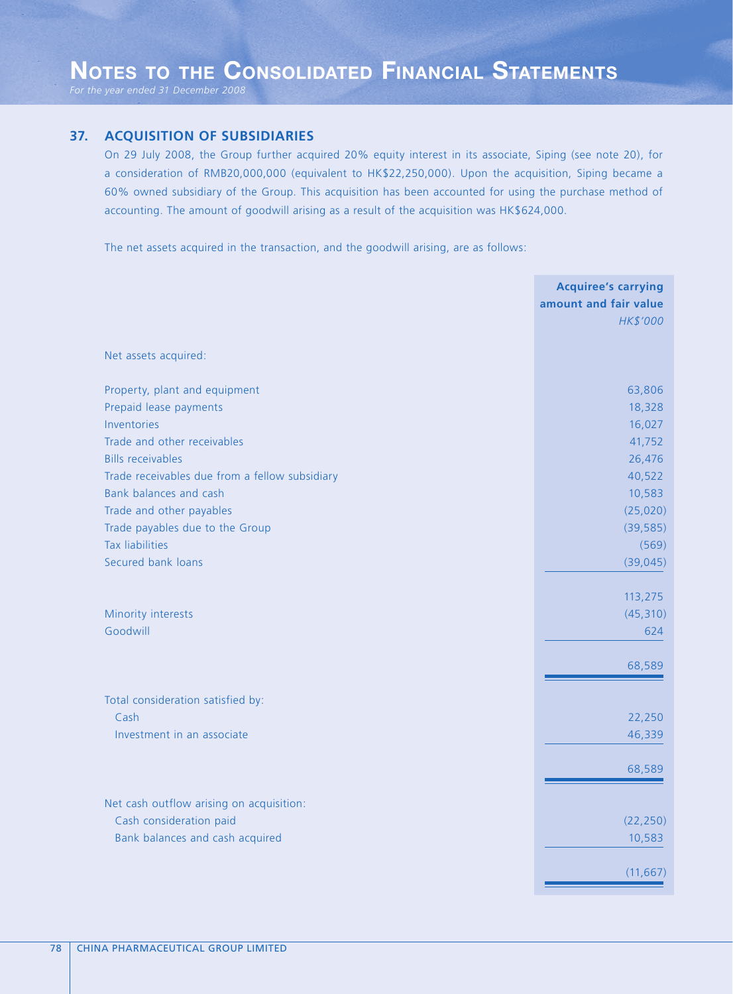#### **37. ACQUISITION OF SUBSIDIARIES**

On 29 July 2008, the Group further acquired 20% equity interest in its associate, Siping (see note 20), for a consideration of RMB20,000,000 (equivalent to HK\$22,250,000). Upon the acquisition, Siping became a 60% owned subsidiary of the Group. This acquisition has been accounted for using the purchase method of accounting. The amount of goodwill arising as a result of the acquisition was HK\$624,000.

The net assets acquired in the transaction, and the goodwill arising, are as follows:

|                                                                                                                                     | <b>Acquiree's carrying</b><br>amount and fair value<br>HK\$'000 |
|-------------------------------------------------------------------------------------------------------------------------------------|-----------------------------------------------------------------|
| Net assets acquired:                                                                                                                |                                                                 |
| Property, plant and equipment<br>Prepaid lease payments<br>Inventories                                                              | 63,806<br>18,328<br>16,027                                      |
| Trade and other receivables<br><b>Bills receivables</b><br>Trade receivables due from a fellow subsidiary<br>Bank balances and cash | 41,752<br>26,476<br>40,522<br>10,583                            |
| Trade and other payables<br>Trade payables due to the Group<br><b>Tax liabilities</b>                                               | (25,020)<br>(39, 585)<br>(569)                                  |
| Secured bank loans                                                                                                                  | (39, 045)                                                       |
| Minority interests<br>Goodwill                                                                                                      | 113,275<br>(45, 310)<br>624                                     |
|                                                                                                                                     | 68,589                                                          |
| Total consideration satisfied by:<br>Cash<br>Investment in an associate                                                             | 22,250<br>46,339                                                |
|                                                                                                                                     | 68,589                                                          |
| Net cash outflow arising on acquisition:<br>Cash consideration paid<br>Bank balances and cash acquired                              | (22, 250)<br>10,583                                             |
|                                                                                                                                     | (11, 667)                                                       |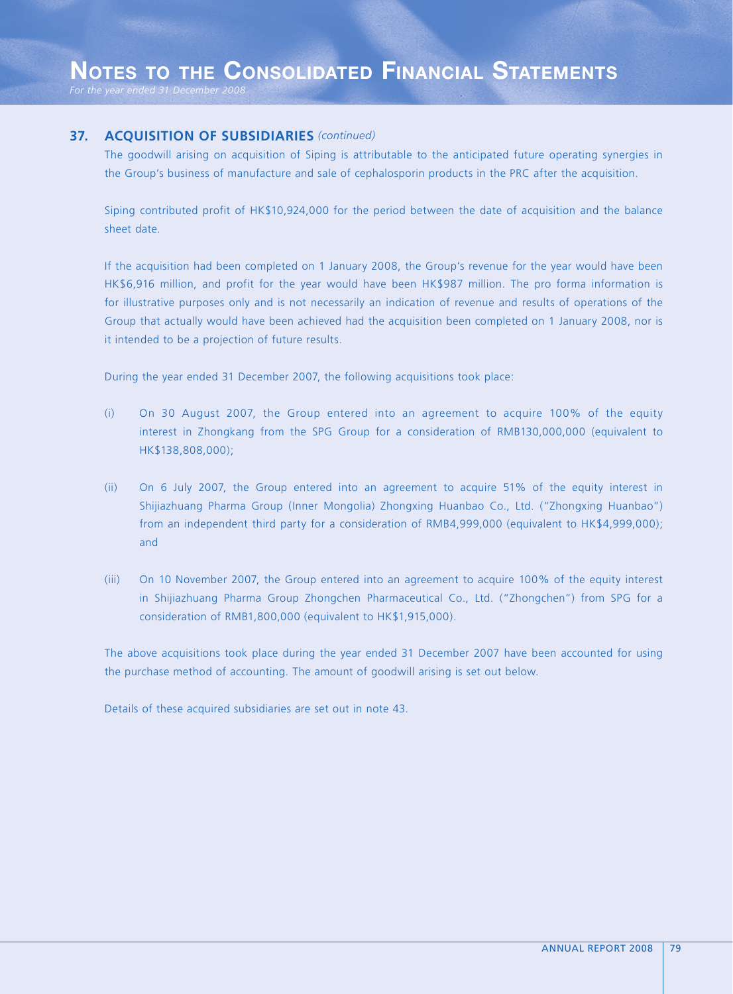#### **37. ACQUISITION OF SUBSIDIARIES** *(continued)*

The goodwill arising on acquisition of Siping is attributable to the anticipated future operating synergies in the Group's business of manufacture and sale of cephalosporin products in the PRC after the acquisition.

Siping contributed profit of HK\$10,924,000 for the period between the date of acquisition and the balance sheet date.

If the acquisition had been completed on 1 January 2008, the Group's revenue for the year would have been HK\$6,916 million, and profit for the year would have been HK\$987 million. The pro forma information is for illustrative purposes only and is not necessarily an indication of revenue and results of operations of the Group that actually would have been achieved had the acquisition been completed on 1 January 2008, nor is it intended to be a projection of future results.

During the year ended 31 December 2007, the following acquisitions took place:

- (i) On 30 August 2007, the Group entered into an agreement to acquire 100% of the equity interest in Zhongkang from the SPG Group for a consideration of RMB130,000,000 (equivalent to HK\$138,808,000);
- (ii) On 6 July 2007, the Group entered into an agreement to acquire 51% of the equity interest in Shijiazhuang Pharma Group (Inner Mongolia) Zhongxing Huanbao Co., Ltd. ("Zhongxing Huanbao") from an independent third party for a consideration of RMB4,999,000 (equivalent to HK\$4,999,000); and
- (iii) On 10 November 2007, the Group entered into an agreement to acquire 100% of the equity interest in Shijiazhuang Pharma Group Zhongchen Pharmaceutical Co., Ltd. ("Zhongchen") from SPG for a consideration of RMB1,800,000 (equivalent to HK\$1,915,000).

The above acquisitions took place during the year ended 31 December 2007 have been accounted for using the purchase method of accounting. The amount of goodwill arising is set out below.

Details of these acquired subsidiaries are set out in note 43.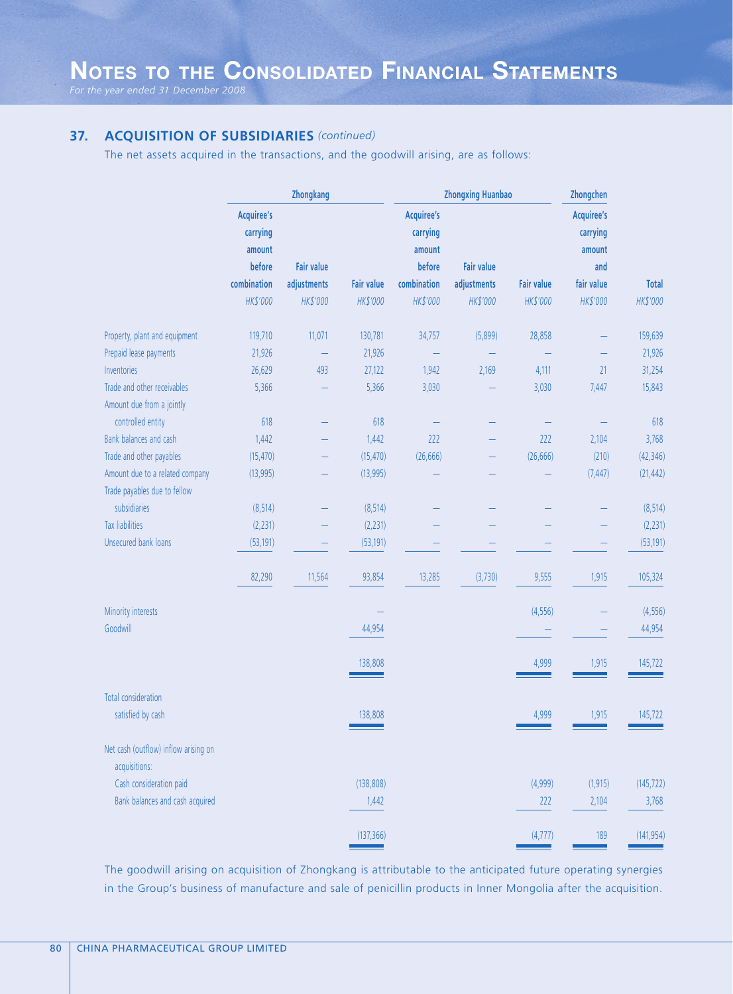*For the year ended 31 December 2008*

#### **37. ACQUISITION OF SUBSIDIARIES** *(continued)*

The net assets acquired in the transactions, and the goodwill arising, are as follows:

|                                                                 | Zhongkang                                                 |                                  | <b>Zhongxing Huanbao</b> |                                                                  |                                  | Zhongchen         |                                                       |              |
|-----------------------------------------------------------------|-----------------------------------------------------------|----------------------------------|--------------------------|------------------------------------------------------------------|----------------------------------|-------------------|-------------------------------------------------------|--------------|
|                                                                 | Acquiree's<br>carrying<br>amount<br>before<br>combination | <b>Fair value</b><br>adjustments | <b>Fair value</b>        | <b>Acquiree's</b><br>carrying<br>amount<br>before<br>combination | <b>Fair value</b><br>adjustments | <b>Fair value</b> | Acquiree's<br>carrying<br>amount<br>and<br>fair value | <b>Total</b> |
|                                                                 | HK\$'000                                                  | HK\$'000                         | HK\$'000                 | HK\$'000                                                         | HK\$'000                         | HK\$'000          | HK\$'000                                              | HK\$'000     |
| Property, plant and equipment                                   | 119,710                                                   | 11,071                           | 130,781                  | 34,757                                                           | (5,899)                          | 28,858            |                                                       | 159,639      |
| Prepaid lease payments                                          | 21,926                                                    |                                  | 21,926                   |                                                                  |                                  |                   |                                                       | 21,926       |
| Inventories                                                     | 26,629                                                    | 493                              | 27,122                   | 1,942                                                            | 2,169                            | 4,111             | 21                                                    | 31,254       |
| Trade and other receivables<br>Amount due from a jointly        | 5,366                                                     |                                  | 5,366                    | 3,030                                                            |                                  | 3,030             | 7,447                                                 | 15,843       |
| controlled entity                                               | 618                                                       |                                  | 618                      |                                                                  |                                  |                   |                                                       | 618          |
| Bank balances and cash                                          | 1,442                                                     |                                  | 1,442                    | 222                                                              |                                  | 222               | 2,104                                                 | 3,768        |
| Trade and other payables                                        | (15, 470)                                                 |                                  | (15, 470)                | (26, 666)                                                        |                                  | (26, 666)         | (210)                                                 | (42, 346)    |
| Amount due to a related company<br>Trade payables due to fellow | (13,995)                                                  |                                  | (13,995)                 |                                                                  |                                  |                   | (7, 447)                                              | (21, 442)    |
| subsidiaries                                                    | (8, 514)                                                  |                                  | (8, 514)                 |                                                                  |                                  |                   |                                                       | (8, 514)     |
| <b>Tax liabilities</b>                                          | (2, 231)                                                  |                                  | (2, 231)                 |                                                                  |                                  |                   |                                                       | (2, 231)     |
| Unsecured bank loans                                            | (53, 191)                                                 |                                  | (53, 191)                |                                                                  |                                  |                   |                                                       | (53, 191)    |
|                                                                 | 82,290                                                    | 11,564                           | 93,854                   | 13,285                                                           | (3,730)                          | 9,555             | 1,915                                                 | 105,324      |
| Minority interests                                              |                                                           |                                  |                          |                                                                  |                                  | (4,556)           |                                                       | (4, 556)     |
| Goodwill                                                        |                                                           |                                  | 44,954                   |                                                                  |                                  |                   |                                                       | 44,954       |
|                                                                 |                                                           |                                  | 138,808                  |                                                                  |                                  | 4,999             | 1,915                                                 | 145,722      |
| Total consideration                                             |                                                           |                                  |                          |                                                                  |                                  |                   |                                                       |              |
| satisfied by cash                                               |                                                           |                                  | 138,808                  |                                                                  |                                  | 4,999             | 1,915                                                 | 145,722      |
| Net cash (outflow) inflow arising on<br>acquisitions:           |                                                           |                                  |                          |                                                                  |                                  |                   |                                                       |              |
| Cash consideration paid                                         |                                                           |                                  | (138, 808)               |                                                                  |                                  | (4,999)           | (1, 915)                                              | (145, 722)   |
| Bank balances and cash acquired                                 |                                                           |                                  | 1,442                    |                                                                  |                                  | 222               | 2,104                                                 | 3,768        |
|                                                                 |                                                           |                                  | (137, 366)               |                                                                  |                                  | (4,777)           | 189                                                   | (141, 954)   |

The goodwill arising on acquisition of Zhongkang is attributable to the anticipated future operating synergies in the Group's business of manufacture and sale of penicillin products in Inner Mongolia after the acquisition.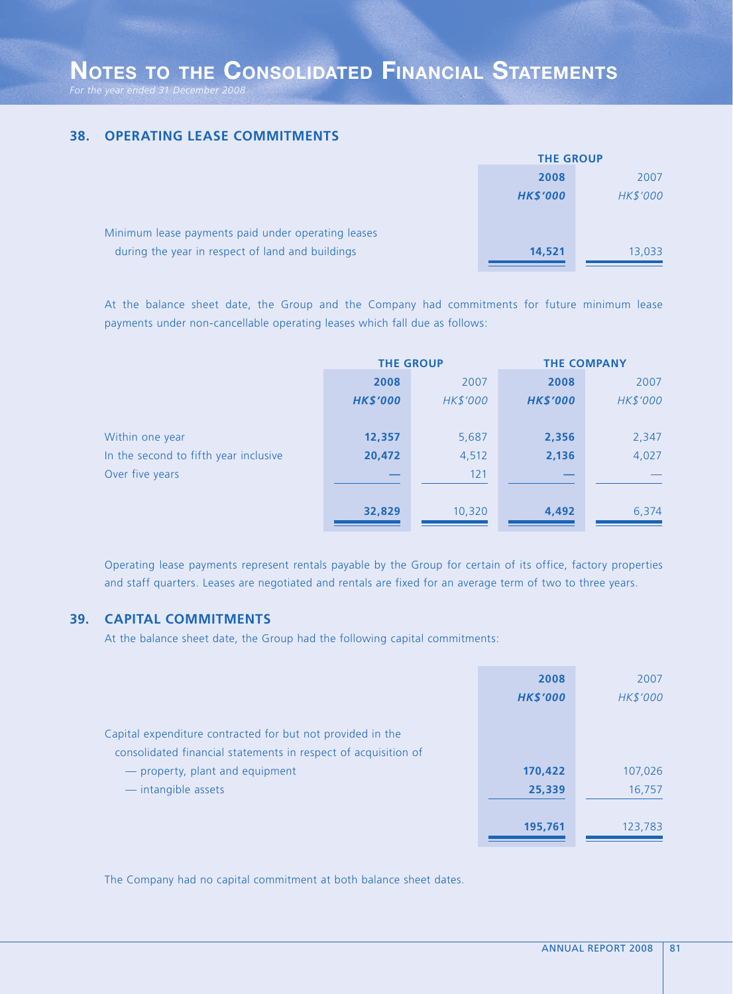*For the year ended 31 December 2008*

# **38. OPERATING LEASE COMMITMENTS**

| <b>THE GROUP</b> |          |  |
|------------------|----------|--|
| 2008<br>2007     |          |  |
| <b>HK\$'000</b>  | HK\$'000 |  |
|                  |          |  |
|                  |          |  |
| 14,521           | 13,033   |  |
|                  |          |  |

At the balance sheet date, the Group and the Company had commitments for future minimum lease payments under non-cancellable operating leases which fall due as follows:

|                                       | <b>THE GROUP</b> |          | <b>THE COMPANY</b> |          |  |
|---------------------------------------|------------------|----------|--------------------|----------|--|
|                                       | 2008             | 2007     | 2008               | 2007     |  |
|                                       | <b>HK\$'000</b>  | HK\$'000 | <b>HK\$'000</b>    | HK\$'000 |  |
|                                       |                  |          |                    |          |  |
| Within one year                       | 12,357           | 5,687    | 2,356              | 2,347    |  |
| In the second to fifth year inclusive | 20,472           | 4,512    | 2,136              | 4,027    |  |
| Over five years                       |                  | 121      |                    |          |  |
|                                       |                  |          |                    |          |  |
|                                       | 32,829           | 10,320   | 4,492              | 6,374    |  |
|                                       |                  |          |                    |          |  |

Operating lease payments represent rentals payable by the Group for certain of its office, factory properties and staff quarters. Leases are negotiated and rentals are fixed for an average term of two to three years.

## **39. CAPITAL COMMITMENTS**

At the balance sheet date, the Group had the following capital commitments:

|                                                                | 2008            | 2007            |
|----------------------------------------------------------------|-----------------|-----------------|
|                                                                | <b>HK\$'000</b> | <b>HK\$'000</b> |
|                                                                |                 |                 |
| Capital expenditure contracted for but not provided in the     |                 |                 |
| consolidated financial statements in respect of acquisition of |                 |                 |
| - property, plant and equipment                                | 170,422         | 107,026         |
| - intangible assets                                            | 25,339          | 16,757          |
|                                                                |                 |                 |
|                                                                | 195,761         | 123,783         |
|                                                                |                 |                 |

The Company had no capital commitment at both balance sheet dates.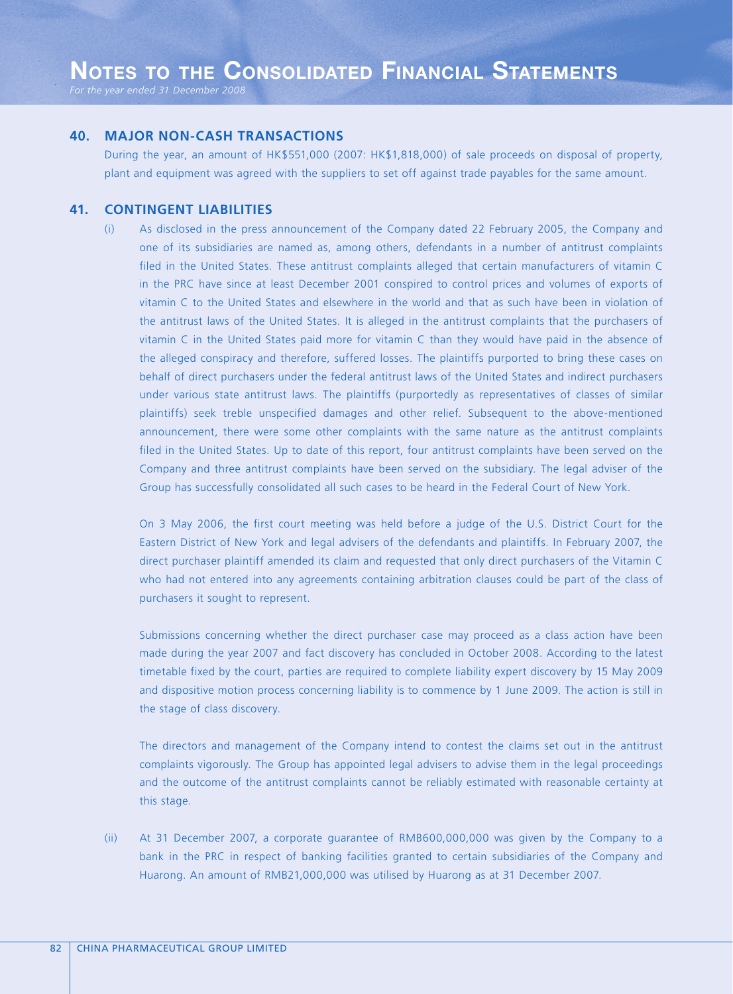#### **40. MAJOR NON-CASH TRANSACTIONS**

During the year, an amount of HK\$551,000 (2007: HK\$1,818,000) of sale proceeds on disposal of property, plant and equipment was agreed with the suppliers to set off against trade payables for the same amount.

#### **41. CONTINGENT LIABILITIES**

(i) As disclosed in the press announcement of the Company dated 22 February 2005, the Company and one of its subsidiaries are named as, among others, defendants in a number of antitrust complaints filed in the United States. These antitrust complaints alleged that certain manufacturers of vitamin C in the PRC have since at least December 2001 conspired to control prices and volumes of exports of vitamin C to the United States and elsewhere in the world and that as such have been in violation of the antitrust laws of the United States. It is alleged in the antitrust complaints that the purchasers of vitamin C in the United States paid more for vitamin C than they would have paid in the absence of the alleged conspiracy and therefore, suffered losses. The plaintiffs purported to bring these cases on behalf of direct purchasers under the federal antitrust laws of the United States and indirect purchasers under various state antitrust laws. The plaintiffs (purportedly as representatives of classes of similar plaintiffs) seek treble unspecified damages and other relief. Subsequent to the above-mentioned announcement, there were some other complaints with the same nature as the antitrust complaints filed in the United States. Up to date of this report, four antitrust complaints have been served on the Company and three antitrust complaints have been served on the subsidiary. The legal adviser of the Group has successfully consolidated all such cases to be heard in the Federal Court of New York.

On 3 May 2006, the first court meeting was held before a judge of the U.S. District Court for the Eastern District of New York and legal advisers of the defendants and plaintiffs. In February 2007, the direct purchaser plaintiff amended its claim and requested that only direct purchasers of the Vitamin C who had not entered into any agreements containing arbitration clauses could be part of the class of purchasers it sought to represent.

Submissions concerning whether the direct purchaser case may proceed as a class action have been made during the year 2007 and fact discovery has concluded in October 2008. According to the latest timetable fixed by the court, parties are required to complete liability expert discovery by 15 May 2009 and dispositive motion process concerning liability is to commence by 1 June 2009. The action is still in the stage of class discovery.

The directors and management of the Company intend to contest the claims set out in the antitrust complaints vigorously. The Group has appointed legal advisers to advise them in the legal proceedings and the outcome of the antitrust complaints cannot be reliably estimated with reasonable certainty at this stage.

(ii) At 31 December 2007, a corporate guarantee of RMB600,000,000 was given by the Company to a bank in the PRC in respect of banking facilities granted to certain subsidiaries of the Company and Huarong. An amount of RMB21,000,000 was utilised by Huarong as at 31 December 2007.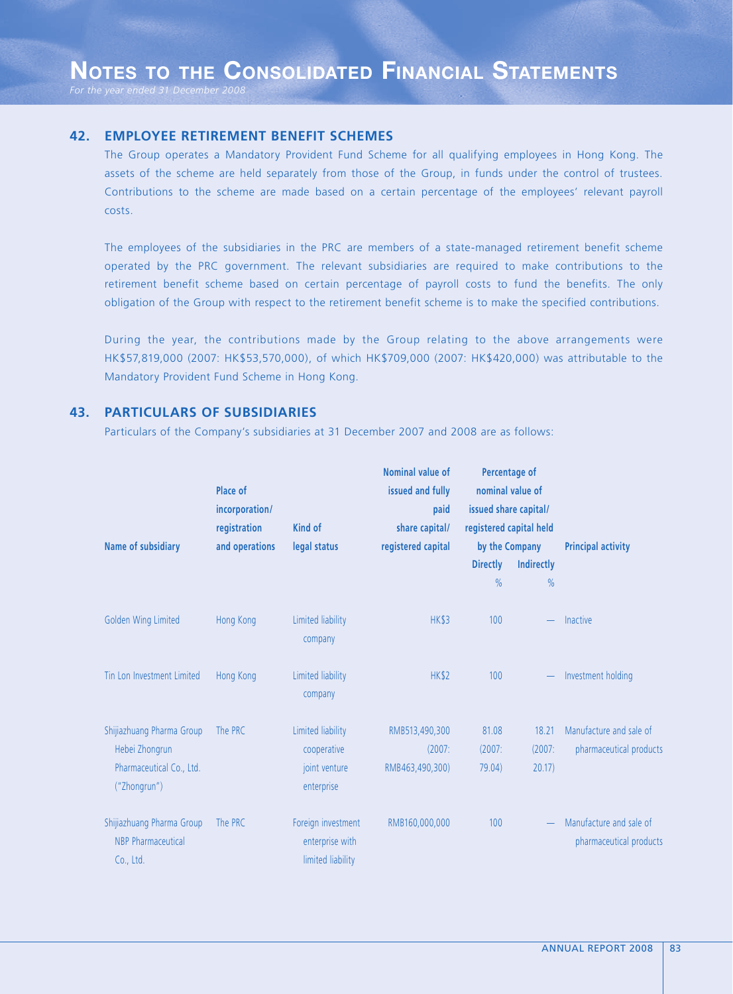#### **42. EMPLOYEE RETIREMENT BENEFIT SCHEMES**

The Group operates a Mandatory Provident Fund Scheme for all qualifying employees in Hong Kong. The assets of the scheme are held separately from those of the Group, in funds under the control of trustees. Contributions to the scheme are made based on a certain percentage of the employees' relevant payroll costs.

The employees of the subsidiaries in the PRC are members of a state-managed retirement benefit scheme operated by the PRC government. The relevant subsidiaries are required to make contributions to the retirement benefit scheme based on certain percentage of payroll costs to fund the benefits. The only obligation of the Group with respect to the retirement benefit scheme is to make the specified contributions.

During the year, the contributions made by the Group relating to the above arrangements were HK\$57,819,000 (2007: HK\$53,570,000), of which HK\$709,000 (2007: HK\$420,000) was attributable to the Mandatory Provident Fund Scheme in Hong Kong.

#### **43. PARTICULARS OF SUBSIDIARIES**

Particulars of the Company's subsidiaries at 31 December 2007 and 2008 are as follows:

| Name of subsidiary                                                  | Place of<br>incorporation/<br>registration<br>and operations | Kind of<br>legal status                                    | Nominal value of<br>issued and fully<br>paid<br>share capital/<br>registered capital | Percentage of<br>nominal value of<br>issued share capital/<br>registered capital held<br>by the Company |                   | <b>Principal activity</b>                          |
|---------------------------------------------------------------------|--------------------------------------------------------------|------------------------------------------------------------|--------------------------------------------------------------------------------------|---------------------------------------------------------------------------------------------------------|-------------------|----------------------------------------------------|
|                                                                     |                                                              |                                                            |                                                                                      | <b>Directly</b>                                                                                         | <b>Indirectly</b> |                                                    |
|                                                                     |                                                              |                                                            |                                                                                      | $\%$                                                                                                    | $\frac{0}{0}$     |                                                    |
| Golden Wing Limited                                                 | Hong Kong                                                    | Limited liability<br>company                               | <b>HK\$3</b>                                                                         | 100                                                                                                     |                   | Inactive                                           |
| Tin Lon Investment Limited                                          | Hong Kong                                                    | Limited liability<br>company                               | <b>HK\$2</b>                                                                         | 100                                                                                                     |                   | Investment holding                                 |
| Shijiazhuang Pharma Group                                           | The PRC                                                      | Limited liability                                          | RMB513,490,300                                                                       | 81.08                                                                                                   | 18.21             | Manufacture and sale of                            |
| Hebei Zhongrun                                                      |                                                              | cooperative                                                | (2007)                                                                               | (2007)                                                                                                  | (2007)            | pharmaceutical products                            |
| Pharmaceutical Co., Ltd.<br>("Zhongrun")                            |                                                              | joint venture<br>enterprise                                | RMB463,490,300)                                                                      | 79.04)                                                                                                  | 20.17)            |                                                    |
| Shijiazhuang Pharma Group<br><b>NBP</b> Pharmaceutical<br>Co., Ltd. | The PRC                                                      | Foreign investment<br>enterprise with<br>limited liability | RMB160,000,000                                                                       | 100                                                                                                     |                   | Manufacture and sale of<br>pharmaceutical products |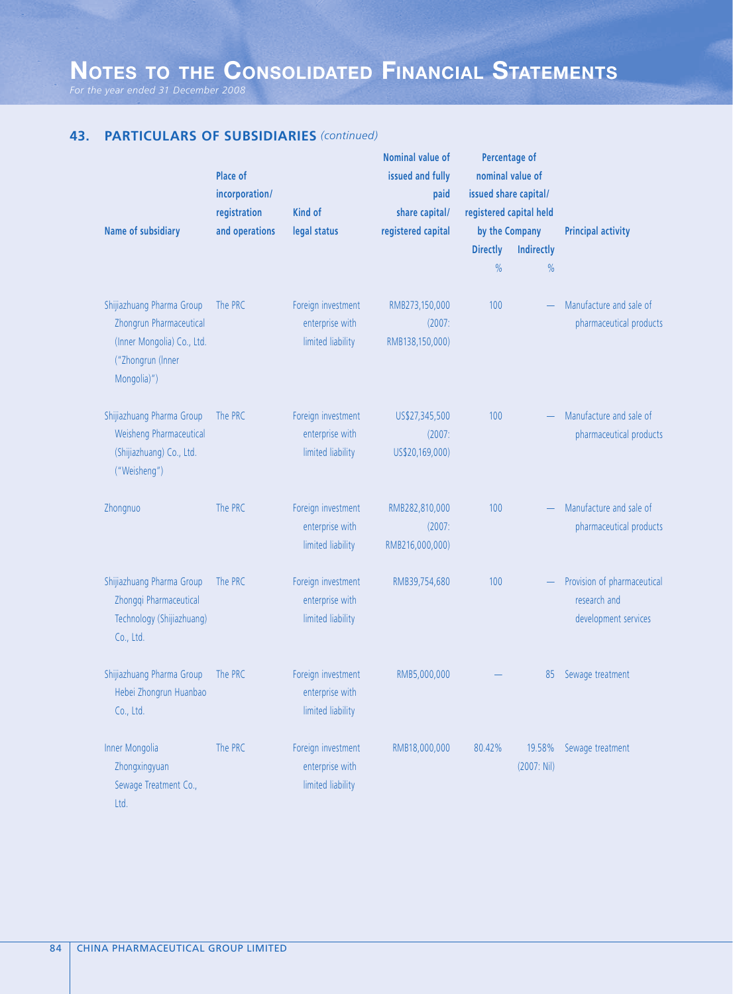*For the year ended 31 December 2008*

## **43. PARTICULARS OF SUBSIDIARIES** *(continued)*

| Name of subsidiary                                                                                                     | <b>Place of</b><br>incorporation/<br>registration<br>and operations | Kind of<br>legal status                                    | <b>Nominal value of</b><br>issued and fully<br>paid<br>share capital/<br>registered capital | <b>Percentage of</b><br>nominal value of<br>issued share capital/<br>registered capital held<br>by the Company |                       | <b>Principal activity</b>                                           |
|------------------------------------------------------------------------------------------------------------------------|---------------------------------------------------------------------|------------------------------------------------------------|---------------------------------------------------------------------------------------------|----------------------------------------------------------------------------------------------------------------|-----------------------|---------------------------------------------------------------------|
|                                                                                                                        |                                                                     |                                                            |                                                                                             | <b>Directly</b>                                                                                                | Indirectly            |                                                                     |
|                                                                                                                        |                                                                     |                                                            |                                                                                             | $\%$                                                                                                           | $\%$                  |                                                                     |
| Shijiazhuang Pharma Group<br>Zhongrun Pharmaceutical<br>(Inner Mongolia) Co., Ltd.<br>("Zhongrun (Inner<br>Mongolia)") | The PRC                                                             | Foreign investment<br>enterprise with<br>limited liability | RMB273,150,000<br>(2007)<br>RMB138,150,000)                                                 | 100                                                                                                            |                       | Manufacture and sale of<br>pharmaceutical products                  |
| Shijiazhuang Pharma Group<br>Weisheng Pharmaceutical<br>(Shijiazhuang) Co., Ltd.<br>("Weisheng")                       | The PRC                                                             | Foreign investment<br>enterprise with<br>limited liability | US\$27,345,500<br>(2007)<br>US\$20,169,000)                                                 | 100                                                                                                            |                       | Manufacture and sale of<br>pharmaceutical products                  |
| Zhongnuo                                                                                                               | The PRC                                                             | Foreign investment<br>enterprise with<br>limited liability | RMB282,810,000<br>(2007)<br>RMB216,000,000)                                                 | 100                                                                                                            |                       | Manufacture and sale of<br>pharmaceutical products                  |
| Shijiazhuang Pharma Group<br>Zhongqi Pharmaceutical<br>Technology (Shijiazhuang)<br>Co., Ltd.                          | The PRC                                                             | Foreign investment<br>enterprise with<br>limited liability | RMB39,754,680                                                                               | 100                                                                                                            |                       | Provision of pharmaceutical<br>research and<br>development services |
| Shijiazhuang Pharma Group<br>Hebei Zhongrun Huanbao<br>Co., Ltd.                                                       | The PRC                                                             | Foreign investment<br>enterprise with<br>limited liability | RMB5,000,000                                                                                |                                                                                                                | 85                    | Sewage treatment                                                    |
| Inner Mongolia<br>Zhongxingyuan<br>Sewage Treatment Co.,<br>Ltd.                                                       | The PRC                                                             | Foreign investment<br>enterprise with<br>limited liability | RMB18,000,000                                                                               | 80.42%                                                                                                         | 19.58%<br>(2007: Nil) | Sewage treatment                                                    |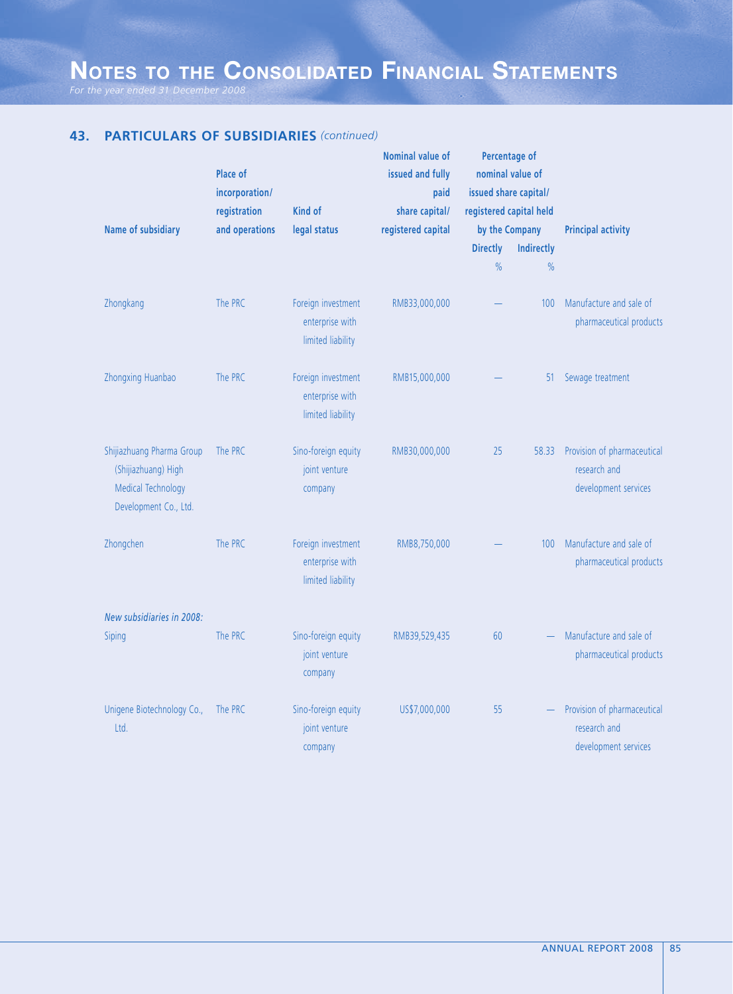*For the year ended 31 December 2008*

## **43. PARTICULARS OF SUBSIDIARIES** *(continued)*

| Name of subsidiary                                                                                     | Place of<br>incorporation/<br>registration<br>and operations | Kind of<br>legal status                                    | <b>Nominal value of</b><br>issued and fully<br>paid<br>share capital/<br>registered capital | Percentage of<br>nominal value of<br>issued share capital/<br>registered capital held<br>by the Company |                   | <b>Principal activity</b>                                           |
|--------------------------------------------------------------------------------------------------------|--------------------------------------------------------------|------------------------------------------------------------|---------------------------------------------------------------------------------------------|---------------------------------------------------------------------------------------------------------|-------------------|---------------------------------------------------------------------|
|                                                                                                        |                                                              |                                                            |                                                                                             | <b>Directly</b>                                                                                         | <b>Indirectly</b> |                                                                     |
|                                                                                                        |                                                              |                                                            |                                                                                             | $\%$                                                                                                    | $\frac{9}{6}$     |                                                                     |
| Zhongkang                                                                                              | The PRC                                                      | Foreign investment<br>enterprise with<br>limited liability | RMB33,000,000                                                                               |                                                                                                         | 100               | Manufacture and sale of<br>pharmaceutical products                  |
| Zhongxing Huanbao                                                                                      | The PRC                                                      | Foreign investment<br>enterprise with<br>limited liability | RMB15,000,000                                                                               |                                                                                                         | 51                | Sewage treatment                                                    |
| Shijiazhuang Pharma Group<br>(Shijiazhuang) High<br><b>Medical Technology</b><br>Development Co., Ltd. | The PRC                                                      | Sino-foreign equity<br>joint venture<br>company            | RMB30,000,000                                                                               | 25                                                                                                      | 58.33             | Provision of pharmaceutical<br>research and<br>development services |
| Zhongchen                                                                                              | The PRC                                                      | Foreign investment<br>enterprise with<br>limited liability | RMB8,750,000                                                                                |                                                                                                         | 100               | Manufacture and sale of<br>pharmaceutical products                  |
| New subsidiaries in 2008:                                                                              |                                                              |                                                            |                                                                                             |                                                                                                         |                   |                                                                     |
| Siping                                                                                                 | The PRC                                                      | Sino-foreign equity<br>joint venture<br>company            | RMB39,529,435                                                                               | 60                                                                                                      |                   | Manufacture and sale of<br>pharmaceutical products                  |
| Unigene Biotechnology Co.,<br>Ltd.                                                                     | The PRC                                                      | Sino-foreign equity<br>joint venture<br>company            | US\$7,000,000                                                                               | 55                                                                                                      |                   | Provision of pharmaceutical<br>research and<br>development services |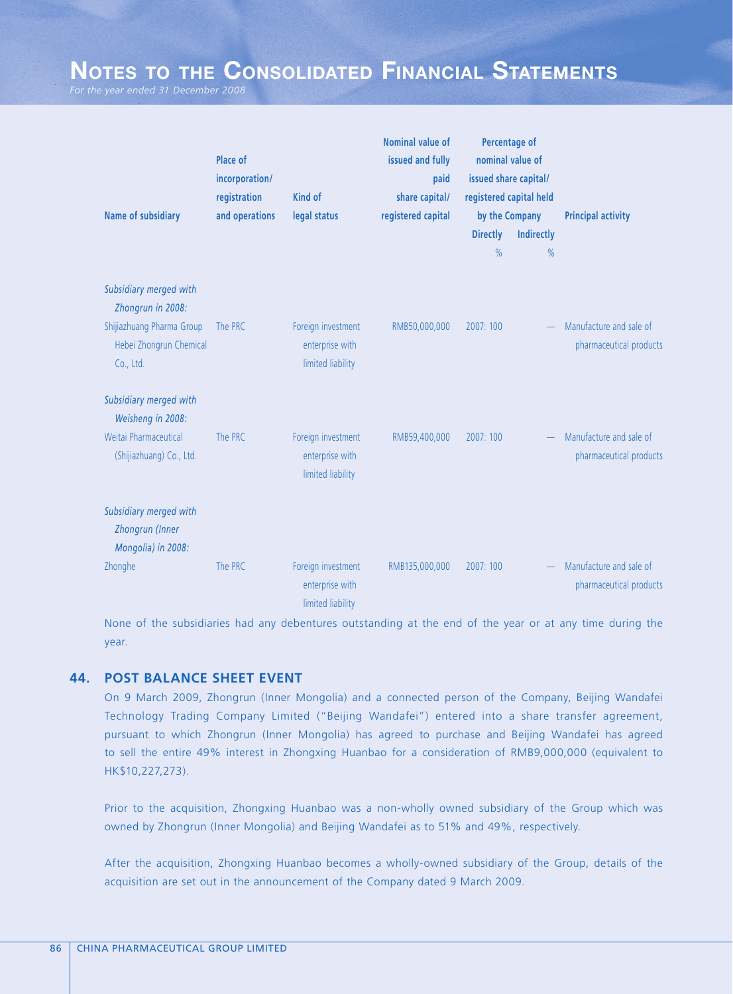| Name of subsidiary                                                | Place of<br>incorporation/<br>registration<br>and operations | Kind of<br>legal status                                    | Nominal value of<br>issued and fully<br>paid<br>share capital/<br>registered capital | <b>Percentage of</b><br>nominal value of<br>issued share capital/<br>registered capital held<br>by the Company |               | <b>Principal activity</b>                          |
|-------------------------------------------------------------------|--------------------------------------------------------------|------------------------------------------------------------|--------------------------------------------------------------------------------------|----------------------------------------------------------------------------------------------------------------|---------------|----------------------------------------------------|
|                                                                   |                                                              |                                                            |                                                                                      | <b>Directly</b>                                                                                                | Indirectly    |                                                    |
|                                                                   |                                                              |                                                            |                                                                                      | $\frac{0}{0}$                                                                                                  | $\frac{0}{0}$ |                                                    |
| Subsidiary merged with<br>Zhongrun in 2008:                       |                                                              |                                                            |                                                                                      |                                                                                                                |               |                                                    |
| Shijiazhuang Pharma Group<br>Hebei Zhongrun Chemical<br>Co., Ltd. | The PRC                                                      | Foreign investment<br>enterprise with<br>limited liability | RMB50,000,000                                                                        | 2007: 100                                                                                                      |               | Manufacture and sale of<br>pharmaceutical products |
| Subsidiary merged with<br>Weisheng in 2008:                       |                                                              |                                                            |                                                                                      |                                                                                                                |               |                                                    |
| Weitai Pharmaceutical<br>(Shijiazhuang) Co., Ltd.                 | The PRC                                                      | Foreign investment<br>enterprise with<br>limited liability | RMB59,400,000                                                                        | 2007: 100                                                                                                      |               | Manufacture and sale of<br>pharmaceutical products |
| Subsidiary merged with<br>Zhongrun (Inner<br>Mongolia) in 2008:   |                                                              |                                                            |                                                                                      |                                                                                                                |               |                                                    |
| Zhonghe                                                           | The PRC                                                      | Foreign investment<br>enterprise with<br>limited liability | RMB135,000,000                                                                       | 2007: 100                                                                                                      |               | Manufacture and sale of<br>pharmaceutical products |

None of the subsidiaries had any debentures outstanding at the end of the year or at any time during the year.

#### **44. POST BALANCE SHEET EVENT**

On 9 March 2009, Zhongrun (Inner Mongolia) and a connected person of the Company, Beijing Wandafei Technology Trading Company Limited ("Beijing Wandafei") entered into a share transfer agreement, pursuant to which Zhongrun (Inner Mongolia) has agreed to purchase and Beijing Wandafei has agreed to sell the entire 49% interest in Zhongxing Huanbao for a consideration of RMB9,000,000 (equivalent to HK\$10,227,273).

Prior to the acquisition, Zhongxing Huanbao was a non-wholly owned subsidiary of the Group which was owned by Zhongrun (Inner Mongolia) and Beijing Wandafei as to 51% and 49%, respectively.

After the acquisition, Zhongxing Huanbao becomes a wholly-owned subsidiary of the Group, details of the acquisition are set out in the announcement of the Company dated 9 March 2009.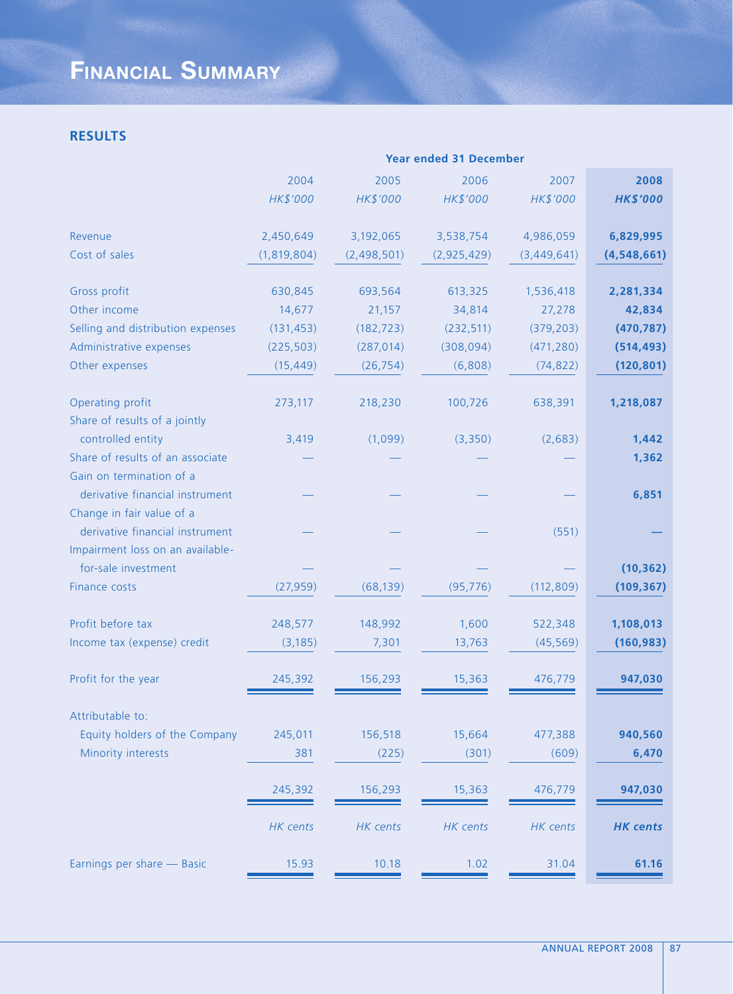# **FINANCIAL SUMMARY**

# **RESULTS**

|                                   | <b>Year ended 31 December</b> |             |             |             |                 |  |  |
|-----------------------------------|-------------------------------|-------------|-------------|-------------|-----------------|--|--|
|                                   | 2004                          | 2005        | 2006        | 2007        | 2008            |  |  |
|                                   | HK\$'000                      | HK\$'000    | HK\$'000    | HK\$'000    | <b>HK\$'000</b> |  |  |
|                                   |                               |             |             |             |                 |  |  |
| Revenue                           | 2,450,649                     | 3,192,065   | 3,538,754   | 4,986,059   | 6,829,995       |  |  |
| Cost of sales                     | (1,819,804)                   | (2,498,501) | (2,925,429) | (3,449,641) | (4,548,661)     |  |  |
|                                   |                               |             |             |             |                 |  |  |
| Gross profit                      | 630,845                       | 693,564     | 613,325     | 1,536,418   | 2,281,334       |  |  |
| Other income                      | 14,677                        | 21,157      | 34,814      | 27,278      | 42,834          |  |  |
| Selling and distribution expenses | (131, 453)                    | (182, 723)  | (232, 511)  | (379, 203)  | (470, 787)      |  |  |
| Administrative expenses           | (225, 503)                    | (287, 014)  | (308, 094)  | (471, 280)  | (514, 493)      |  |  |
| Other expenses                    | (15, 449)                     | (26, 754)   | (6,808)     | (74, 822)   | (120, 801)      |  |  |
|                                   |                               |             |             |             |                 |  |  |
| Operating profit                  | 273,117                       | 218,230     | 100,726     | 638,391     | 1,218,087       |  |  |
| Share of results of a jointly     |                               |             |             |             |                 |  |  |
| controlled entity                 | 3,419                         | (1,099)     | (3,350)     | (2,683)     | 1,442           |  |  |
| Share of results of an associate  |                               |             |             |             | 1,362           |  |  |
| Gain on termination of a          |                               |             |             |             |                 |  |  |
| derivative financial instrument   |                               |             |             |             | 6,851           |  |  |
| Change in fair value of a         |                               |             |             |             |                 |  |  |
| derivative financial instrument   |                               |             |             | (551)       |                 |  |  |
| Impairment loss on an available-  |                               |             |             |             |                 |  |  |
| for-sale investment               |                               |             |             |             | (10, 362)       |  |  |
| Finance costs                     | (27, 959)                     | (68, 139)   | (95, 776)   | (112, 809)  | (109, 367)      |  |  |
|                                   |                               |             |             |             |                 |  |  |
| Profit before tax                 | 248,577                       | 148,992     | 1,600       | 522,348     | 1,108,013       |  |  |
| Income tax (expense) credit       | (3, 185)                      | 7,301       | 13,763      | (45, 569)   | (160, 983)      |  |  |
|                                   |                               |             |             |             |                 |  |  |
| Profit for the year               | 245,392                       | 156,293     | 15,363      | 476,779     | 947.030         |  |  |
|                                   |                               |             |             |             |                 |  |  |
| Attributable to:                  |                               |             |             |             |                 |  |  |
| Equity holders of the Company     | 245,011                       | 156,518     | 15,664      | 477,388     | 940,560         |  |  |
| Minority interests                | 381                           | (225)       | (301)       | (609)       | 6,470           |  |  |
|                                   |                               |             |             |             |                 |  |  |
|                                   | 245,392                       | 156,293     | 15,363      | 476,779     | 947,030         |  |  |
|                                   |                               |             |             |             |                 |  |  |
|                                   | HK cents                      | HK cents    | HK cents    | HK cents    | <b>HK</b> cents |  |  |
|                                   |                               |             |             |             |                 |  |  |
| Earnings per share - Basic        | 15.93                         | 10.18       | 1.02        | 31.04       | 61.16           |  |  |